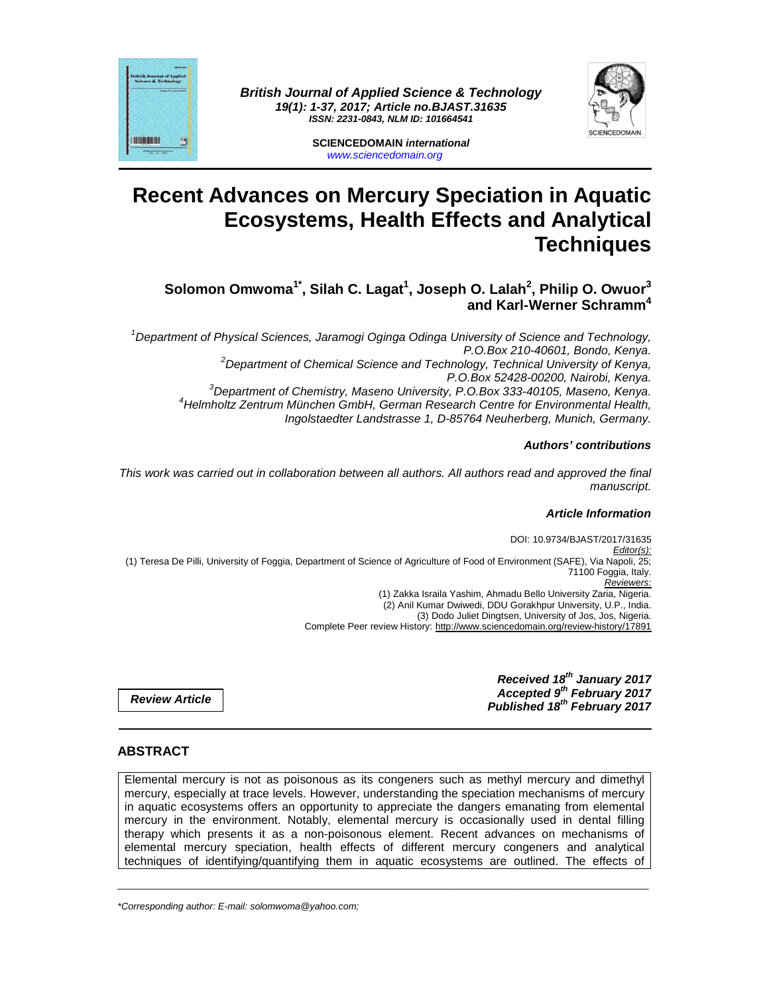

**British Journal of Applied Science & Technology 19(1): 1-37, 2017; Article no.BJAST.31635 ISSN: 2231-0843, NLM ID: 101664541** 



**SCIENCEDOMAIN international**  www.sciencedomain.org

# **Recent Advances on Mercury Speciation in Aquatic Ecosystems, Health Effects and Analytical Techniques**

# **Solomon Omwoma1\*, Silah C. Lagat<sup>1</sup> , Joseph O. Lalah<sup>2</sup> , Philip O. Owuor<sup>3</sup> and Karl-Werner Schramm<sup>4</sup>**

<sup>1</sup>Department of Physical Sciences, Jaramogi Oginga Odinga University of Science and Technology, P.O.Box 210-40601, Bondo, Kenya.  $2$ Department of Chemical Science and Technology, Technical University of Kenya, P.O.Box 52428-00200, Nairobi, Kenya.  ${}^{3}$ Department of Chemistry, Maseno University, P.O.Box 333-40105, Maseno, Kenya. <sup>4</sup>Helmholtz Zentrum München GmbH, German Research Centre for Environmental Health, Ingolstaedter Landstrasse 1, D-85764 Neuherberg, Munich, Germany.

#### **Authors' contributions**

This work was carried out in collaboration between all authors. All authors read and approved the final manuscript.

## **Article Information**

DOI: 10.9734/BJAST/2017/31635 Editor(s): (1) Teresa De Pilli, University of Foggia, Department of Science of Agriculture of Food of Environment (SAFE), Via Napoli, 25; 71100 Foggia, Italy. Reviewers: (1) Zakka Israila Yashim, Ahmadu Bello University Zaria, Nigeria. (2) Anil Kumar Dwiwedi, DDU Gorakhpur University, U.P., India. (3) Dodo Juliet Dingtsen, University of Jos, Jos, Nigeria. Complete Peer review History: http://www.sciencedomain.org/review-history/17891

**Review Article** 

**Received 18th January 2017 Accepted 9th February 2017 Published 18th February 2017**

## **ABSTRACT**

Elemental mercury is not as poisonous as its congeners such as methyl mercury and dimethyl mercury, especially at trace levels. However, understanding the speciation mechanisms of mercury in aquatic ecosystems offers an opportunity to appreciate the dangers emanating from elemental mercury in the environment. Notably, elemental mercury is occasionally used in dental filling therapy which presents it as a non-poisonous element. Recent advances on mechanisms of elemental mercury speciation, health effects of different mercury congeners and analytical techniques of identifying/quantifying them in aquatic ecosystems are outlined. The effects of

\_\_\_\_\_\_\_\_\_\_\_\_\_\_\_\_\_\_\_\_\_\_\_\_\_\_\_\_\_\_\_\_\_\_\_\_\_\_\_\_\_\_\_\_\_\_\_\_\_\_\_\_\_\_\_\_\_\_\_\_\_\_\_\_\_\_\_\_\_\_\_\_\_\_\_\_\_\_\_\_\_\_\_\_\_\_\_\_\_\_\_\_\_\_\_\_\_\_\_\_\_

\*Corresponding author: E-mail: solomwoma@yahoo.com;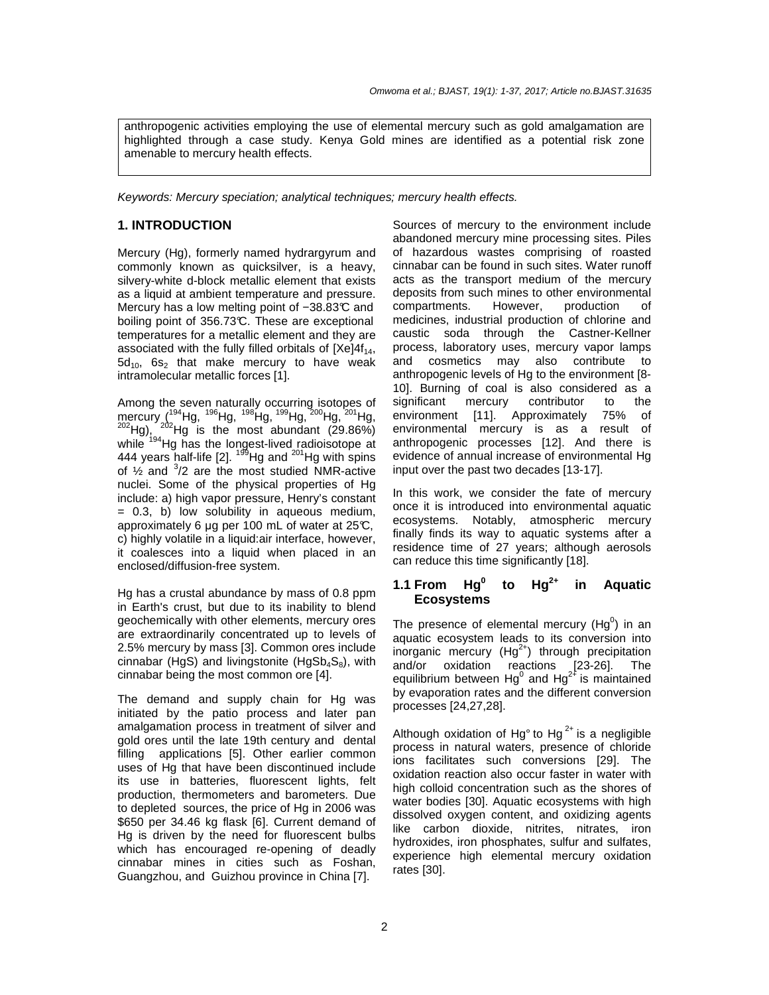anthropogenic activities employing the use of elemental mercury such as gold amalgamation are highlighted through a case study. Kenya Gold mines are identified as a potential risk zone amenable to mercury health effects.

Keywords: Mercury speciation; analytical techniques; mercury health effects.

## **1. INTRODUCTION**

Mercury (Hg), formerly named hydrargyrum and commonly known as quicksilver, is a heavy, silvery-white d-block metallic element that exists as a liquid at ambient temperature and pressure. Mercury has a low melting point of −38.83°C and boiling point of 356.73°C. These are exceptional temperatures for a metallic element and they are associated with the fully filled orbitals of  $[Xe]4f_{14}$ ,  $5d_{10}$ ,  $6s_2$  that make mercury to have weak intramolecular metallic forces [1].

Among the seven naturally occurring isotopes of mercury (<sup>194</sup>Hg, <sup>196</sup>Hg, <sup>198</sup>Hg, <sup>198</sup>Hg, <sup>200</sup>Hg, <sup>201</sup>Hg, <sup>202</sup>Hg, <sup>202</sup>Hg is the most abundant (29.86%)  $^{202}$ Hg),  $^{202}$ Hg is the most abundant (29.86%) while <sup>194</sup>Hg has the longest-lived radioisotope at 444 years half-life  $[2]$ .  $^{199}$ Hg and  $^{201}$ Hg with spins of  $\frac{1}{2}$  and  $\frac{3}{2}$  are the most studied NMR-active nuclei. Some of the physical properties of Hg include: a) high vapor pressure, Henry's constant = 0.3, b) low solubility in aqueous medium, approximately 6 µg per 100 mL of water at 25°C, c) highly volatile in a liquid:air interface, however, it coalesces into a liquid when placed in an enclosed/diffusion-free system.

Hg has a crustal abundance by mass of 0.8 ppm in Earth's crust, but due to its inability to blend geochemically with other elements, mercury ores are extraordinarily concentrated up to levels of 2.5% mercury by mass [3]. Common ores include cinnabar (HgS) and livingstonite (HgSb<sub>4</sub>S<sub>8</sub>), with cinnabar being the most common ore [4].

The demand and supply chain for Hg was initiated by the patio process and later pan amalgamation process in treatment of silver and gold ores until the late 19th century and dental filling applications [5]. Other earlier common uses of Hg that have been discontinued include its use in batteries, fluorescent lights, felt production, thermometers and barometers. Due to depleted sources, the price of Hg in 2006 was \$650 per 34.46 kg flask [6]. Current demand of Hg is driven by the need for fluorescent bulbs which has encouraged re-opening of deadly cinnabar mines in cities such as Foshan, Guangzhou, and Guizhou province in China [7].

Sources of mercury to the environment include abandoned mercury mine processing sites. Piles of hazardous wastes comprising of roasted cinnabar can be found in such sites. Water runoff acts as the transport medium of the mercury deposits from such mines to other environmental compartments. However, production of medicines, industrial production of chlorine and caustic soda through the Castner-Kellner process, laboratory uses, mercury vapor lamps and cosmetics may also contribute to anthropogenic levels of Hg to the environment [8- 10]. Burning of coal is also considered as a significant mercury contributor to the environment [11]. Approximately 75% of environmental mercury is as a result of anthropogenic processes [12]. And there is evidence of annual increase of environmental Hg input over the past two decades [13-17].

In this work, we consider the fate of mercury once it is introduced into environmental aquatic ecosystems. Notably, atmospheric mercury finally finds its way to aquatic systems after a residence time of 27 years; although aerosols can reduce this time significantly [18].

#### **1.1 From Hg<sup>0</sup> to Hg2+ in Aquatic Ecosystems**

The presence of elemental mercury (Hg $^{0}$ ) in an aquatic ecosystem leads to its conversion into inorganic mercury  $(Hg^{2+})$  through precipitation and/or oxidation reactions [23-26]. The equilibrium between  $Hg^0$  and  $Hg^{2+}$  is maintained by evaporation rates and the different conversion processes [24,27,28].

Although oxidation of Hg $^{\circ}$  to Hg $^{2+}$  is a negligible process in natural waters, presence of chloride ions facilitates such conversions [29]. The oxidation reaction also occur faster in water with high colloid concentration such as the shores of water bodies [30]. Aquatic ecosystems with high dissolved oxygen content, and oxidizing agents like carbon dioxide, nitrites, nitrates, iron hydroxides, iron phosphates, sulfur and sulfates, experience high elemental mercury oxidation rates [30].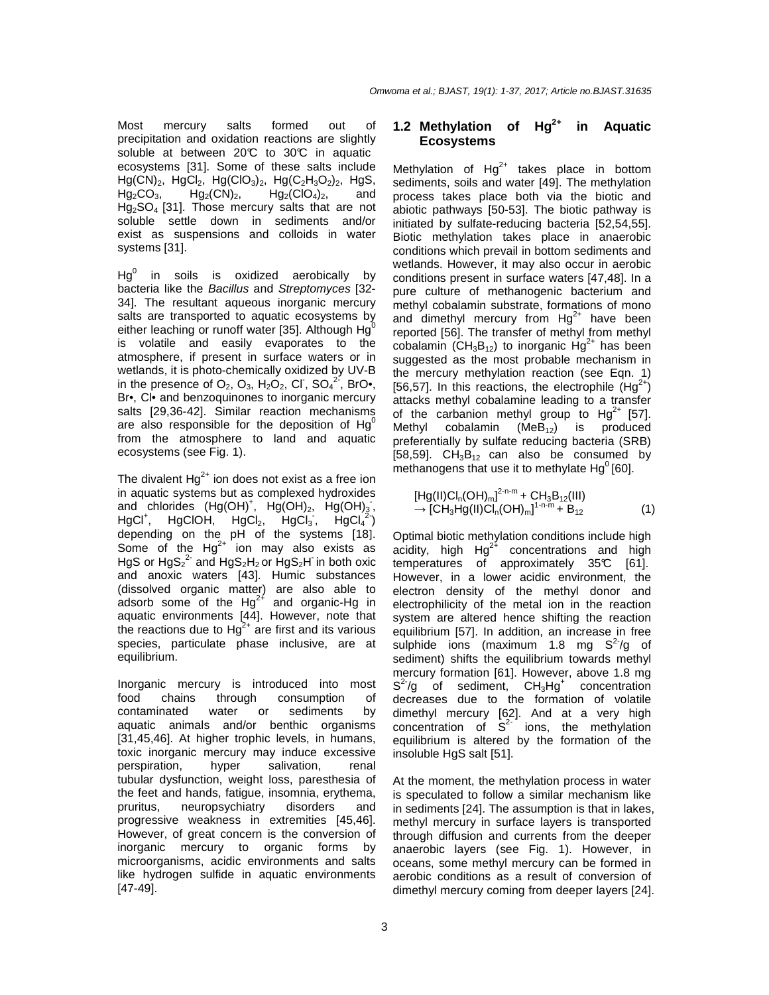Most mercury salts formed out of precipitation and oxidation reactions are slightly soluble at between 20°C to 30°C in aquatic ecosystems [31]. Some of these salts include  $Hg(CN)_2$ ,  $HgCl_2$ ,  $Hg(CIO_3)_2$ ,  $Hg(C_2H_3O_2)_2$ ,  $Hg_2CO_3$ ,  $Hg_2(CN)_2$ ,  $Hg_2(CIO_4)_2$ , and  $Hg_2CO_3$ ,  $Hg_2(CN)_2$ ,  $Hg_2(CIO_4)_2$ , and Hg2SO4 [31]. Those mercury salts that are not soluble settle down in sediments and/or exist as suspensions and colloids in water systems [31].

 $\mathsf{Hg}^0$  in soils is oxidized aerobically by bacteria like the Bacillus and Streptomyces [32- 34]. The resultant aqueous inorganic mercury salts are transported to aquatic ecosystems by either leaching or runoff water [35]. Although  $Hg^0$ is volatile and easily evaporates to the atmosphere, if present in surface waters or in wetlands, it is photo-chemically oxidized by UV-B in the presence of  $O_2$ ,  $O_3$ ,  $H_2O_2$ , CI,  $SO_4^2$ , BrO•, Br•, Cl• and benzoquinones to inorganic mercury salts [29,36-42]. Similar reaction mechanisms are also responsible for the deposition of  $Hq^0$ from the atmosphere to land and aquatic ecosystems (see Fig. 1).

The divalent  $Hg^{2+}$  ion does not exist as a free ion in aquatic systems but as complexed hydroxides and chlorides  $(Hg(OH)^+, Hg(OH)_2, Hg(OH)_3)$ ,  $HgCl<sup>+</sup>$ , HgClOH, HgCl<sub>2</sub>, HgCl<sub>3</sub>, HgCl<sub>4</sub><sup>2</sup>) depending on the pH of the systems [18]. Some of the  $Hg^{2+}$  ion may also exists as HgS or  $HgS_2^2$  and  $HgS_2H_2$  or  $HgS_2H$  in both oxic and anoxic waters [43]. Humic substances (dissolved organic matter) are also able to adsorb some of the  $Hg^{2+}$  and organic-Hg in aquatic environments [44]. However, note that the reactions due to  $Hg^{2+}$  are first and its various species, particulate phase inclusive, are at equilibrium.

Inorganic mercury is introduced into most food chains through consumption of contaminated water or sediments by aquatic animals and/or benthic organisms [31,45,46]. At higher trophic levels, in humans, toxic inorganic mercury may induce excessive perspiration, hyper salivation, renal tubular dysfunction, weight loss, paresthesia of the feet and hands, fatigue, insomnia, erythema, pruritus, neuropsychiatry disorders and progressive weakness in extremities [45,46]. However, of great concern is the conversion of inorganic mercury to organic forms by microorganisms, acidic environments and salts like hydrogen sulfide in aquatic environments [47-49].

#### **1.2 Methylation of Hg2+ in Aquatic Ecosystems**

Methylation of  $Hg^{2+}$  takes place in bottom sediments, soils and water [49]. The methylation process takes place both via the biotic and abiotic pathways [50-53]. The biotic pathway is initiated by sulfate-reducing bacteria [52,54,55]. Biotic methylation takes place in anaerobic conditions which prevail in bottom sediments and wetlands. However, it may also occur in aerobic conditions present in surface waters [47,48]. In a pure culture of methanogenic bacterium and methyl cobalamin substrate, formations of mono and dimethyl mercury from  $Hg^{2+}$  have been reported [56]. The transfer of methyl from methyl cobalamin ( $CH_3B_{12}$ ) to inorganic  $Hg^{2+}$  has been suggested as the most probable mechanism in the mercury methylation reaction (see Eqn. 1) [56,57]. In this reactions, the electrophile  $(Hg^{2+})$ attacks methyl cobalamine leading to a transfer of the carbanion methyl group to  $Hg^{2+}$  [57]. Methyl cobalamin  $(MeB_{12})$  is produced preferentially by sulfate reducing bacteria (SRB) [58,59].  $CH_3B_{12}$  can also be consumed by methanogens that use it to methylate  $Hq^{0}$ [60].

$$
[Hg(I)Cl_{n}(OH)_{m}]^{2-n-m} + CH_{3}B_{12}(III)
$$
  
\n
$$
\rightarrow [CH_{3}Hg(II)Cl_{n}(OH)_{m}]^{1-n-m} + B_{12}
$$
 (1)

Optimal biotic methylation conditions include high acidity, high  $Hg^{2+}$  concentrations and high temperatures of approximately 35°C [61]. However, in a lower acidic environment, the electron density of the methyl donor and electrophilicity of the metal ion in the reaction system are altered hence shifting the reaction equilibrium [57]. In addition, an increase in free sulphide ions (maximum 1.8 mg  $S^2/g$  of sediment) shifts the equilibrium towards methyl mercury formation [61]. However, above 1.8 mg  $S^2/g$  of sediment,  $CH_3Hg^+$  concentration decreases due to the formation of volatile dimethyl mercury [62]. And at a very high concentration of  $S<sup>2</sup>$  ions, the methylation equilibrium is altered by the formation of the insoluble HgS salt [51].

At the moment, the methylation process in water is speculated to follow a similar mechanism like in sediments [24]. The assumption is that in lakes, methyl mercury in surface layers is transported through diffusion and currents from the deeper anaerobic layers (see Fig. 1). However, in oceans, some methyl mercury can be formed in aerobic conditions as a result of conversion of dimethyl mercury coming from deeper layers [24].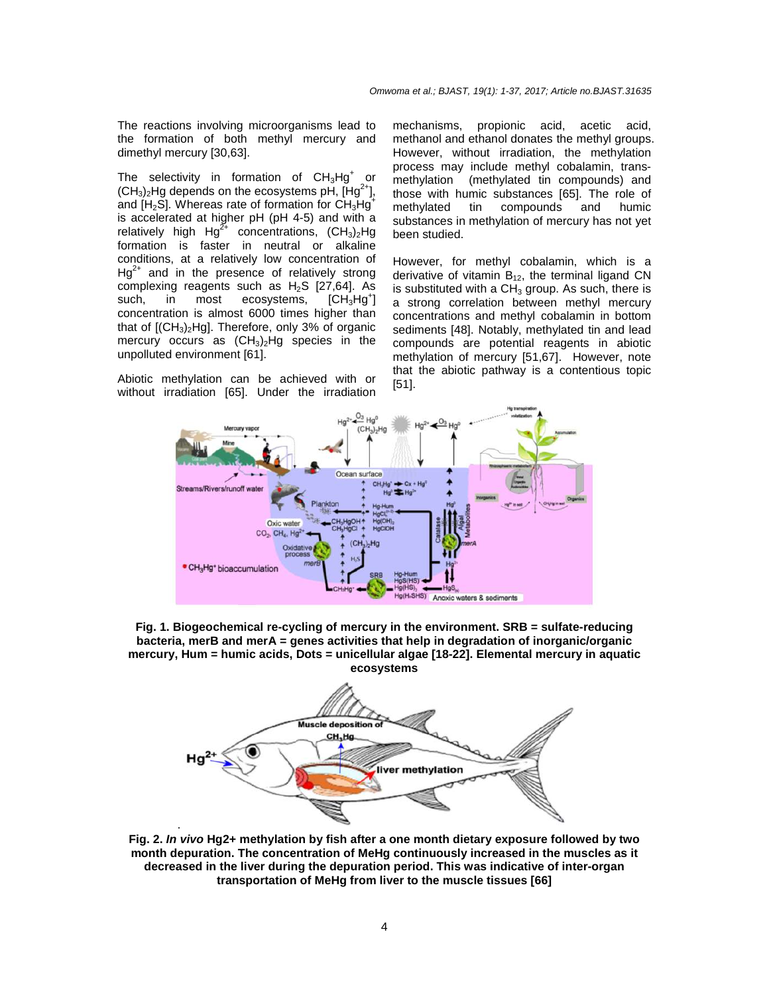The reactions involving microorganisms lead to the formation of both methyl mercury and dimethyl mercury [30,63].

The selectivity in formation of  $CH_3Hg^+$  or  $(CH_3)$ Hg depends on the ecosystems pH,  $[Hg^2]$ and  $[H<sub>2</sub>S]$ . Whereas rate of formation for  $CH<sub>3</sub>He<sup>+</sup>$ is accelerated at higher pH (pH 4-5) and with a relatively high Hg<sup>2+</sup> concentrations,  $(CH_3)_2$ Hg formation is faster in neutral or alkaline conditions, at a relatively low concentration of  $Hg^{2+}$  and in the presence of relatively strong complexing reagents such as H<sub>2</sub>S [27,64]. As<br>such. in most ecosystems. ICH<sub>2</sub>Hq<sup>+</sup>I ecosystems,  $ICH_3Hq^{\dagger}$ concentration is almost 6000 times higher than that of  $[(CH<sub>3</sub>)<sub>2</sub>Hg]$ . Therefore, only 3% of organic mercury occurs as  $(CH_3)$ -Hg species in the unpolluted environment [61].

Abiotic methylation can be achieved with or without irradiation [65]. Under the irradiation mechanisms, propionic acid, acetic acid, methanol and ethanol donates the methyl groups. However, without irradiation, the methylation process may include methyl cobalamin, transmethylation (methylated tin compounds) and those with humic substances [65]. The role of methylated tin compounds and humic substances in methylation of mercury has not yet been studied.

However, for methyl cobalamin, which is a derivative of vitamin  $B_{12}$ , the terminal ligand CN is substituted with a  $CH<sub>3</sub>$  group. As such, there is a strong correlation between methyl mercury concentrations and methyl cobalamin in bottom sediments [48]. Notably, methylated tin and lead compounds are potential reagents in abiotic methylation of mercury [51,67]. However, note that the abiotic pathway is a contentious topic [51].



**Fig. 1. Biogeochemical re-cycling of mercury in the environment. SRB = sulfate-reducing bacteria, merB and merA = genes activities that help in degradation of inorganic/organic mercury, Hum = humic acids, Dots = unicellular algae [18-22]. Elemental mercury in aquatic ecosystems** 



**Fig. 2. In vivo Hg2+ methylation by fish after a one month dietary exposure followed by two month depuration. The concentration of MeHg continuously increased in the muscles as it decreased in the liver during the depuration period. This was indicative of inter-organ transportation of MeHg from liver to the muscle tissues [66]**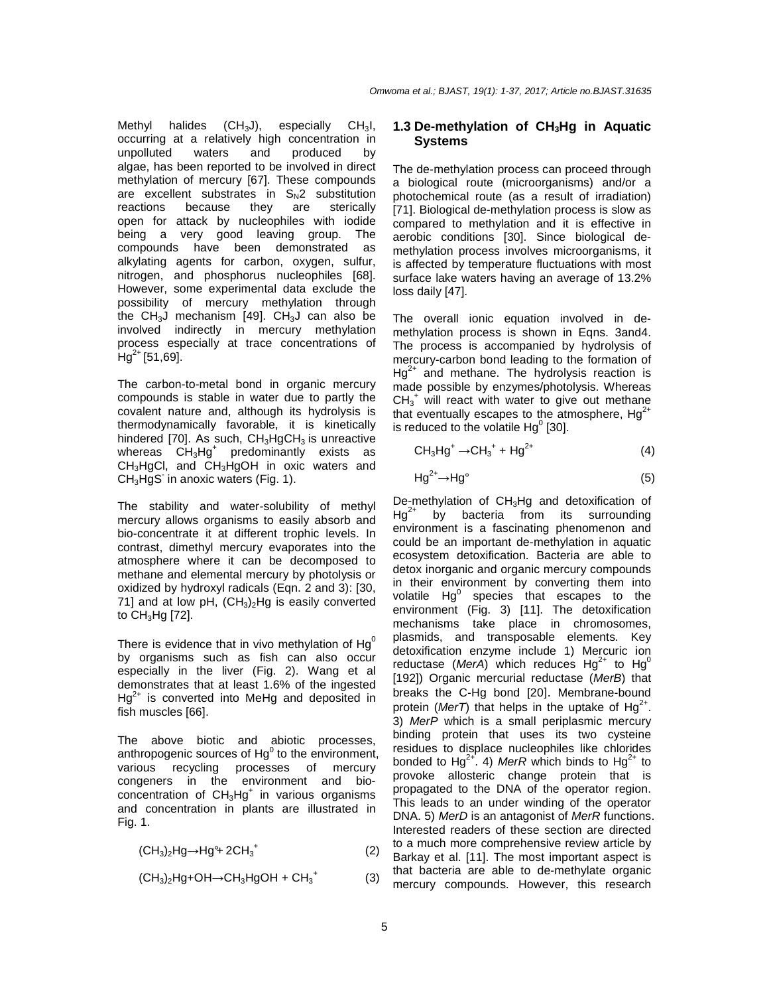Methyl halides  $(CH_3J)$ , especially CH<sub>3</sub>I, occurring at a relatively high concentration in unpolluted waters and produced by algae, has been reported to be involved in direct methylation of mercury [67]. These compounds are excellent substrates in  $S<sub>N</sub>2$  substitution<br>reactions because they are sterically because they open for attack by nucleophiles with iodide being a very good leaving group. The compounds have been demonstrated as alkylating agents for carbon, oxygen, sulfur, nitrogen, and phosphorus nucleophiles [68]. However, some experimental data exclude the possibility of mercury methylation through the CH<sub>3</sub>J mechanism [49]. CH<sub>3</sub>J can also be involved indirectly in mercury methylation process especially at trace concentrations of  $Hg^{2+}$  [51,69].

The carbon-to-metal bond in organic mercury compounds is stable in water due to partly the covalent nature and, although its hydrolysis is thermodynamically favorable, it is kinetically hindered [70]. As such,  $CH<sub>3</sub>HgCH<sub>3</sub>$  is unreactive whereas CH<sub>3</sub>Hg<sup>+</sup> predominantly exists as CH3HgCl, and CH3HgOH in oxic waters and  $CH<sub>3</sub>HgS<sup>-</sup>$  in anoxic waters (Fig. 1).

The stability and water-solubility of methyl mercury allows organisms to easily absorb and bio-concentrate it at different trophic levels. In contrast, dimethyl mercury evaporates into the atmosphere where it can be decomposed to methane and elemental mercury by photolysis or oxidized by hydroxyl radicals (Eqn. 2 and 3): [30, 71] and at low pH,  $(CH_3)_2$ Hg is easily converted to  $CH<sub>3</sub>Hg$  [72].

There is evidence that in vivo methylation of  $Hg<sup>0</sup>$ by organisms such as fish can also occur especially in the liver (Fig. 2). Wang et al demonstrates that at least 1.6% of the ingested  $Hg^{2+}$  is converted into MeHg and deposited in fish muscles [66].

The above biotic and abiotic processes, anthropogenic sources of  $Hg^0$  to the environment, various recycling processes of mercury congeners in the environment and bioconcentration of  $CH<sub>3</sub>Hg<sup>+</sup>$  in various organisms and concentration in plants are illustrated in Fig. 1.

 $(CH_3)_2Hg \rightarrow Hg^4$  2CH<sub>3</sub><sup>+</sup> (2)

$$
(CH3)2Hg+OH \rightarrow CH3HgOH + CH3+
$$
 (3)

## **1.3 De-methylation of CH3Hg in Aquatic Systems**

The de-methylation process can proceed through a biological route (microorganisms) and/or a photochemical route (as a result of irradiation) [71]. Biological de-methylation process is slow as compared to methylation and it is effective in aerobic conditions [30]. Since biological demethylation process involves microorganisms, it is affected by temperature fluctuations with most surface lake waters having an average of 13.2% loss daily [47].

The overall ionic equation involved in demethylation process is shown in Eqns. 3and4. The process is accompanied by hydrolysis of mercury-carbon bond leading to the formation of  $Hg^{2+}$  and methane. The hydrolysis reaction is made possible by enzymes/photolysis. Whereas  $CH_3$ <sup>+</sup> will react with water to give out methane that eventually escapes to the atmosphere,  $Hg^{2+}$ is reduced to the volatile  $Hg^0$  [30].

$$
CH3Hg+ \rightarrow CH3+ + Hg2+
$$
 (4)

$$
Hg^{2+} \rightarrow Hg^{\circ}
$$
 (5)

De-methylation of CH<sub>3</sub>Hg and detoxification of  $Hg^{2+}$  by bacteria from its surrounding environment is a fascinating phenomenon and could be an important de-methylation in aquatic ecosystem detoxification. Bacteria are able to detox inorganic and organic mercury compounds in their environment by converting them into volatile  $Hg^0$  species that escapes to the environment (Fig. 3) [11]. The detoxification mechanisms take place in chromosomes, plasmids, and transposable elements. Key detoxification enzyme include 1) Mercuric ion reductase (MerA) which reduces  $Hg^{2+}$  to  $Hg^{0}$ [192]) Organic mercurial reductase (MerB) that breaks the C-Hg bond [20]. Membrane-bound protein (MerT) that helps in the uptake of  $Hg^{2+}$ . 3) MerP which is a small periplasmic mercury binding protein that uses its two cysteine residues to displace nucleophiles like chlorides bonded to Hg<sup>2+</sup>. 4) MerR which binds to Hg<sup>2+</sup> to provoke allosteric change protein that is propagated to the DNA of the operator region. This leads to an under winding of the operator DNA. 5) MerD is an antagonist of MerR functions. Interested readers of these section are directed to a much more comprehensive review article by Barkay et al. [11]. The most important aspect is that bacteria are able to de-methylate organic mercury compounds. However, this research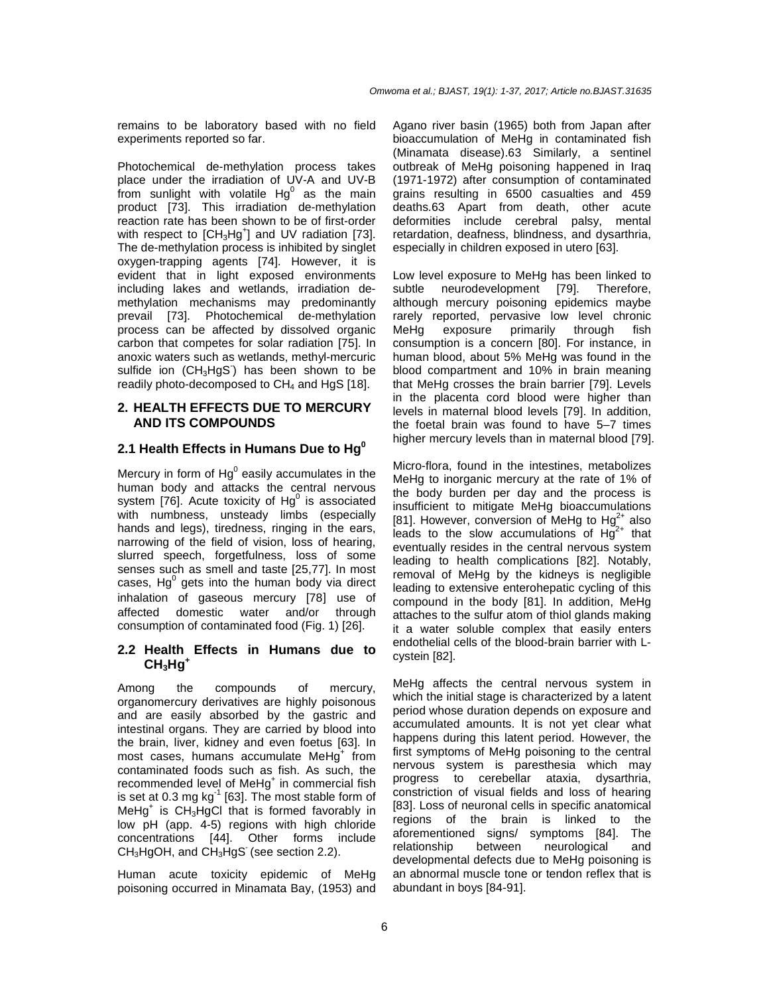remains to be laboratory based with no field experiments reported so far.

Photochemical de-methylation process takes place under the irradiation of UV-A and UV-B  $\frac{1}{2}$  from sunlight with volatile Hg<sup>0</sup> as the main product [73]. This irradiation de-methylation reaction rate has been shown to be of first-order with respect to  $[CH<sub>3</sub>Hg<sup>+</sup>]$  and UV radiation [73]. The de-methylation process is inhibited by singlet oxygen-trapping agents [74]. However, it is evident that in light exposed environments including lakes and wetlands, irradiation demethylation mechanisms may predominantly prevail [73]. Photochemical de-methylation process can be affected by dissolved organic carbon that competes for solar radiation [75]. In anoxic waters such as wetlands, methyl-mercuric sulfide ion  $(CH_3HgS)$  has been shown to be readily photo-decomposed to  $CH<sub>4</sub>$  and HgS [18].

#### **2. HEALTH EFFECTS DUE TO MERCURY AND ITS COMPOUNDS**

## **2.1 Health Effects in Humans Due to Hg<sup>0</sup>**

Mercury in form of  $Hg^0$  easily accumulates in the human body and attacks the central nervous system [76]. Acute toxicity of  $Hg^0$  is associated with numbness, unsteady limbs (especially hands and legs), tiredness, ringing in the ears, narrowing of the field of vision, loss of hearing, slurred speech, forgetfulness, loss of some senses such as smell and taste [25,77]. In most cases,  $Hg^0$  gets into the human body via direct inhalation of gaseous mercury [78] use of affected domestic water and/or through consumption of contaminated food (Fig. 1) [26].

#### **2.2 Health Effects in Humans due to CH3Hg<sup>+</sup>**

Among the compounds of mercury, organomercury derivatives are highly poisonous and are easily absorbed by the gastric and intestinal organs. They are carried by blood into the brain, liver, kidney and even foetus [63]. In most cases, humans accumulate MeHg<sup>+</sup> from contaminated foods such as fish. As such, the recommended level of MeHg<sup>+</sup> in commercial fish is set at 0.3 mg  $kg^{-1}$  [63]. The most stable form of MeHg<sup>+</sup> is CH<sub>3</sub>HgCl that is formed favorably in low pH (app. 4-5) regions with high chloride concentrations [44]. Other forms include  $CH<sub>3</sub>HgOH$ , and  $CH<sub>3</sub>HgS$  (see section 2.2).

Human acute toxicity epidemic of MeHg poisoning occurred in Minamata Bay, (1953) and Agano river basin (1965) both from Japan after bioaccumulation of MeHg in contaminated fish (Minamata disease).63 Similarly, a sentinel outbreak of MeHg poisoning happened in Iraq (1971-1972) after consumption of contaminated grains resulting in 6500 casualties and 459 deaths.63 Apart from death, other acute deformities include cerebral palsy, mental retardation, deafness, blindness, and dysarthria, especially in children exposed in utero [63].

Low level exposure to MeHg has been linked to subtle neurodevelopment [79]. Therefore, although mercury poisoning epidemics maybe rarely reported, pervasive low level chronic MeHg exposure primarily through fish consumption is a concern [80]. For instance, in human blood, about 5% MeHg was found in the blood compartment and 10% in brain meaning that MeHg crosses the brain barrier [79]. Levels in the placenta cord blood were higher than levels in maternal blood levels [79]. In addition, the foetal brain was found to have 5–7 times higher mercury levels than in maternal blood [79].

Micro-flora, found in the intestines, metabolizes MeHg to inorganic mercury at the rate of 1% of the body burden per day and the process is insufficient to mitigate MeHg bioaccumulations [81]. However, conversion of MeHg to  $Hq^{2+}$  also leads to the slow accumulations of  $H\ddot{g}^{2+}$  that eventually resides in the central nervous system leading to health complications [82]. Notably, removal of MeHg by the kidneys is negligible leading to extensive enterohepatic cycling of this compound in the body [81]. In addition, MeHg attaches to the sulfur atom of thiol glands making it a water soluble complex that easily enters endothelial cells of the blood-brain barrier with Lcystein [82].

MeHg affects the central nervous system in which the initial stage is characterized by a latent period whose duration depends on exposure and accumulated amounts. It is not yet clear what happens during this latent period. However, the first symptoms of MeHg poisoning to the central nervous system is paresthesia which may progress to cerebellar ataxia, dysarthria, constriction of visual fields and loss of hearing [83]. Loss of neuronal cells in specific anatomical regions of the brain is linked to the aforementioned signs/ symptoms [84]. The relationship between neurological and developmental defects due to MeHg poisoning is an abnormal muscle tone or tendon reflex that is abundant in boys [84-91].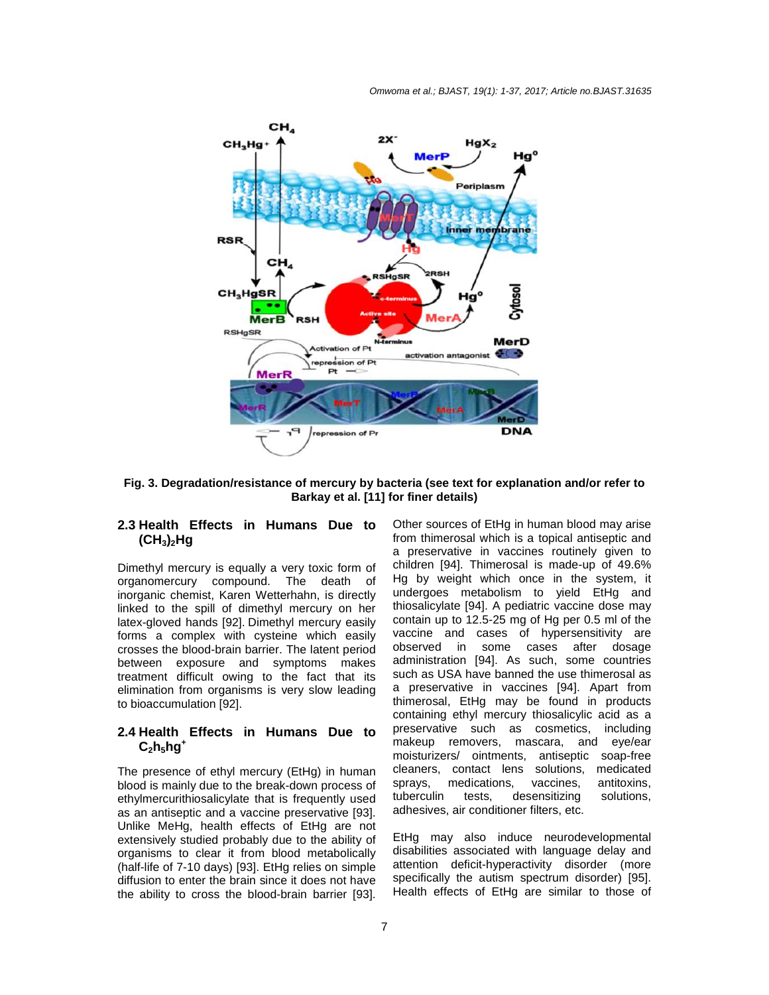

**Fig. 3. Degradation/resistance of mercury by bacteria (see text for explanation and/or refer to Barkay et al. [11] for finer details)** 

## **2.3 Health Effects in Humans Due to (CH3)2Hg**

Dimethyl mercury is equally a very toxic form of organomercury compound. The death of inorganic chemist, Karen Wetterhahn, is directly linked to the spill of dimethyl mercury on her latex-gloved hands [92]. Dimethyl mercury easily forms a complex with cysteine which easily crosses the blood-brain barrier. The latent period between exposure and symptoms makes treatment difficult owing to the fact that its elimination from organisms is very slow leading to bioaccumulation [92].

## **2.4 Health Effects in Humans Due to**   $C_2 h_5 hq^+$

The presence of ethyl mercury (EtHg) in human blood is mainly due to the break-down process of ethylmercurithiosalicylate that is frequently used as an antiseptic and a vaccine preservative [93]. Unlike MeHg, health effects of EtHg are not extensively studied probably due to the ability of organisms to clear it from blood metabolically (half-life of 7-10 days) [93]. EtHg relies on simple diffusion to enter the brain since it does not have the ability to cross the blood-brain barrier [93].

Other sources of EtHg in human blood may arise from thimerosal which is a topical antiseptic and a preservative in vaccines routinely given to children [94]. Thimerosal is made-up of 49.6% Hg by weight which once in the system, it undergoes metabolism to yield EtHg and thiosalicylate [94]. A pediatric vaccine dose may contain up to 12.5-25 mg of Hg per 0.5 ml of the vaccine and cases of hypersensitivity are observed in some cases after dosage administration [94]. As such, some countries such as USA have banned the use thimerosal as a preservative in vaccines [94]. Apart from thimerosal, EtHg may be found in products containing ethyl mercury thiosalicylic acid as a preservative such as cosmetics, including makeup removers, mascara, and eye/ear moisturizers/ ointments, antiseptic soap-free cleaners, contact lens solutions, medicated sprays, medications, vaccines, antitoxins, tuberculin tests, desensitizing solutions, adhesives, air conditioner filters, etc.

EtHg may also induce neurodevelopmental disabilities associated with language delay and attention deficit-hyperactivity disorder (more specifically the autism spectrum disorder) [95]. Health effects of EtHg are similar to those of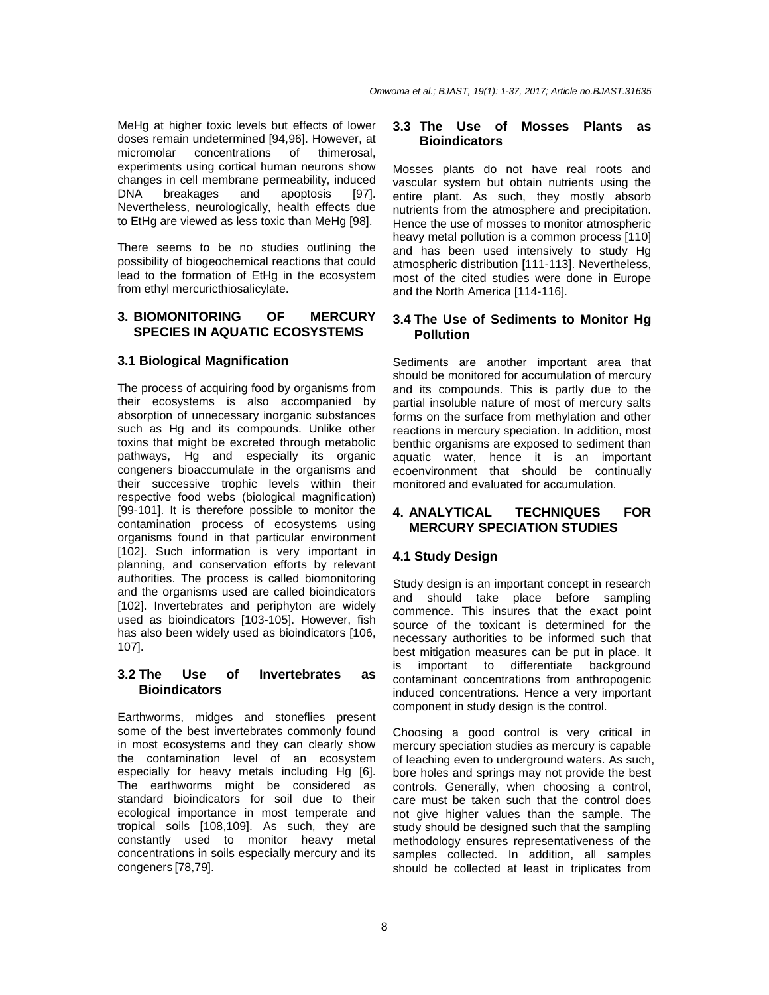MeHg at higher toxic levels but effects of lower doses remain undetermined [94,96]. However, at micromolar concentrations of thimerosal, experiments using cortical human neurons show changes in cell membrane permeability, induced DNA breakages and apoptosis [97]. Nevertheless, neurologically, health effects due to EtHg are viewed as less toxic than MeHg [98].

There seems to be no studies outlining the possibility of biogeochemical reactions that could lead to the formation of EtHg in the ecosystem from ethyl mercuricthiosalicylate.

## **3. BIOMONITORING OF MERCURY SPECIES IN AQUATIC ECOSYSTEMS**

## **3.1 Biological Magnification**

The process of acquiring food by organisms from their ecosystems is also accompanied by absorption of unnecessary inorganic substances such as Hg and its compounds. Unlike other toxins that might be excreted through metabolic pathways, Hg and especially its organic congeners bioaccumulate in the organisms and their successive trophic levels within their respective food webs (biological magnification) [99-101]. It is therefore possible to monitor the contamination process of ecosystems using organisms found in that particular environment [102]. Such information is very important in planning, and conservation efforts by relevant authorities. The process is called biomonitoring and the organisms used are called bioindicators [102]. Invertebrates and periphyton are widely used as bioindicators [103-105]. However, fish has also been widely used as bioindicators [106, 107].

#### **3.2 The Use of Invertebrates as Bioindicators**

Earthworms, midges and stoneflies present some of the best invertebrates commonly found in most ecosystems and they can clearly show the contamination level of an ecosystem especially for heavy metals including Hg [6]. The earthworms might be considered as standard bioindicators for soil due to their ecological importance in most temperate and tropical soils [108,109]. As such, they are constantly used to monitor heavy metal concentrations in soils especially mercury and its congeners [78,79].

#### **3.3 The Use of Mosses Plants as Bioindicators**

Mosses plants do not have real roots and vascular system but obtain nutrients using the entire plant. As such, they mostly absorb nutrients from the atmosphere and precipitation. Hence the use of mosses to monitor atmospheric heavy metal pollution is a common process [110] and has been used intensively to study Hg atmospheric distribution [111-113]. Nevertheless, most of the cited studies were done in Europe and the North America [114-116].

## **3.4 The Use of Sediments to Monitor Hg Pollution**

Sediments are another important area that should be monitored for accumulation of mercury and its compounds. This is partly due to the partial insoluble nature of most of mercury salts forms on the surface from methylation and other reactions in mercury speciation. In addition, most benthic organisms are exposed to sediment than aquatic water, hence it is an important ecoenvironment that should be continually monitored and evaluated for accumulation.

## **4. ANALYTICAL TECHNIQUES FOR MERCURY SPECIATION STUDIES**

## **4.1 Study Design**

Study design is an important concept in research and should take place before sampling commence. This insures that the exact point source of the toxicant is determined for the necessary authorities to be informed such that best mitigation measures can be put in place. It is important to differentiate background contaminant concentrations from anthropogenic induced concentrations. Hence a very important component in study design is the control.

Choosing a good control is very critical in mercury speciation studies as mercury is capable of leaching even to underground waters. As such, bore holes and springs may not provide the best controls. Generally, when choosing a control, care must be taken such that the control does not give higher values than the sample. The study should be designed such that the sampling methodology ensures representativeness of the samples collected. In addition, all samples should be collected at least in triplicates from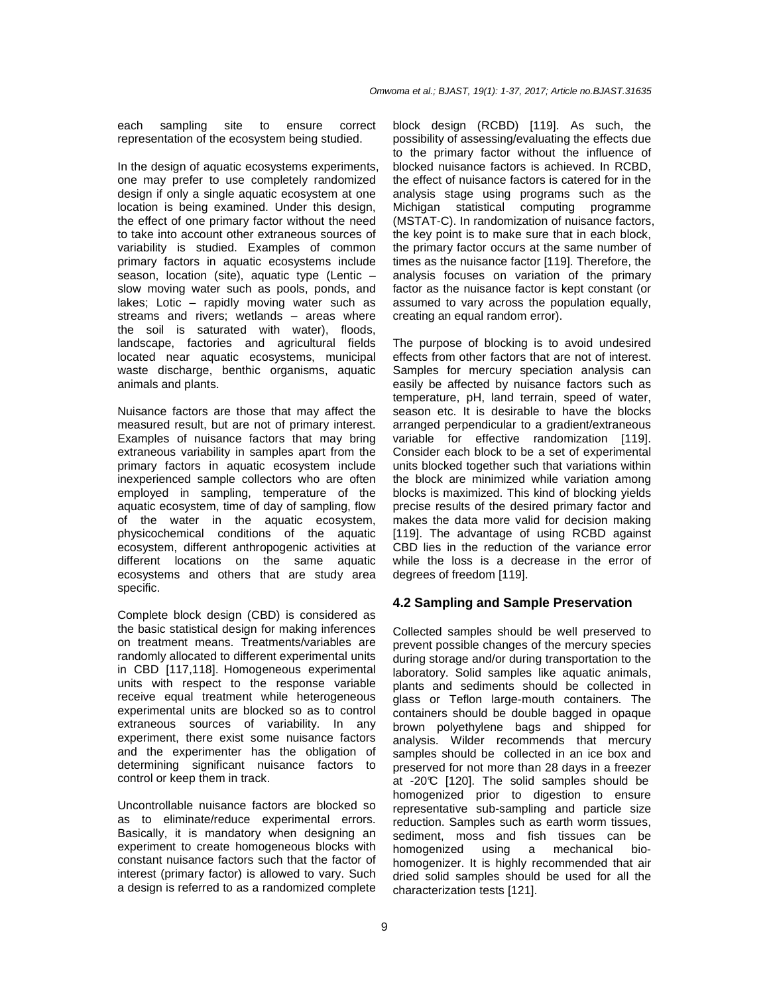each sampling site to ensure correct representation of the ecosystem being studied.

In the design of aquatic ecosystems experiments, one may prefer to use completely randomized design if only a single aquatic ecosystem at one location is being examined. Under this design, the effect of one primary factor without the need to take into account other extraneous sources of variability is studied. Examples of common primary factors in aquatic ecosystems include season, location (site), aquatic type (Lentic – slow moving water such as pools, ponds, and lakes; Lotic – rapidly moving water such as streams and rivers; wetlands – areas where the soil is saturated with water), floods, landscape, factories and agricultural fields located near aquatic ecosystems, municipal waste discharge, benthic organisms, aquatic animals and plants.

Nuisance factors are those that may affect the measured result, but are not of primary interest. Examples of nuisance factors that may bring extraneous variability in samples apart from the primary factors in aquatic ecosystem include inexperienced sample collectors who are often employed in sampling, temperature of the aquatic ecosystem, time of day of sampling, flow of the water in the aquatic ecosystem, physicochemical conditions of the aquatic ecosystem, different anthropogenic activities at different locations on the same aquatic ecosystems and others that are study area specific.

Complete block design (CBD) is considered as the basic statistical design for making inferences on treatment means. Treatments/variables are randomly allocated to different experimental units in CBD [117,118]. Homogeneous experimental units with respect to the response variable receive equal treatment while heterogeneous experimental units are blocked so as to control extraneous sources of variability. In any experiment, there exist some nuisance factors and the experimenter has the obligation of determining significant nuisance factors to control or keep them in track.

Uncontrollable nuisance factors are blocked so as to eliminate/reduce experimental errors. Basically, it is mandatory when designing an experiment to create homogeneous blocks with constant nuisance factors such that the factor of interest (primary factor) is allowed to vary. Such a design is referred to as a randomized complete

block design (RCBD) [119]. As such, the possibility of assessing/evaluating the effects due to the primary factor without the influence of blocked nuisance factors is achieved. In RCBD, the effect of nuisance factors is catered for in the analysis stage using programs such as the Michigan statistical computing programme (MSTAT-C). In randomization of nuisance factors, the key point is to make sure that in each block, the primary factor occurs at the same number of times as the nuisance factor [119]. Therefore, the analysis focuses on variation of the primary factor as the nuisance factor is kept constant (or assumed to vary across the population equally, creating an equal random error).

The purpose of blocking is to avoid undesired effects from other factors that are not of interest. Samples for mercury speciation analysis can easily be affected by nuisance factors such as temperature, pH, land terrain, speed of water, season etc. It is desirable to have the blocks arranged perpendicular to a gradient/extraneous variable for effective randomization [119]. Consider each block to be a set of experimental units blocked together such that variations within the block are minimized while variation among blocks is maximized. This kind of blocking yields precise results of the desired primary factor and makes the data more valid for decision making [119]. The advantage of using RCBD against CBD lies in the reduction of the variance error while the loss is a decrease in the error of degrees of freedom [119].

#### **4.2 Sampling and Sample Preservation**

Collected samples should be well preserved to prevent possible changes of the mercury species during storage and/or during transportation to the laboratory. Solid samples like aquatic animals, plants and sediments should be collected in glass or Teflon large-mouth containers. The containers should be double bagged in opaque brown polyethylene bags and shipped for analysis. Wilder recommends that mercury samples should be collected in an ice box and preserved for not more than 28 days in a freezer at -20°C [120]. The solid samples should be homogenized prior to digestion to ensure representative sub-sampling and particle size reduction. Samples such as earth worm tissues, sediment, moss and fish tissues can be homogenized using a mechanical biohomogenizer. It is highly recommended that air dried solid samples should be used for all the characterization tests [121].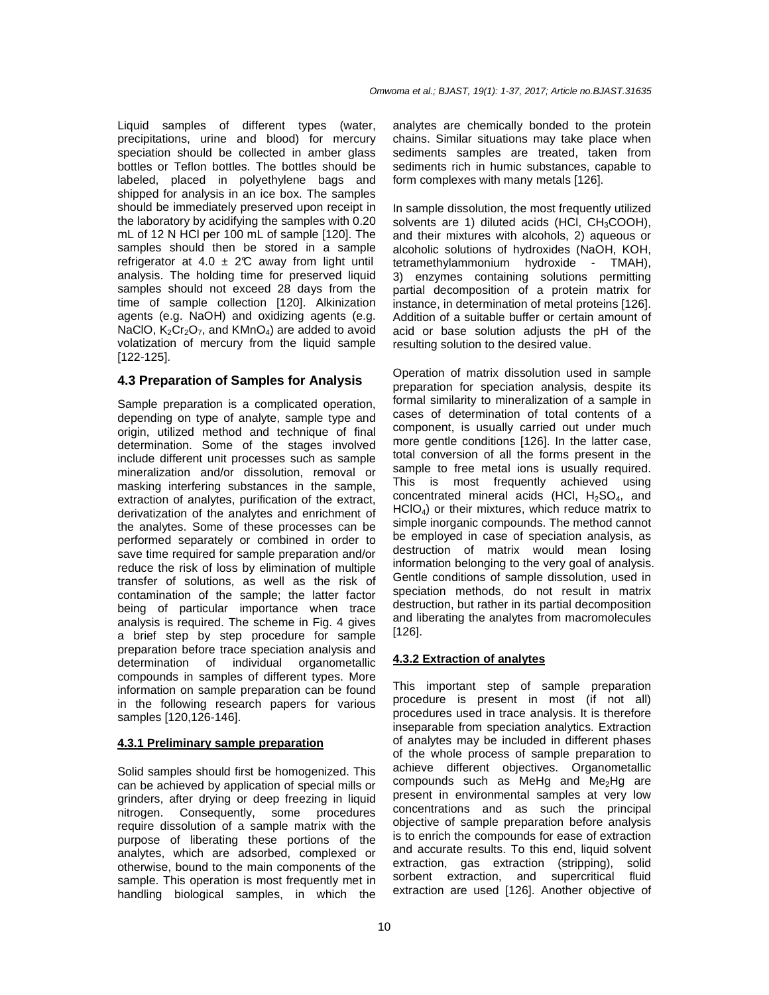Liquid samples of different types (water, precipitations, urine and blood) for mercury speciation should be collected in amber glass bottles or Teflon bottles. The bottles should be labeled, placed in polyethylene bags and shipped for analysis in an ice box. The samples should be immediately preserved upon receipt in the laboratory by acidifying the samples with 0.20 mL of 12 N HCl per 100 mL of sample [120]. The samples should then be stored in a sample refrigerator at 4.0  $\pm$  2°C away from light until analysis. The holding time for preserved liquid samples should not exceed 28 days from the time of sample collection [120]. Alkinization agents (e.g. NaOH) and oxidizing agents (e.g. NaClO,  $K_2Cr_2O_7$ , and KMnO<sub>4</sub>) are added to avoid volatization of mercury from the liquid sample [122-125].

## **4.3 Preparation of Samples for Analysis**

Sample preparation is a complicated operation, depending on type of analyte, sample type and origin, utilized method and technique of final determination. Some of the stages involved include different unit processes such as sample mineralization and/or dissolution, removal or masking interfering substances in the sample, extraction of analytes, purification of the extract, derivatization of the analytes and enrichment of the analytes. Some of these processes can be performed separately or combined in order to save time required for sample preparation and/or reduce the risk of loss by elimination of multiple transfer of solutions, as well as the risk of contamination of the sample; the latter factor being of particular importance when trace analysis is required. The scheme in Fig. 4 gives a brief step by step procedure for sample preparation before trace speciation analysis and determination of individual organometallic compounds in samples of different types. More information on sample preparation can be found in the following research papers for various samples [120,126-146].

## **4.3.1 Preliminary sample preparation**

Solid samples should first be homogenized. This can be achieved by application of special mills or grinders, after drying or deep freezing in liquid nitrogen. Consequently, some procedures require dissolution of a sample matrix with the purpose of liberating these portions of the analytes, which are adsorbed, complexed or otherwise, bound to the main components of the sample. This operation is most frequently met in handling biological samples, in which the

analytes are chemically bonded to the protein chains. Similar situations may take place when sediments samples are treated, taken from sediments rich in humic substances, capable to form complexes with many metals [126].

In sample dissolution, the most frequently utilized solvents are 1) diluted acids (HCl,  $CH<sub>3</sub>COOH$ ), and their mixtures with alcohols, 2) aqueous or alcoholic solutions of hydroxides (NaOH, KOH, tetramethylammonium hydroxide - TMAH), 3) enzymes containing solutions permitting partial decomposition of a protein matrix for instance, in determination of metal proteins [126]. Addition of a suitable buffer or certain amount of acid or base solution adjusts the pH of the resulting solution to the desired value.

Operation of matrix dissolution used in sample preparation for speciation analysis, despite its formal similarity to mineralization of a sample in cases of determination of total contents of a component, is usually carried out under much more gentle conditions [126]. In the latter case, total conversion of all the forms present in the sample to free metal ions is usually required. This is most frequently achieved using concentrated mineral acids (HCl,  $H_2SO_4$ , and HClO4) or their mixtures, which reduce matrix to simple inorganic compounds. The method cannot be employed in case of speciation analysis, as destruction of matrix would mean losing information belonging to the very goal of analysis. Gentle conditions of sample dissolution, used in speciation methods, do not result in matrix destruction, but rather in its partial decomposition and liberating the analytes from macromolecules [126].

## **4.3.2 Extraction of analytes**

This important step of sample preparation procedure is present in most (if not all) procedures used in trace analysis. It is therefore inseparable from speciation analytics. Extraction of analytes may be included in different phases of the whole process of sample preparation to achieve different objectives. Organometallic compounds such as MeHg and  $Me<sub>2</sub>Hg$  are present in environmental samples at very low concentrations and as such the principal objective of sample preparation before analysis is to enrich the compounds for ease of extraction and accurate results. To this end, liquid solvent extraction, gas extraction (stripping), solid sorbent extraction, and supercritical fluid extraction are used [126]. Another objective of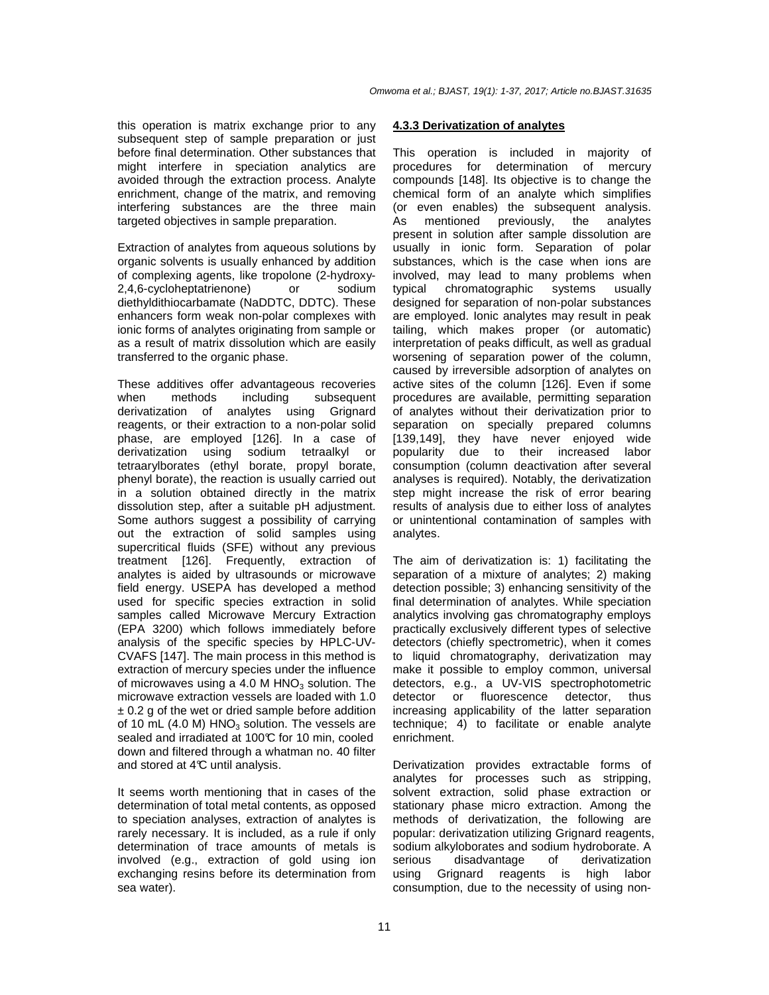this operation is matrix exchange prior to any subsequent step of sample preparation or just before final determination. Other substances that might interfere in speciation analytics are avoided through the extraction process. Analyte enrichment, change of the matrix, and removing interfering substances are the three main targeted objectives in sample preparation.

Extraction of analytes from aqueous solutions by organic solvents is usually enhanced by addition of complexing agents, like tropolone (2-hydroxy-2,4,6-cycloheptatrienone) or sodium diethyldithiocarbamate (NaDDTC, DDTC). These enhancers form weak non-polar complexes with ionic forms of analytes originating from sample or as a result of matrix dissolution which are easily transferred to the organic phase.

These additives offer advantageous recoveries when methods including subsequent derivatization of analytes using Grignard reagents, or their extraction to a non-polar solid phase, are employed [126]. In a case of derivatization using sodium tetraalkyl or tetraarylborates (ethyl borate, propyl borate, phenyl borate), the reaction is usually carried out in a solution obtained directly in the matrix dissolution step, after a suitable pH adjustment. Some authors suggest a possibility of carrying out the extraction of solid samples using supercritical fluids (SFE) without any previous treatment [126]. Frequently, extraction of analytes is aided by ultrasounds or microwave field energy. USEPA has developed a method used for specific species extraction in solid samples called Microwave Mercury Extraction (EPA 3200) which follows immediately before analysis of the specific species by HPLC-UV-CVAFS [147]. The main process in this method is extraction of mercury species under the influence of microwaves using a 4.0 M  $HNO<sub>3</sub>$  solution. The microwave extraction vessels are loaded with 1.0  $\pm$  0.2 g of the wet or dried sample before addition of 10 mL (4.0 M)  $HNO<sub>3</sub>$  solution. The vessels are sealed and irradiated at 100°C for 10 min, cooled down and filtered through a whatman no. 40 filter and stored at 4°C until analysis.

It seems worth mentioning that in cases of the determination of total metal contents, as opposed to speciation analyses, extraction of analytes is rarely necessary. It is included, as a rule if only determination of trace amounts of metals is involved (e.g., extraction of gold using ion exchanging resins before its determination from sea water).

#### **4.3.3 Derivatization of analytes**

This operation is included in majority of procedures for determination of mercury compounds [148]. Its objective is to change the chemical form of an analyte which simplifies (or even enables) the subsequent analysis. As mentioned previously, the analytes present in solution after sample dissolution are usually in ionic form. Separation of polar substances, which is the case when ions are involved, may lead to many problems when typical chromatographic systems usually designed for separation of non-polar substances are employed. Ionic analytes may result in peak tailing, which makes proper (or automatic) interpretation of peaks difficult, as well as gradual worsening of separation power of the column, caused by irreversible adsorption of analytes on active sites of the column [126]. Even if some procedures are available, permitting separation of analytes without their derivatization prior to separation on specially prepared columns [139,149], they have never enjoyed wide popularity due to their increased labor consumption (column deactivation after several analyses is required). Notably, the derivatization step might increase the risk of error bearing results of analysis due to either loss of analytes or unintentional contamination of samples with analytes.

The aim of derivatization is: 1) facilitating the separation of a mixture of analytes; 2) making detection possible; 3) enhancing sensitivity of the final determination of analytes. While speciation analytics involving gas chromatography employs practically exclusively different types of selective detectors (chiefly spectrometric), when it comes to liquid chromatography, derivatization may make it possible to employ common, universal detectors, e.g., a UV-VIS spectrophotometric detector or fluorescence detector, thus increasing applicability of the latter separation technique; 4) to facilitate or enable analyte enrichment.

Derivatization provides extractable forms of analytes for processes such as stripping, solvent extraction, solid phase extraction or stationary phase micro extraction. Among the methods of derivatization, the following are popular: derivatization utilizing Grignard reagents, sodium alkyloborates and sodium hydroborate. A serious disadvantage of derivatization using Grignard reagents is high labor consumption, due to the necessity of using non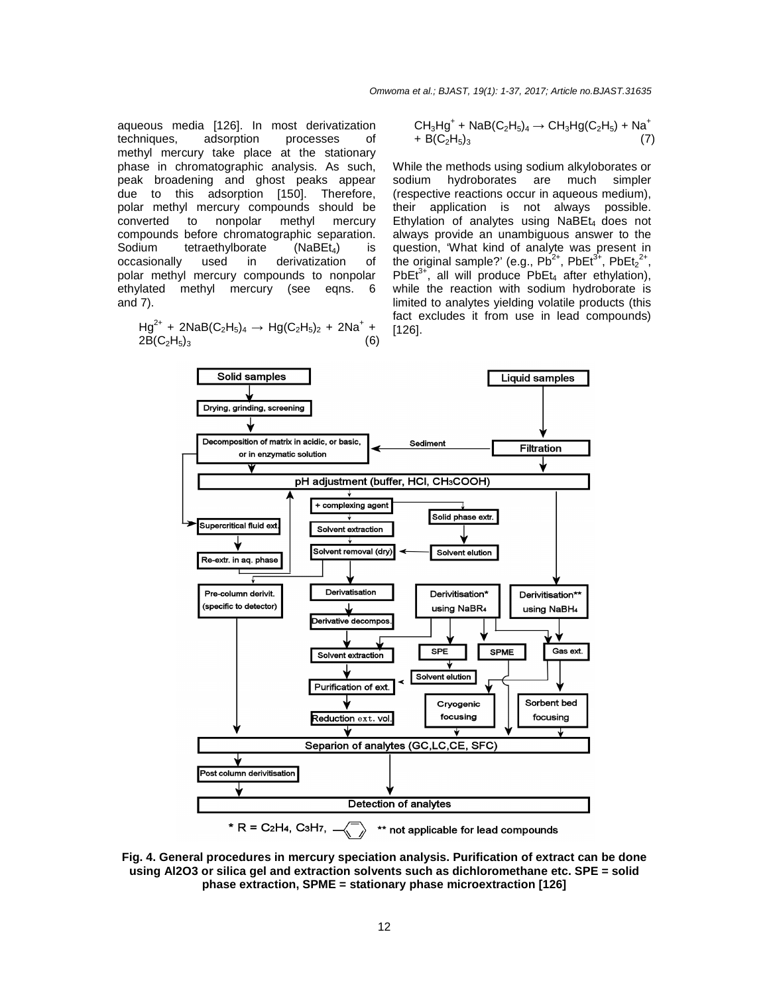aqueous media [126]. In most derivatization techniques, adsorption processes of methyl mercury take place at the stationary phase in chromatographic analysis. As such, peak broadening and ghost peaks appear due to this adsorption [150]. Therefore, polar methyl mercury compounds should be converted to nonpolar methyl mercury compounds before chromatographic separation. Sodium tetraethylborate (NaBEt<sub>4</sub>) is<br>occasionally used in derivatization of derivatization of polar methyl mercury compounds to nonpolar ethylated methyl mercury (see eqns. 6 and 7).

 $Hg^{2+}$  + 2NaB(C<sub>2</sub>H<sub>5</sub>)<sub>4</sub>  $\rightarrow$  Hg(C<sub>2</sub>H<sub>5</sub>)<sub>2</sub> + 2Na<sup>+</sup> +  $2B(C_2H_5)_3$ 

$$
CH_3Hg^+ + NaB(C_2H_5)_4 \to CH_3Hg(C_2H_5) + Na^+ + B(C_2H_5)_3
$$
\n(7)

While the methods using sodium alkyloborates or sodium hydroborates are much simpler (respective reactions occur in aqueous medium), their application is not always possible. Ethylation of analytes using  $N$ aBE $t_4$  does not always provide an unambiguous answer to the question, 'What kind of analyte was present in the original sample?' (e.g.,  $Pb^{2+}$ , PbEt $3^+$ , PbEt $2^+$ , PbEt<sup>3+</sup>, all will produce PbEt<sub>4</sub> after ethylation), while the reaction with sodium hydroborate is limited to analytes yielding volatile products (this fact excludes it from use in lead compounds) [126].



**Fig. 4. General procedures in mercury speciation analysis. Purification of extract can be done using Al2O3 or silica gel and extraction solvents such as dichloromethane etc. SPE = solid phase extraction, SPME = stationary phase microextraction [126]**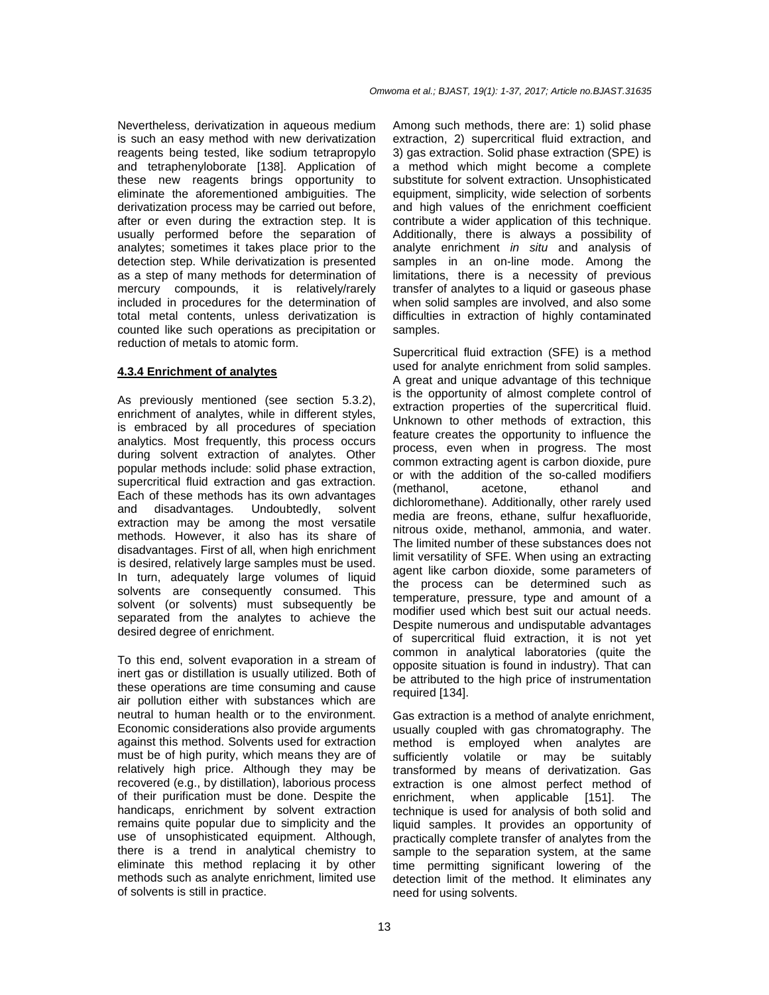Nevertheless, derivatization in aqueous medium is such an easy method with new derivatization reagents being tested, like sodium tetrapropylo and tetraphenyloborate [138]. Application of these new reagents brings opportunity to eliminate the aforementioned ambiguities. The derivatization process may be carried out before, after or even during the extraction step. It is usually performed before the separation of analytes; sometimes it takes place prior to the detection step. While derivatization is presented as a step of many methods for determination of mercury compounds, it is relatively/rarely included in procedures for the determination of total metal contents, unless derivatization is counted like such operations as precipitation or reduction of metals to atomic form.

#### **4.3.4 Enrichment of analytes**

As previously mentioned (see section 5.3.2), enrichment of analytes, while in different styles, is embraced by all procedures of speciation analytics. Most frequently, this process occurs during solvent extraction of analytes. Other popular methods include: solid phase extraction, supercritical fluid extraction and gas extraction. Each of these methods has its own advantages and disadvantages. Undoubtedly, solvent extraction may be among the most versatile methods. However, it also has its share of disadvantages. First of all, when high enrichment is desired, relatively large samples must be used. In turn, adequately large volumes of liquid solvents are consequently consumed. This solvent (or solvents) must subsequently be separated from the analytes to achieve the desired degree of enrichment.

To this end, solvent evaporation in a stream of inert gas or distillation is usually utilized. Both of these operations are time consuming and cause air pollution either with substances which are neutral to human health or to the environment. Economic considerations also provide arguments against this method. Solvents used for extraction must be of high purity, which means they are of relatively high price. Although they may be recovered (e.g., by distillation), laborious process of their purification must be done. Despite the handicaps, enrichment by solvent extraction remains quite popular due to simplicity and the use of unsophisticated equipment. Although, there is a trend in analytical chemistry to eliminate this method replacing it by other methods such as analyte enrichment, limited use of solvents is still in practice.

Among such methods, there are: 1) solid phase extraction, 2) supercritical fluid extraction, and 3) gas extraction. Solid phase extraction (SPE) is a method which might become a complete substitute for solvent extraction. Unsophisticated equipment, simplicity, wide selection of sorbents and high values of the enrichment coefficient contribute a wider application of this technique. Additionally, there is always a possibility of analyte enrichment in situ and analysis of samples in an on-line mode. Among the limitations, there is a necessity of previous transfer of analytes to a liquid or gaseous phase when solid samples are involved, and also some difficulties in extraction of highly contaminated samples.

Supercritical fluid extraction (SFE) is a method used for analyte enrichment from solid samples. A great and unique advantage of this technique is the opportunity of almost complete control of extraction properties of the supercritical fluid. Unknown to other methods of extraction, this feature creates the opportunity to influence the process, even when in progress. The most common extracting agent is carbon dioxide, pure or with the addition of the so-called modifiers (methanol, acetone, ethanol and dichloromethane). Additionally, other rarely used media are freons, ethane, sulfur hexafluoride, nitrous oxide, methanol, ammonia, and water. The limited number of these substances does not limit versatility of SFE. When using an extracting agent like carbon dioxide, some parameters of the process can be determined such as temperature, pressure, type and amount of a modifier used which best suit our actual needs. Despite numerous and undisputable advantages of supercritical fluid extraction, it is not yet common in analytical laboratories (quite the opposite situation is found in industry). That can be attributed to the high price of instrumentation required [134].

Gas extraction is a method of analyte enrichment, usually coupled with gas chromatography. The method is employed when analytes are sufficiently volatile or may be suitably transformed by means of derivatization. Gas extraction is one almost perfect method of enrichment, when applicable [151]. The technique is used for analysis of both solid and liquid samples. It provides an opportunity of practically complete transfer of analytes from the sample to the separation system, at the same time permitting significant lowering of the detection limit of the method. It eliminates any need for using solvents.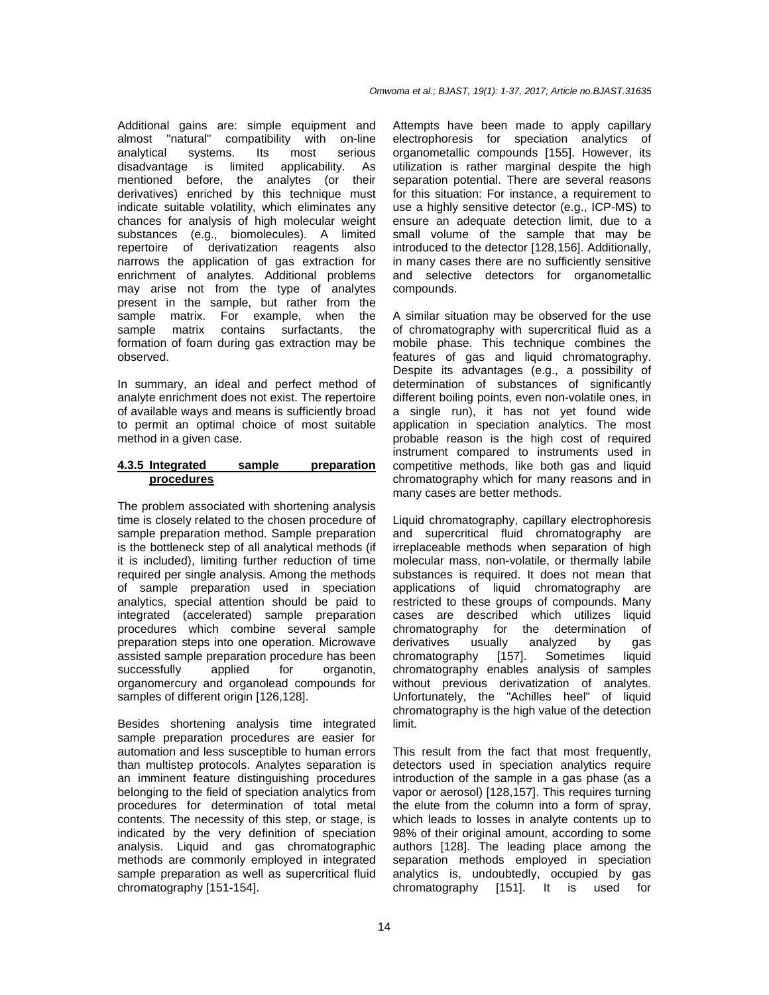Additional gains are: simple equipment and almost "natural" compatibility with on-line analytical systems. Its most serious disadvantage is limited applicability. As mentioned before, the analytes (or their derivatives) enriched by this technique must indicate suitable volatility, which eliminates any chances for analysis of high molecular weight substances (e.g., biomolecules). A limited repertoire of derivatization reagents also narrows the application of gas extraction for enrichment of analytes. Additional problems may arise not from the type of analytes present in the sample, but rather from the sample matrix. For example, when the sample matrix contains surfactants, the formation of foam during gas extraction may be observed.

In summary, an ideal and perfect method of analyte enrichment does not exist. The repertoire of available ways and means is sufficiently broad to permit an optimal choice of most suitable method in a given case.

#### **4.3.5 Integrated sample preparation procedures**

The problem associated with shortening analysis time is closely related to the chosen procedure of sample preparation method. Sample preparation is the bottleneck step of all analytical methods (if it is included), limiting further reduction of time required per single analysis. Among the methods of sample preparation used in speciation analytics, special attention should be paid to integrated (accelerated) sample preparation procedures which combine several sample preparation steps into one operation. Microwave assisted sample preparation procedure has been successfully applied for organotin, organomercury and organolead compounds for samples of different origin [126,128].

Besides shortening analysis time integrated sample preparation procedures are easier for automation and less susceptible to human errors than multistep protocols. Analytes separation is an imminent feature distinguishing procedures belonging to the field of speciation analytics from procedures for determination of total metal contents. The necessity of this step, or stage, is indicated by the very definition of speciation analysis. Liquid and gas chromatographic methods are commonly employed in integrated sample preparation as well as supercritical fluid chromatography [151-154].

Attempts have been made to apply capillary electrophoresis for speciation analytics of organometallic compounds [155]. However, its utilization is rather marginal despite the high separation potential. There are several reasons for this situation: For instance, a requirement to use a highly sensitive detector (e.g., ICP-MS) to ensure an adequate detection limit, due to a small volume of the sample that may be introduced to the detector [128,156]. Additionally, in many cases there are no sufficiently sensitive and selective detectors for organometallic compounds.

A similar situation may be observed for the use of chromatography with supercritical fluid as a mobile phase. This technique combines the features of gas and liquid chromatography. Despite its advantages (e.g., a possibility of determination of substances of significantly different boiling points, even non-volatile ones, in a single run), it has not yet found wide application in speciation analytics. The most probable reason is the high cost of required instrument compared to instruments used in competitive methods, like both gas and liquid chromatography which for many reasons and in many cases are better methods.

Liquid chromatography, capillary electrophoresis and supercritical fluid chromatography are irreplaceable methods when separation of high molecular mass, non-volatile, or thermally labile substances is required. It does not mean that applications of liquid chromatography are restricted to these groups of compounds. Many cases are described which utilizes liquid chromatography for the determination of derivatives usually analyzed by gas chromatography [157]. Sometimes liquid chromatography enables analysis of samples without previous derivatization of analytes. Unfortunately, the "Achilles heel" of liquid chromatography is the high value of the detection limit.

This result from the fact that most frequently, detectors used in speciation analytics require introduction of the sample in a gas phase (as a vapor or aerosol) [128,157]. This requires turning the elute from the column into a form of spray, which leads to losses in analyte contents up to 98% of their original amount, according to some authors [128]. The leading place among the separation methods employed in speciation analytics is, undoubtedly, occupied by gas chromatography [151]. It is used for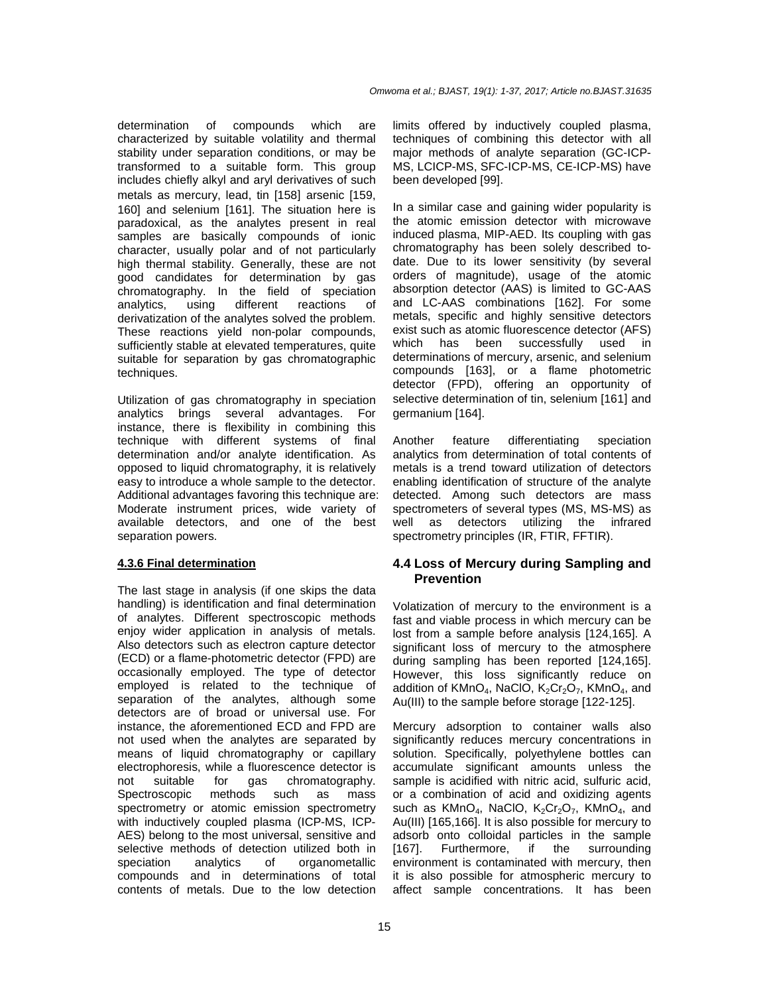determination of compounds which are characterized by suitable volatility and thermal stability under separation conditions, or may be transformed to a suitable form. This group includes chiefly alkyl and aryl derivatives of such metals as mercury, lead, tin [158] arsenic [159, 160] and selenium [161]. The situation here is paradoxical, as the analytes present in real samples are basically compounds of ionic character, usually polar and of not particularly high thermal stability. Generally, these are not good candidates for determination by gas chromatography. In the field of speciation analytics, using different reactions of derivatization of the analytes solved the problem. These reactions yield non-polar compounds, sufficiently stable at elevated temperatures, quite suitable for separation by gas chromatographic techniques.

Utilization of gas chromatography in speciation analytics brings several advantages. For instance, there is flexibility in combining this technique with different systems of final determination and/or analyte identification. As opposed to liquid chromatography, it is relatively easy to introduce a whole sample to the detector. Additional advantages favoring this technique are: Moderate instrument prices, wide variety of available detectors, and one of the best separation powers.

#### **4.3.6 Final determination**

The last stage in analysis (if one skips the data handling) is identification and final determination of analytes. Different spectroscopic methods enjoy wider application in analysis of metals. Also detectors such as electron capture detector (ECD) or a flame-photometric detector (FPD) are occasionally employed. The type of detector employed is related to the technique of separation of the analytes, although some detectors are of broad or universal use. For instance, the aforementioned ECD and FPD are not used when the analytes are separated by means of liquid chromatography or capillary electrophoresis, while a fluorescence detector is not suitable for gas chromatography. Spectroscopic methods such as mass spectrometry or atomic emission spectrometry with inductively coupled plasma (ICP-MS, ICP-AES) belong to the most universal, sensitive and selective methods of detection utilized both in speciation analytics of organometallic compounds and in determinations of total contents of metals. Due to the low detection

limits offered by inductively coupled plasma, techniques of combining this detector with all major methods of analyte separation (GC-ICP-MS, LCICP-MS, SFC-ICP-MS, CE-ICP-MS) have been developed [99].

In a similar case and gaining wider popularity is the atomic emission detector with microwave induced plasma, MIP-AED. Its coupling with gas chromatography has been solely described todate. Due to its lower sensitivity (by several orders of magnitude), usage of the atomic absorption detector (AAS) is limited to GC-AAS and LC-AAS combinations [162]. For some metals, specific and highly sensitive detectors exist such as atomic fluorescence detector (AFS) which has been successfully used in determinations of mercury, arsenic, and selenium compounds [163], or a flame photometric detector (FPD), offering an opportunity of selective determination of tin, selenium [161] and germanium [164].

Another feature differentiating speciation analytics from determination of total contents of metals is a trend toward utilization of detectors enabling identification of structure of the analyte detected. Among such detectors are mass spectrometers of several types (MS, MS-MS) as well as detectors utilizing the infrared spectrometry principles (IR, FTIR, FFTIR).

## **4.4 Loss of Mercury during Sampling and Prevention**

Volatization of mercury to the environment is a fast and viable process in which mercury can be lost from a sample before analysis [124,165]. A significant loss of mercury to the atmosphere during sampling has been reported [124,165]. However, this loss significantly reduce on addition of KMnO<sub>4</sub>, NaClO, K<sub>2</sub>Cr<sub>2</sub>O<sub>7</sub>, KMnO<sub>4</sub>, and Au(III) to the sample before storage [122-125].

Mercury adsorption to container walls also significantly reduces mercury concentrations in solution. Specifically, polyethylene bottles can accumulate significant amounts unless the sample is acidified with nitric acid, sulfuric acid, or a combination of acid and oxidizing agents such as  $K MnO<sub>4</sub>$ , NaClO,  $K<sub>2</sub>Cr<sub>2</sub>O<sub>7</sub>$ , KMnO<sub>4</sub>, and Au(III) [165,166]. It is also possible for mercury to adsorb onto colloidal particles in the sample [167]. Furthermore, if the surrounding environment is contaminated with mercury, then it is also possible for atmospheric mercury to affect sample concentrations. It has been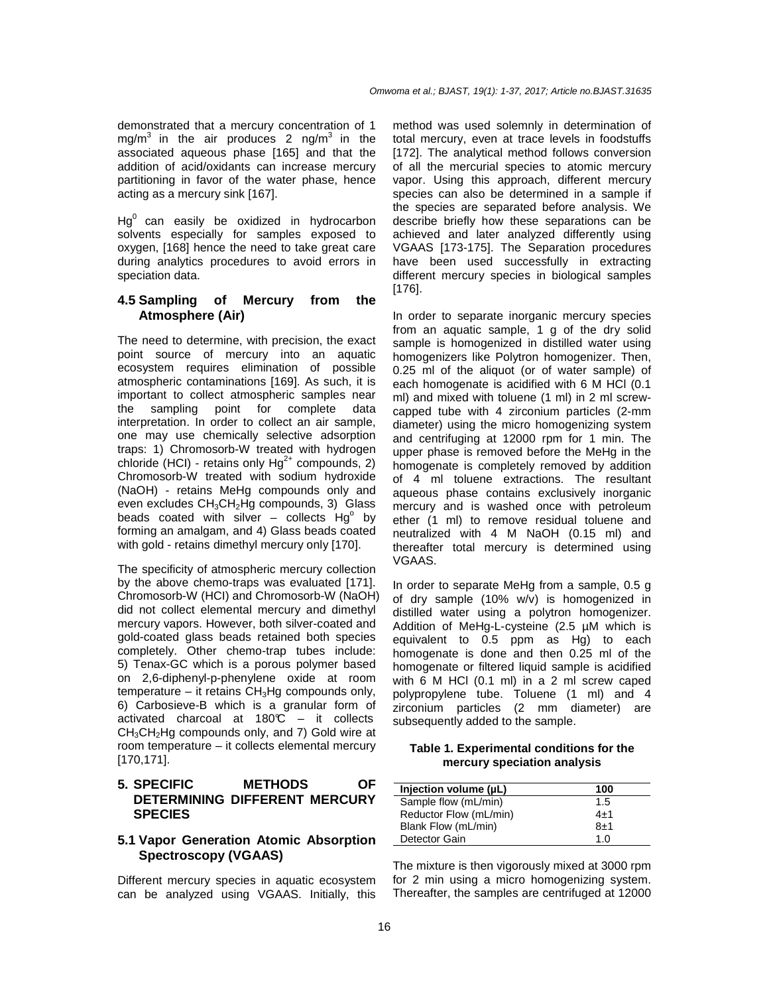demonstrated that a mercury concentration of 1 mg/m<sup>3</sup> in the air produces 2 ng/m<sup>3</sup> in the associated aqueous phase [165] and that the addition of acid/oxidants can increase mercury partitioning in favor of the water phase, hence acting as a mercury sink [167].

 $Hg^0$  can easily be oxidized in hydrocarbon solvents especially for samples exposed to oxygen, [168] hence the need to take great care during analytics procedures to avoid errors in speciation data.

## **4.5 Sampling of Mercury from the Atmosphere (Air)**

The need to determine, with precision, the exact point source of mercury into an aquatic ecosystem requires elimination of possible atmospheric contaminations [169]. As such, it is important to collect atmospheric samples near the sampling point for complete data interpretation. In order to collect an air sample, one may use chemically selective adsorption traps: 1) Chromosorb-W treated with hydrogen chloride (HCI) - retains only  $Hg^{2+}$  compounds, 2) Chromosorb-W treated with sodium hydroxide (NaOH) - retains MeHg compounds only and even excludes  $CH<sub>3</sub>CH<sub>2</sub>H<sub>g</sub>$  compounds, 3) Glass beads coated with silver  $-$  collects  $Hg^{\circ}$  by forming an amalgam, and 4) Glass beads coated with gold - retains dimethyl mercury only [170].

The specificity of atmospheric mercury collection by the above chemo-traps was evaluated [171]. Chromosorb-W (HCI) and Chromosorb-W (NaOH) did not collect elemental mercury and dimethyl mercury vapors. However, both silver-coated and gold-coated glass beads retained both species completely. Other chemo-trap tubes include: 5) Tenax-GC which is a porous polymer based on 2,6-diphenyl-p-phenylene oxide at room temperature – it retains  $CH<sub>3</sub>Hg$  compounds only, 6) Carbosieve-B which is a granular form of activated charcoal at  $180\degree\text{C}$  – it collects  $CH<sub>3</sub>CH<sub>2</sub>Hg$  compounds only, and 7) Gold wire at room temperature – it collects elemental mercury [170,171].

## **5. SPECIFIC METHODS OF DETERMINING DIFFERENT MERCURY SPECIES**

## **5.1 Vapor Generation Atomic Absorption Spectroscopy (VGAAS)**

Different mercury species in aquatic ecosystem can be analyzed using VGAAS. Initially, this method was used solemnly in determination of total mercury, even at trace levels in foodstuffs [172]. The analytical method follows conversion of all the mercurial species to atomic mercury vapor. Using this approach, different mercury species can also be determined in a sample if the species are separated before analysis. We describe briefly how these separations can be achieved and later analyzed differently using VGAAS [173-175]. The Separation procedures have been used successfully in extracting different mercury species in biological samples [176].

In order to separate inorganic mercury species from an aquatic sample, 1 g of the dry solid sample is homogenized in distilled water using homogenizers like Polytron homogenizer. Then, 0.25 ml of the aliquot (or of water sample) of each homogenate is acidified with 6 M HCl (0.1 ml) and mixed with toluene (1 ml) in 2 ml screwcapped tube with 4 zirconium particles (2-mm diameter) using the micro homogenizing system and centrifuging at 12000 rpm for 1 min. The upper phase is removed before the MeHg in the homogenate is completely removed by addition of 4 ml toluene extractions. The resultant aqueous phase contains exclusively inorganic mercury and is washed once with petroleum ether (1 ml) to remove residual toluene and neutralized with 4 M NaOH (0.15 ml) and thereafter total mercury is determined using VGAAS.

In order to separate MeHg from a sample, 0.5 g of dry sample (10% w/v) is homogenized in distilled water using a polytron homogenizer. Addition of MeHg-L-cysteine (2.5 µM which is equivalent to 0.5 ppm as Hg) to each homogenate is done and then 0.25 ml of the homogenate or filtered liquid sample is acidified with 6 M HCl (0.1 ml) in a 2 ml screw caped polypropylene tube. Toluene (1 ml) and 4 zirconium particles (2 mm diameter) are subsequently added to the sample.

**Table 1. Experimental conditions for the mercury speciation analysis** 

| Injection volume (µL)  | 100     |
|------------------------|---------|
| Sample flow (mL/min)   | 1.5     |
| Reductor Flow (mL/min) | $4 + 1$ |
| Blank Flow (mL/min)    | 8±1     |
| Detector Gain          | 1.0     |

The mixture is then vigorously mixed at 3000 rpm for 2 min using a micro homogenizing system. Thereafter, the samples are centrifuged at 12000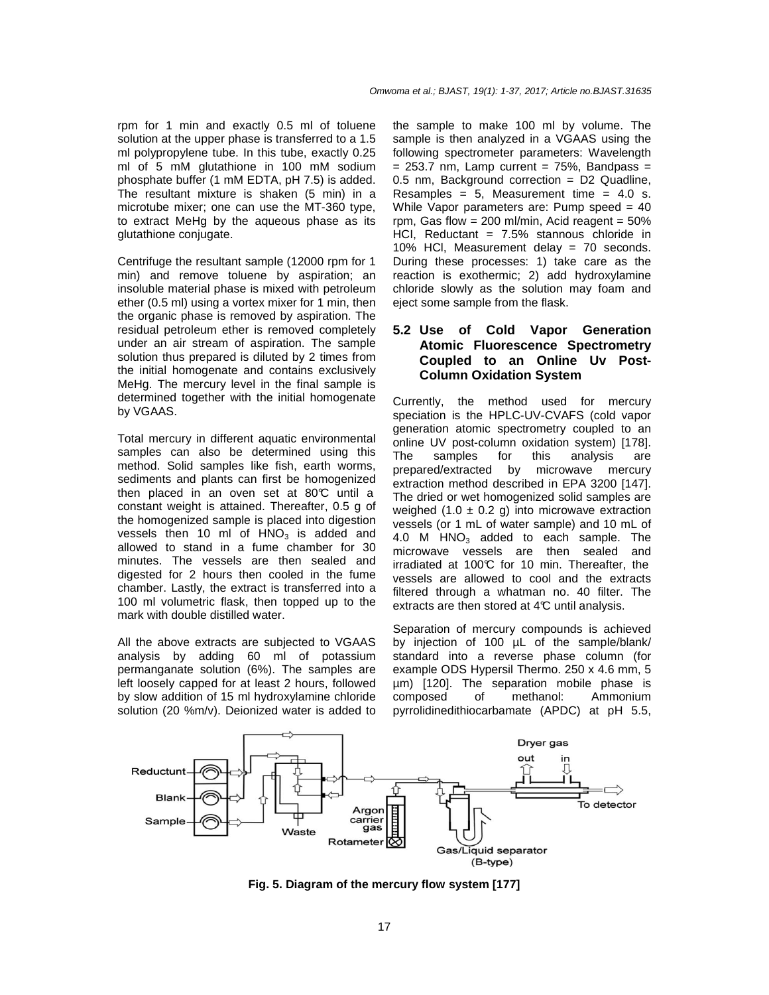rpm for 1 min and exactly 0.5 ml of toluene solution at the upper phase is transferred to a 1.5 ml polypropylene tube. In this tube, exactly 0.25 ml of 5 mM glutathione in 100 mM sodium phosphate buffer (1 mM EDTA, pH 7.5) is added. The resultant mixture is shaken (5 min) in a microtube mixer; one can use the MT-360 type, to extract MeHg by the aqueous phase as its glutathione conjugate.

Centrifuge the resultant sample (12000 rpm for 1 min) and remove toluene by aspiration; an insoluble material phase is mixed with petroleum ether (0.5 ml) using a vortex mixer for 1 min, then the organic phase is removed by aspiration. The residual petroleum ether is removed completely under an air stream of aspiration. The sample solution thus prepared is diluted by 2 times from the initial homogenate and contains exclusively MeHg. The mercury level in the final sample is determined together with the initial homogenate by VGAAS.

Total mercury in different aquatic environmental samples can also be determined using this method. Solid samples like fish, earth worms, sediments and plants can first be homogenized then placed in an oven set at  $80^{\circ}$  until a constant weight is attained. Thereafter, 0.5 g of the homogenized sample is placed into digestion vessels then 10 ml of  $HNO<sub>3</sub>$  is added and allowed to stand in a fume chamber for 30 minutes. The vessels are then sealed and digested for 2 hours then cooled in the fume chamber. Lastly, the extract is transferred into a 100 ml volumetric flask, then topped up to the mark with double distilled water.

All the above extracts are subjected to VGAAS analysis by adding 60 ml of potassium permanganate solution (6%). The samples are left loosely capped for at least 2 hours, followed by slow addition of 15 ml hydroxylamine chloride solution (20 %m/v). Deionized water is added to the sample to make 100 ml by volume. The sample is then analyzed in a VGAAS using the following spectrometer parameters: Wavelength  $= 253.7$  nm, Lamp current  $= 75\%$ , Bandpass  $=$ 0.5 nm, Background correction = D2 Quadline, Resamples =  $5$ , Measurement time =  $4.0$  s. While Vapor parameters are: Pump speed = 40 rpm, Gas flow =  $200$  ml/min, Acid reagent =  $50\%$ HCI, Reductant =  $7.5%$  stannous chloride in 10% HCl, Measurement delay = 70 seconds. During these processes: 1) take care as the reaction is exothermic; 2) add hydroxylamine chloride slowly as the solution may foam and eject some sample from the flask.

## **5.2 Use of Cold Vapor Generation Atomic Fluorescence Spectrometry Coupled to an Online Uv Post-Column Oxidation System**

Currently, the method used for mercury speciation is the HPLC-UV-CVAFS (cold vapor generation atomic spectrometry coupled to an online UV post-column oxidation system) [178]. The samples for this analysis are prepared/extracted by microwave mercury extraction method described in EPA 3200 [147]. The dried or wet homogenized solid samples are weighed  $(1.0 \pm 0.2 \text{ g})$  into microwave extraction vessels (or 1 mL of water sample) and 10 mL of 4.0 M  $HNO<sub>3</sub>$  added to each sample. The microwave vessels are then sealed and irradiated at  $100^\circ$  for 10 min. Thereafter, the vessels are allowed to cool and the extracts filtered through a whatman no. 40 filter. The extracts are then stored at  $4\mathbb{C}$  until analysis.

Separation of mercury compounds is achieved by injection of 100 µL of the sample/blank/ standard into a reverse phase column (for example ODS Hypersil Thermo. 250 x 4.6 mm, 5 µm) [120]. The separation mobile phase is composed of methanol: Ammonium pyrrolidinedithiocarbamate (APDC) at pH 5.5,



**Fig. 5. Diagram of the mercury flow system [177]**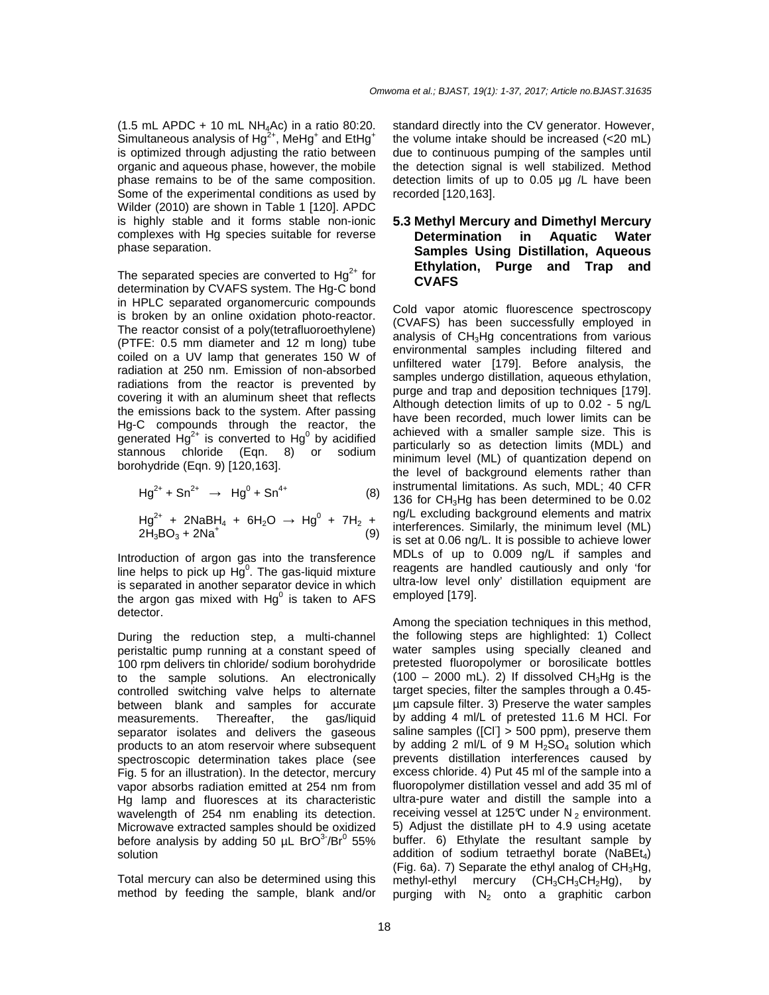Omwoma et al.; BJAST, 19(1): 1-37, 2017; Article no.BJAST.31635

 $(1.5 \text{ mL } APDC + 10 \text{ mL } NH<sub>4</sub>AC)$  in a ratio 80:20. Simultaneous analysis of Hg<sup>2+</sup>, MeHg<sup>+</sup> and EtHg<sup>+</sup> is optimized through adjusting the ratio between organic and aqueous phase, however, the mobile phase remains to be of the same composition. Some of the experimental conditions as used by Wilder (2010) are shown in Table 1 [120]. APDC is highly stable and it forms stable non-ionic complexes with Hg species suitable for reverse phase separation.

The separated species are converted to  $Hq^{2+}$  for determination by CVAFS system. The Hg-C bond in HPLC separated organomercuric compounds is broken by an online oxidation photo-reactor. The reactor consist of a poly(tetrafluoroethylene) (PTFE: 0.5 mm diameter and 12 m long) tube coiled on a UV lamp that generates 150 W of radiation at 250 nm. Emission of non-absorbed radiations from the reactor is prevented by covering it with an aluminum sheet that reflects the emissions back to the system. After passing Hg-C compounds through the reactor, the generated  $Hg^{2+}$  is converted to  $Hg^0$  by acidified stannous chloride (Eqn. 8) or sodium borohydride (Eqn. 9) [120,163].

$$
Hg^{2+} + Sn^{2+} \to Hg^0 + Sn^{4+} \tag{8}
$$

 $Hg^{2+}$  + 2NaBH<sub>4</sub> + 6H<sub>2</sub>O  $\rightarrow$  Hg<sup>0</sup> + 7H<sub>2</sub> +  $2H_3BO_3 + 2Na^+$ (9)

Introduction of argon gas into the transference line helps to pick up  $H\breve{g}^0$ . The gas-liquid mixture is separated in another separator device in which the argon gas mixed with  $Hg^0$  is taken to AFS detector.

During the reduction step, a multi-channel peristaltic pump running at a constant speed of 100 rpm delivers tin chloride/ sodium borohydride to the sample solutions. An electronically controlled switching valve helps to alternate between blank and samples for accurate measurements. Thereafter, the gas/liquid separator isolates and delivers the gaseous products to an atom reservoir where subsequent spectroscopic determination takes place (see Fig. 5 for an illustration). In the detector, mercury vapor absorbs radiation emitted at 254 nm from Hg lamp and fluoresces at its characteristic wavelength of 254 nm enabling its detection. Microwave extracted samples should be oxidized before analysis by adding 50  $\mu$ L BrO<sup>3-</sup>/Br<sup>0</sup> 55% solution

Total mercury can also be determined using this method by feeding the sample, blank and/or standard directly into the CV generator. However, the volume intake should be increased (<20 mL) due to continuous pumping of the samples until the detection signal is well stabilized. Method detection limits of up to 0.05 µg /L have been recorded [120,163].

## **5.3 Methyl Mercury and Dimethyl Mercury Determination in Aquatic Water Samples Using Distillation, Aqueous Ethylation, Purge and Trap and CVAFS**

Cold vapor atomic fluorescence spectroscopy (CVAFS) has been successfully employed in analysis of CH3Hg concentrations from various environmental samples including filtered and unfiltered water [179]. Before analysis, the samples undergo distillation, aqueous ethylation, purge and trap and deposition techniques [179]. Although detection limits of up to 0.02 - 5 ng/L have been recorded, much lower limits can be achieved with a smaller sample size. This is particularly so as detection limits (MDL) and minimum level (ML) of quantization depend on the level of background elements rather than instrumental limitations. As such, MDL; 40 CFR 136 for  $CH<sub>3</sub>Hq$  has been determined to be 0.02 ng/L excluding background elements and matrix interferences. Similarly, the minimum level (ML) is set at 0.06 ng/L. It is possible to achieve lower MDLs of up to 0.009 ng/L if samples and reagents are handled cautiously and only 'for ultra-low level only' distillation equipment are employed [179].

Among the speciation techniques in this method, the following steps are highlighted: 1) Collect water samples using specially cleaned and pretested fluoropolymer or borosilicate bottles  $(100 - 2000 \text{ mL})$ . 2) If dissolved CH<sub>3</sub>Hg is the target species, filter the samples through a 0.45 µm capsule filter. 3) Preserve the water samples by adding 4 ml/L of pretested 11.6 M HCl. For saline samples ([Cl] > 500 ppm), preserve them by adding 2 ml/L of 9 M  $H_2SO_4$  solution which prevents distillation interferences caused by excess chloride. 4) Put 45 ml of the sample into a fluoropolymer distillation vessel and add 35 ml of ultra-pure water and distill the sample into a receiving vessel at 125 $\mathbb C$  under N<sub>2</sub> environment. 5) Adjust the distillate pH to 4.9 using acetate buffer. 6) Ethylate the resultant sample by addition of sodium tetraethyl borate (NaBE $t_4$ ) (Fig. 6a). 7) Separate the ethyl analog of  $CH<sub>3</sub>Hg$ , methyl-ethyl mercury  $(CH_3CH_3CH_2Hg)$ , by purging with  $N_2$  onto a graphitic carbon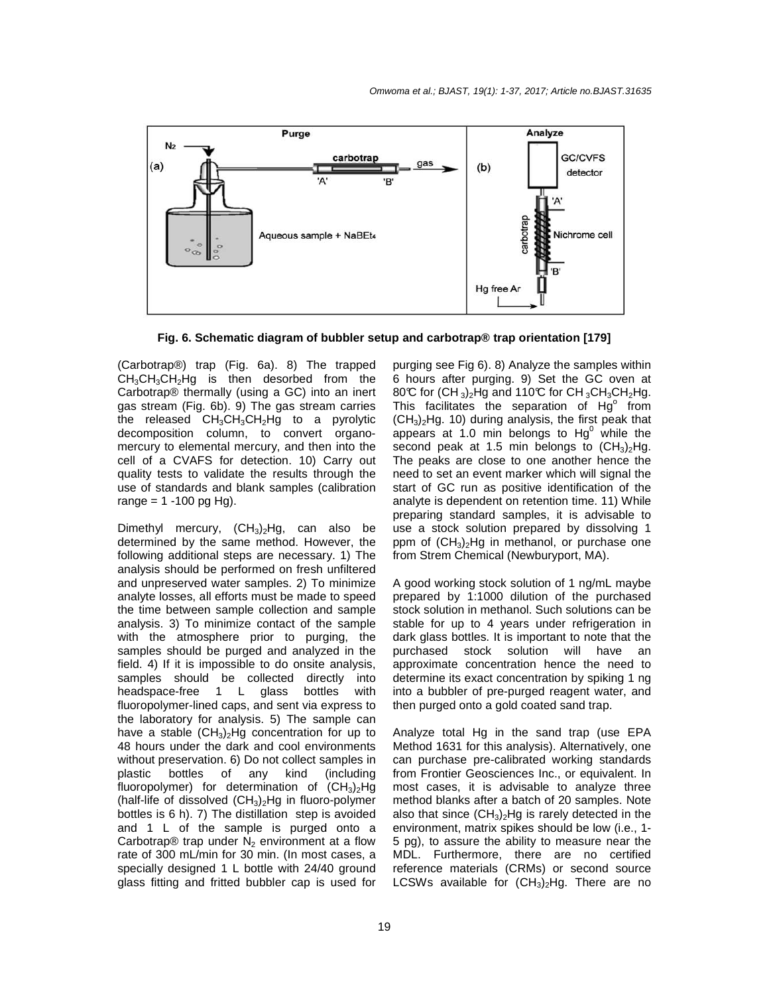

**Fig. 6. Schematic diagram of bubbler setup and carbotrap® trap orientation [179]** 

(Carbotrap®) trap (Fig. 6a). 8) The trapped  $CH<sub>3</sub>CH<sub>3</sub>CH<sub>2</sub>H<sub>9</sub>$  is then desorbed from the Carbotrap® thermally (using a GC) into an inert gas stream (Fig. 6b). 9) The gas stream carries the released  $CH_3CH_3CH_2Hg$  to a pyrolytic decomposition column, to convert organomercury to elemental mercury, and then into the cell of a CVAFS for detection. 10) Carry out quality tests to validate the results through the use of standards and blank samples (calibration range =  $1 - 100$  pg Hg).

Dimethyl mercury,  $(CH_3)_2Hg$ , can also be determined by the same method. However, the following additional steps are necessary. 1) The analysis should be performed on fresh unfiltered and unpreserved water samples. 2) To minimize analyte losses, all efforts must be made to speed the time between sample collection and sample analysis. 3) To minimize contact of the sample with the atmosphere prior to purging, the samples should be purged and analyzed in the field. 4) If it is impossible to do onsite analysis, samples should be collected directly into headspace-free 1 L glass bottles with fluoropolymer-lined caps, and sent via express to the laboratory for analysis. 5) The sample can have a stable  $(CH_3)_{2}Hg$  concentration for up to 48 hours under the dark and cool environments without preservation. 6) Do not collect samples in plastic bottles of any kind (including fluoropolymer) for determination of  $(CH_3)_2Hg$ (half-life of dissolved  $(CH_3)_2Hg$  in fluoro-polymer bottles is 6 h). 7) The distillation step is avoided and 1 L of the sample is purged onto a Carbotrap® trap under  $N_2$  environment at a flow rate of 300 mL/min for 30 min. (In most cases, a specially designed 1 L bottle with 24/40 ground glass fitting and fritted bubbler cap is used for

purging see Fig 6). 8) Analyze the samples within 6 hours after purging. 9) Set the GC oven at 80°C for  $(CH_3)_2$ Hg and 110°C for CH<sub>3</sub>CH<sub>3</sub>CH<sub>2</sub>Hg. This facilitates the separation of  $Hg^{\circ}$  from  $(CH<sub>3</sub>)<sub>2</sub>Hg.$  10) during analysis, the first peak that appears at 1.0 min belongs to  $Hg^0$  while the second peak at 1.5 min belongs to  $(CH_3)_2Hg$ . The peaks are close to one another hence the need to set an event marker which will signal the start of GC run as positive identification of the analyte is dependent on retention time. 11) While preparing standard samples, it is advisable to use a stock solution prepared by dissolving 1 ppm of  $(CH_3)_2$ Hg in methanol, or purchase one from Strem Chemical (Newburyport, MA).

A good working stock solution of 1 ng/mL maybe prepared by 1:1000 dilution of the purchased stock solution in methanol. Such solutions can be stable for up to 4 years under refrigeration in dark glass bottles. It is important to note that the purchased stock solution will have an approximate concentration hence the need to determine its exact concentration by spiking 1 ng into a bubbler of pre-purged reagent water, and then purged onto a gold coated sand trap.

Analyze total Hg in the sand trap (use EPA Method 1631 for this analysis). Alternatively, one can purchase pre-calibrated working standards from Frontier Geosciences Inc., or equivalent. In most cases, it is advisable to analyze three method blanks after a batch of 20 samples. Note also that since  $(CH_3)_2Hg$  is rarely detected in the environment, matrix spikes should be low (i.e., 1- 5 pg), to assure the ability to measure near the MDL. Furthermore, there are no certified reference materials (CRMs) or second source LCSWs available for  $(CH_3)_2Hg$ . There are no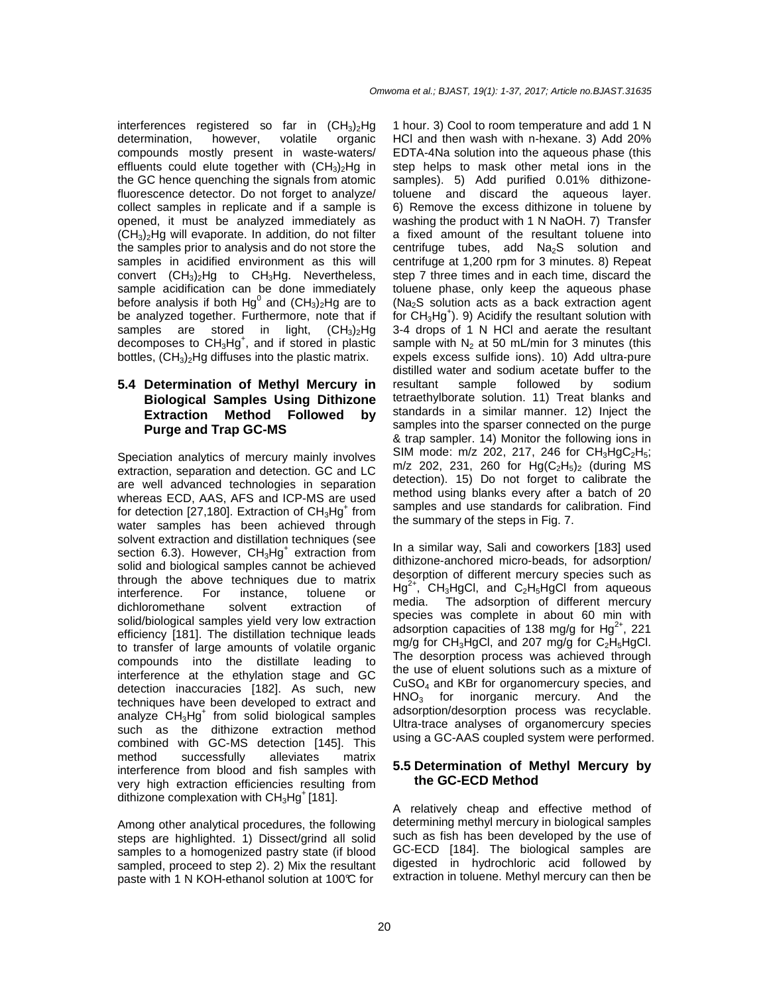interferences registered so far in  $(CH_3)_2Hg$ <br>determination, however, volatile organic determination, compounds mostly present in waste-waters/ effluents could elute together with  $(CH<sub>3</sub>)<sub>2</sub>Hg$  in the GC hence quenching the signals from atomic fluorescence detector. Do not forget to analyze/ collect samples in replicate and if a sample is opened, it must be analyzed immediately as  $(CH<sub>3</sub>)<sub>2</sub>Hg$  will evaporate. In addition, do not filter the samples prior to analysis and do not store the samples in acidified environment as this will convert  $(CH_3)_2$ Hg to CH $_3$ Hg. Nevertheless, sample acidification can be done immediately before analysis if both  $Hg^0$  and (CH<sub>3</sub>)<sub>2</sub>Hg are to be analyzed together. Furthermore, note that if samples are stored in light,  $(CH_3)_2Hg$ decomposes to CH<sub>3</sub>Hg<sup>+</sup>, and if stored in plastic bottles,  $(CH_3)_2$ Hg diffuses into the plastic matrix.

## **5.4 Determination of Methyl Mercury in Biological Samples Using Dithizone Extraction Method Followed by Purge and Trap GC-MS**

Speciation analytics of mercury mainly involves extraction, separation and detection. GC and LC are well advanced technologies in separation whereas ECD, AAS, AFS and ICP-MS are used for detection [27,180]. Extraction of  $CH<sub>3</sub>Hg<sup>+</sup>$  from water samples has been achieved through solvent extraction and distillation techniques (see section 6.3). However, CH<sub>3</sub>Hg<sup>+</sup> extraction from solid and biological samples cannot be achieved through the above techniques due to matrix interference. For instance, toluene or dichloromethane solvent extraction of solid/biological samples yield very low extraction efficiency [181]. The distillation technique leads to transfer of large amounts of volatile organic compounds into the distillate leading to interference at the ethylation stage and GC detection inaccuracies [182]. As such, new techniques have been developed to extract and analyze  $CH<sub>3</sub>Hg<sup>+</sup>$  from solid biological samples such as the dithizone extraction method combined with GC-MS detection [145]. This method successfully alleviates matrix interference from blood and fish samples with very high extraction efficiencies resulting from dithizone complexation with  $CH<sub>3</sub>Hg<sup>+</sup>$  [181].

Among other analytical procedures, the following steps are highlighted. 1) Dissect/grind all solid samples to a homogenized pastry state (if blood sampled, proceed to step 2). 2) Mix the resultant paste with 1 N KOH-ethanol solution at 100°C for

1 hour. 3) Cool to room temperature and add 1 N HCl and then wash with n-hexane. 3) Add 20% EDTA-4Na solution into the aqueous phase (this step helps to mask other metal ions in the samples). 5) Add purified 0.01% dithizonetoluene and discard the aqueous layer. 6) Remove the excess dithizone in toluene by washing the product with 1 N NaOH. 7) Transfer a fixed amount of the resultant toluene into centrifuge tubes, add  $Na<sub>2</sub>S$  solution and centrifuge at 1,200 rpm for 3 minutes. 8) Repeat step 7 three times and in each time, discard the toluene phase, only keep the aqueous phase (Na2S solution acts as a back extraction agent for  $CH<sub>3</sub>Hg<sup>+</sup>$ ). 9) Acidify the resultant solution with 3-4 drops of 1 N HCl and aerate the resultant sample with  $N_2$  at 50 mL/min for 3 minutes (this expels excess sulfide ions). 10) Add ultra-pure distilled water and sodium acetate buffer to the resultant sample followed by sodium tetraethylborate solution. 11) Treat blanks and standards in a similar manner. 12) Inject the samples into the sparser connected on the purge & trap sampler. 14) Monitor the following ions in SIM mode:  $m/z$  202, 217, 246 for  $CH_3HgC_2H_5$ ; m/z 202, 231, 260 for  $Hg(C_2H_5)_2$  (during MS detection). 15) Do not forget to calibrate the method using blanks every after a batch of 20 samples and use standards for calibration. Find the summary of the steps in Fig. 7.

In a similar way, Sali and coworkers [183] used dithizone-anchored micro-beads, for adsorption/ desorption of different mercury species such as  $Hg^{2+}$ , CH<sub>3</sub>HgCl, and C<sub>2</sub>H<sub>5</sub>HgCl from aqueous media. The adsorption of different mercury species was complete in about 60 min with adsorption capacities of 138 mg/g for  $Hg^{2+}$ , 221 mg/g for CH<sub>3</sub>HgCl, and 207 mg/g for C<sub>2</sub>H<sub>5</sub>HgCl. The desorption process was achieved through the use of eluent solutions such as a mixture of  $CuSO<sub>4</sub>$  and KBr for organomercury species, and HNO<sub>3</sub> for inorganic mercury. And the inorganic mercury. adsorption/desorption process was recyclable. Ultra-trace analyses of organomercury species using a GC-AAS coupled system were performed.

#### **5.5 Determination of Methyl Mercury by the GC-ECD Method**

A relatively cheap and effective method of determining methyl mercury in biological samples such as fish has been developed by the use of GC-ECD [184]. The biological samples are digested in hydrochloric acid followed by extraction in toluene. Methyl mercury can then be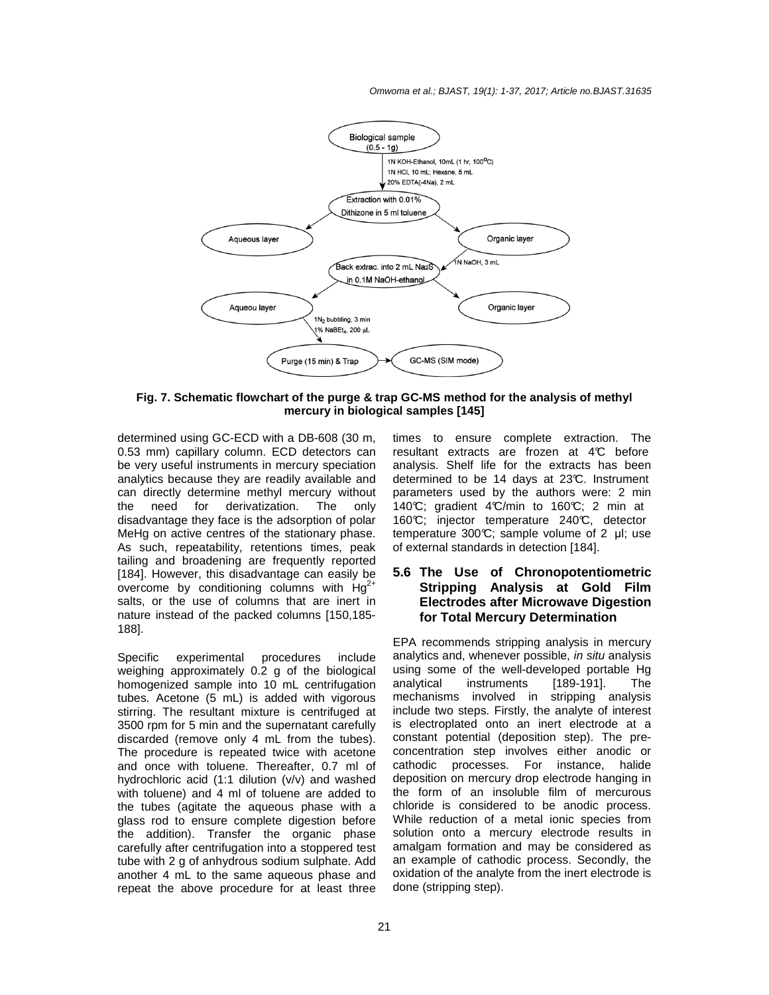#### Omwoma et al.; BJAST, 19(1): 1-37, 2017; Article no.BJAST.31635



**Fig. 7. Schematic flowchart of the purge & trap GC-MS method for the analysis of methyl mercury in biological samples [145]** 

determined using GC-ECD with a DB-608 (30 m, 0.53 mm) capillary column. ECD detectors can be very useful instruments in mercury speciation analytics because they are readily available and can directly determine methyl mercury without the need for derivatization. The only disadvantage they face is the adsorption of polar MeHg on active centres of the stationary phase. As such, repeatability, retentions times, peak tailing and broadening are frequently reported [184]. However, this disadvantage can easily be overcome by conditioning columns with  $Hg^{2+}$ salts, or the use of columns that are inert in nature instead of the packed columns [150,185- 188].

Specific experimental procedures include weighing approximately 0.2 g of the biological homogenized sample into 10 mL centrifugation tubes. Acetone (5 mL) is added with vigorous stirring. The resultant mixture is centrifuged at 3500 rpm for 5 min and the supernatant carefully discarded (remove only 4 mL from the tubes). The procedure is repeated twice with acetone and once with toluene. Thereafter, 0.7 ml of hydrochloric acid (1:1 dilution (v/v) and washed with toluene) and 4 ml of toluene are added to the tubes (agitate the aqueous phase with a glass rod to ensure complete digestion before the addition). Transfer the organic phase carefully after centrifugation into a stoppered test tube with 2 g of anhydrous sodium sulphate. Add another 4 mL to the same aqueous phase and repeat the above procedure for at least three

times to ensure complete extraction. The resultant extracts are frozen at 4°C before analysis. Shelf life for the extracts has been determined to be 14 days at 23°C. Instrument parameters used by the authors were: 2 min 140°C; gradient 4°C/min to 160°C; 2 min at 160°C; injector temperature 240°C, detector temperature 300 $\mathbb{C}$ ; sample volume of 2  $\mu$ l; use of external standards in detection [184].

## **5.6 The Use of Chronopotentiometric Stripping Analysis at Gold Film Electrodes after Microwave Digestion for Total Mercury Determination**

EPA recommends stripping analysis in mercury analytics and, whenever possible, in situ analysis using some of the well-developed portable Hg analytical instruments [189-191]. The mechanisms involved in stripping analysis include two steps. Firstly, the analyte of interest is electroplated onto an inert electrode at a constant potential (deposition step). The preconcentration step involves either anodic or cathodic processes. For instance, halide deposition on mercury drop electrode hanging in the form of an insoluble film of mercurous chloride is considered to be anodic process. While reduction of a metal ionic species from solution onto a mercury electrode results in amalgam formation and may be considered as an example of cathodic process. Secondly, the oxidation of the analyte from the inert electrode is done (stripping step).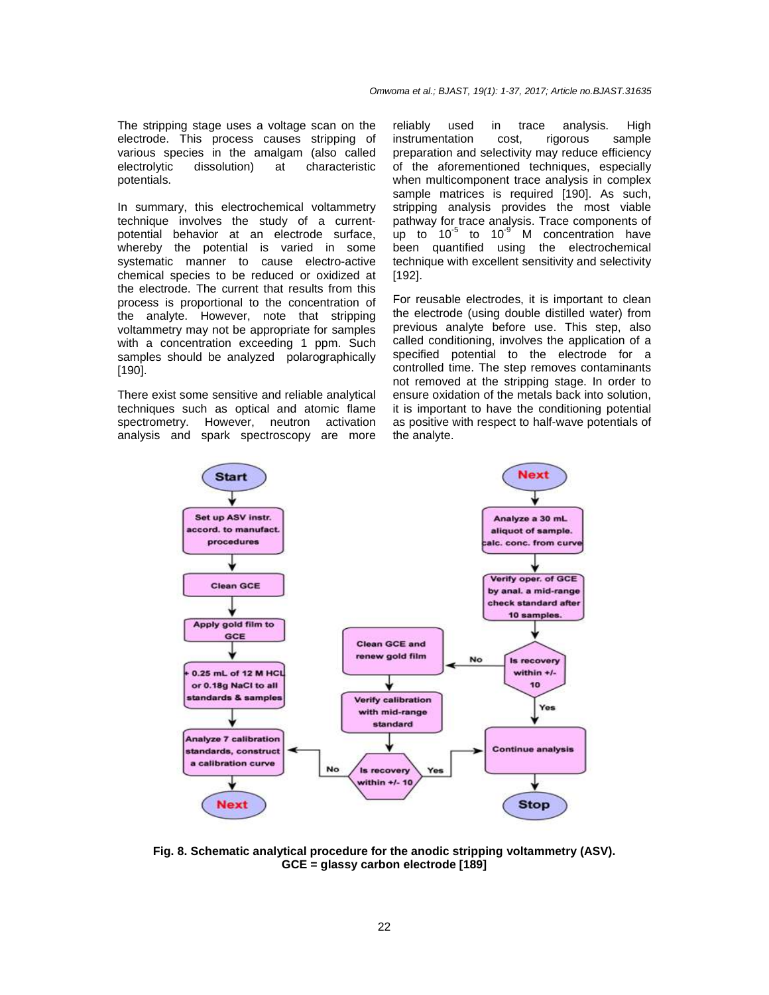The stripping stage uses a voltage scan on the electrode. This process causes stripping of various species in the amalgam (also called electrolytic dissolution) at characteristic potentials.

In summary, this electrochemical voltammetry technique involves the study of a currentpotential behavior at an electrode surface, whereby the potential is varied in some systematic manner to cause electro-active chemical species to be reduced or oxidized at the electrode. The current that results from this process is proportional to the concentration of the analyte. However, note that stripping voltammetry may not be appropriate for samples with a concentration exceeding 1 ppm. Such samples should be analyzed polarographically [190].

There exist some sensitive and reliable analytical techniques such as optical and atomic flame spectrometry. However, neutron activation analysis and spark spectroscopy are more reliably used in trace analysis. High instrumentation cost, rigorous sample preparation and selectivity may reduce efficiency of the aforementioned techniques, especially when multicomponent trace analysis in complex sample matrices is required [190]. As such, stripping analysis provides the most viable pathway for trace analysis. Trace components of up to  $10^{-5}$  to  $10^{-9}$  M concentration have been quantified using the electrochemical technique with excellent sensitivity and selectivity [192].

For reusable electrodes, it is important to clean the electrode (using double distilled water) from previous analyte before use. This step, also called conditioning, involves the application of a specified potential to the electrode for a controlled time. The step removes contaminants not removed at the stripping stage. In order to ensure oxidation of the metals back into solution, it is important to have the conditioning potential as positive with respect to half-wave potentials of the analyte.



**Fig. 8. Schematic analytical procedure for the anodic stripping voltammetry (ASV). GCE = glassy carbon electrode [189]**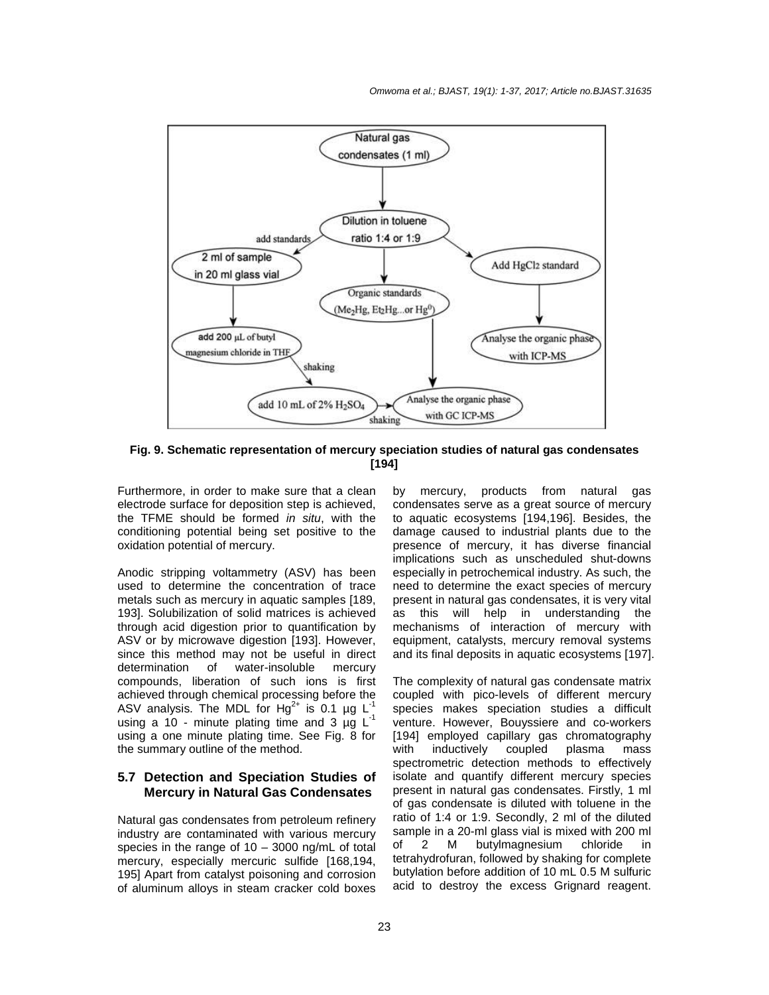

**Fig. 9. Schematic representation of mercury speciation studies of natural gas condensates [194]** 

Furthermore, in order to make sure that a clean electrode surface for deposition step is achieved, the TFME should be formed in situ, with the conditioning potential being set positive to the oxidation potential of mercury.

Anodic stripping voltammetry (ASV) has been used to determine the concentration of trace metals such as mercury in aquatic samples [189, 193]. Solubilization of solid matrices is achieved through acid digestion prior to quantification by ASV or by microwave digestion [193]. However, since this method may not be useful in direct determination of water-insoluble mercury compounds, liberation of such ions is first achieved through chemical processing before the ASV analysis. The MDL for  $Hg^{2+}$  is 0.1 µg L using a 10 - minute plating time and 3  $\mu\text{g}$  L<sup>-1</sup> using a one minute plating time. See Fig. 8 for the summary outline of the method.

#### **5.7 Detection and Speciation Studies of Mercury in Natural Gas Condensates**

Natural gas condensates from petroleum refinery industry are contaminated with various mercury species in the range of 10 – 3000 ng/mL of total mercury, especially mercuric sulfide [168,194, 195] Apart from catalyst poisoning and corrosion of aluminum alloys in steam cracker cold boxes

by mercury, products from natural gas condensates serve as a great source of mercury to aquatic ecosystems [194,196]. Besides, the damage caused to industrial plants due to the presence of mercury, it has diverse financial implications such as unscheduled shut-downs especially in petrochemical industry. As such, the need to determine the exact species of mercury present in natural gas condensates, it is very vital as this will help in understanding the mechanisms of interaction of mercury with equipment, catalysts, mercury removal systems and its final deposits in aquatic ecosystems [197].

The complexity of natural gas condensate matrix coupled with pico-levels of different mercury species makes speciation studies a difficult venture. However, Bouyssiere and co-workers [194] employed capillary gas chromatography with inductively coupled plasma mass spectrometric detection methods to effectively isolate and quantify different mercury species present in natural gas condensates. Firstly, 1 ml of gas condensate is diluted with toluene in the ratio of 1:4 or 1:9. Secondly, 2 ml of the diluted sample in a 20-ml glass vial is mixed with 200 ml of 2 M butylmagnesium chloride in tetrahydrofuran, followed by shaking for complete butylation before addition of 10 mL 0.5 M sulfuric acid to destroy the excess Grignard reagent.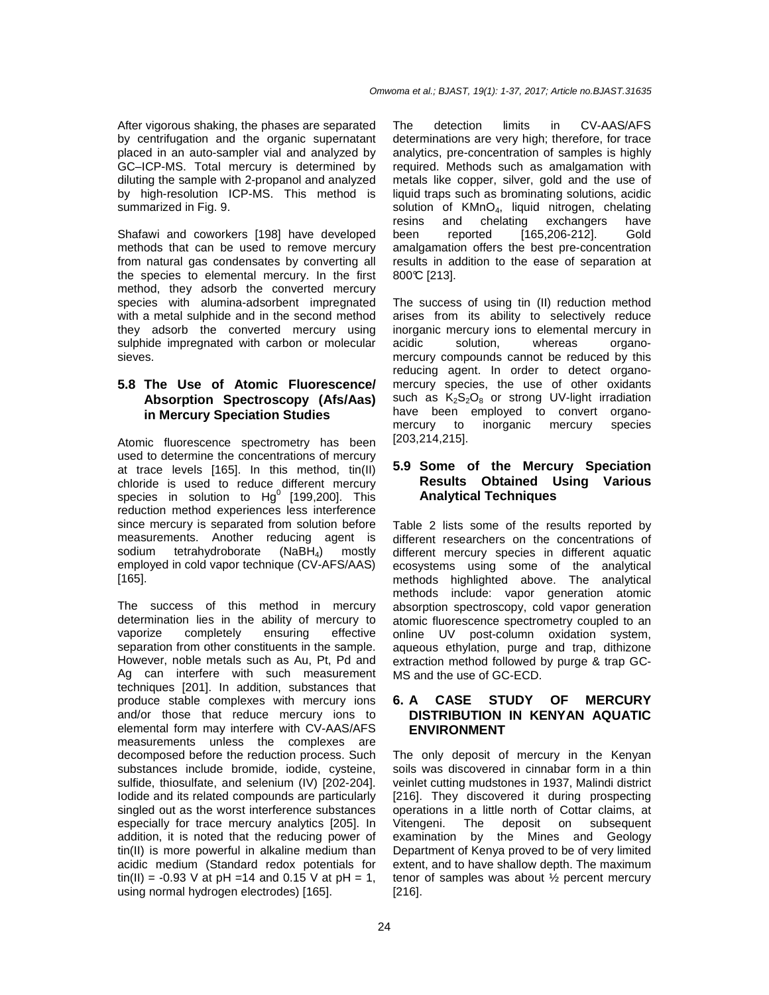After vigorous shaking, the phases are separated by centrifugation and the organic supernatant placed in an auto-sampler vial and analyzed by GC–ICP-MS. Total mercury is determined by diluting the sample with 2-propanol and analyzed by high-resolution ICP-MS. This method is summarized in Fig. 9.

Shafawi and coworkers [198] have developed methods that can be used to remove mercury from natural gas condensates by converting all the species to elemental mercury. In the first method, they adsorb the converted mercury species with alumina-adsorbent impregnated with a metal sulphide and in the second method they adsorb the converted mercury using sulphide impregnated with carbon or molecular sieves.

## **5.8 The Use of Atomic Fluorescence/ Absorption Spectroscopy (Afs/Aas) in Mercury Speciation Studies**

Atomic fluorescence spectrometry has been used to determine the concentrations of mercury at trace levels [165]. In this method, tin(II) chloride is used to reduce different mercury species in solution to  $Hg^0$  [199,200]. This reduction method experiences less interference since mercury is separated from solution before measurements. Another reducing agent is sodium tetrahydroborate  $(NaBH<sub>4</sub>)$  mostly employed in cold vapor technique (CV-AFS/AAS) [165].

The success of this method in mercury determination lies in the ability of mercury to vaporize completely ensuring effective separation from other constituents in the sample. However, noble metals such as Au, Pt, Pd and Ag can interfere with such measurement techniques [201]. In addition, substances that produce stable complexes with mercury ions and/or those that reduce mercury ions to elemental form may interfere with CV-AAS/AFS measurements unless the complexes are decomposed before the reduction process. Such substances include bromide, iodide, cysteine, sulfide, thiosulfate, and selenium (IV) [202-204]. Iodide and its related compounds are particularly singled out as the worst interference substances especially for trace mercury analytics [205]. In addition, it is noted that the reducing power of tin(II) is more powerful in alkaline medium than acidic medium (Standard redox potentials for tin(II) = -0.93 V at pH =14 and 0.15 V at pH = 1, using normal hydrogen electrodes) [165].

The detection limits in CV-AAS/AFS determinations are very high; therefore, for trace analytics, pre-concentration of samples is highly required. Methods such as amalgamation with metals like copper, silver, gold and the use of liquid traps such as brominating solutions, acidic solution of KMnO<sub>4</sub>, liquid nitrogen, chelating<br>resins and chelating exchangers have and chelating exchangers have been reported [165,206-212]. Gold amalgamation offers the best pre-concentration results in addition to the ease of separation at 800°C [213].

The success of using tin (II) reduction method arises from its ability to selectively reduce inorganic mercury ions to elemental mercury in acidic solution, whereas organomercury compounds cannot be reduced by this reducing agent. In order to detect organomercury species, the use of other oxidants such as  $K_2S_2O_8$  or strong UV-light irradiation have been employed to convert organomercury to inorganic mercury species [203,214,215].

## **5.9 Some of the Mercury Speciation Results Obtained Using Various Analytical Techniques**

Table 2 lists some of the results reported by different researchers on the concentrations of different mercury species in different aquatic ecosystems using some of the analytical methods highlighted above. The analytical methods include: vapor generation atomic absorption spectroscopy, cold vapor generation atomic fluorescence spectrometry coupled to an online UV post-column oxidation system, aqueous ethylation, purge and trap, dithizone extraction method followed by purge & trap GC-MS and the use of GC-ECD.

## **6. A CASE STUDY OF MERCURY DISTRIBUTION IN KENYAN AQUATIC ENVIRONMENT**

The only deposit of mercury in the Kenyan soils was discovered in cinnabar form in a thin veinlet cutting mudstones in 1937, Malindi district [216]. They discovered it during prospecting operations in a little north of Cottar claims, at<br>Vitengeni. The deposit on subsequent Vitengeni. The deposit on subsequent examination by the Mines and Geology Department of Kenya proved to be of very limited extent, and to have shallow depth. The maximum tenor of samples was about ½ percent mercury [216].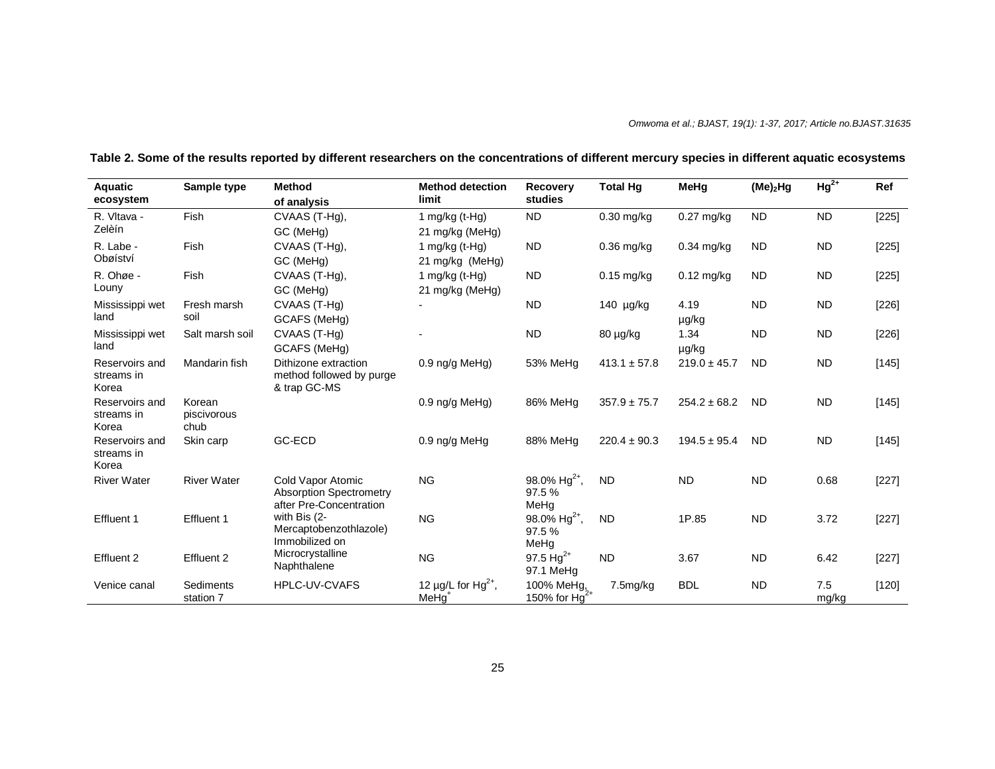| Aquatic<br>ecosystem                  | Sample type                   | <b>Method</b><br>of analysis                                                   | <b>Method detection</b><br>limit                         | Recovery<br>studies                        | <b>Total Hg</b>  | MeHg             | $(Me)$ <sub>2</sub> Hg | $Hg^{2+}$    | Ref     |
|---------------------------------------|-------------------------------|--------------------------------------------------------------------------------|----------------------------------------------------------|--------------------------------------------|------------------|------------------|------------------------|--------------|---------|
| R. Vltava -<br>Zelèín                 | Fish                          | CVAAS (T-Hg),<br>GC (MeHg)                                                     | 1 mg/kg (t-Hg)<br>21 mg/kg (MeHg)                        | <b>ND</b>                                  | $0.30$ mg/kg     | $0.27$ mg/kg     | <b>ND</b>              | <b>ND</b>    | $[225]$ |
| R. Labe -<br>Obøíství                 | Fish                          | CVAAS (T-Hq),<br>GC (MeHg)                                                     | 1 mg/kg $(t-Hg)$<br>21 mg/kg (MeHg)                      | <b>ND</b>                                  | $0.36$ mg/kg     | 0.34 mg/kg       | <b>ND</b>              | <b>ND</b>    | $[225]$ |
| R. Ohøe -<br>Louny                    | Fish                          | CVAAS (T-Hg),<br>GC (MeHg)                                                     | 1 mg/kg $(t-Hg)$<br>21 mg/kg (MeHg)                      | <b>ND</b>                                  | $0.15$ mg/kg     | $0.12$ mg/kg     | <b>ND</b>              | <b>ND</b>    | [225]   |
| Mississippi wet<br>land               | Fresh marsh<br>soil           | CVAAS (T-Hg)<br>GCAFS (MeHg)                                                   |                                                          | <b>ND</b>                                  | 140 µg/kg        | 4.19<br>µg/kg    | <b>ND</b>              | <b>ND</b>    | [226]   |
| Mississippi wet<br>land               | Salt marsh soil               | CVAAS (T-Hq)<br>GCAFS (MeHg)                                                   |                                                          | <b>ND</b>                                  | 80 µg/kg         | 1.34<br>µg/kg    | <b>ND</b>              | <b>ND</b>    | $[226]$ |
| Reservoirs and<br>streams in<br>Korea | Mandarin fish                 | Dithizone extraction<br>method followed by purge<br>& trap GC-MS               | $0.9$ ng/g MeHg)                                         | 53% MeHq                                   | $413.1 \pm 57.8$ | $219.0 \pm 45.7$ | <b>ND</b>              | <b>ND</b>    | [145]   |
| Reservoirs and<br>streams in<br>Korea | Korean<br>piscivorous<br>chub |                                                                                | 0.9 ng/g MeHg)                                           | 86% MeHq                                   | $357.9 \pm 75.7$ | $254.2 \pm 68.2$ | <b>ND</b>              | <b>ND</b>    | $[145]$ |
| Reservoirs and<br>streams in<br>Korea | Skin carp                     | GC-ECD                                                                         | 0.9 ng/g MeHg                                            | 88% MeHq                                   | $220.4 \pm 90.3$ | $194.5 \pm 95.4$ | <b>ND</b>              | <b>ND</b>    | [145]   |
| <b>River Water</b>                    | <b>River Water</b>            | Cold Vapor Atomic<br><b>Absorption Spectrometry</b><br>after Pre-Concentration | <b>NG</b>                                                | 98.0% Hg <sup>2+</sup> ,<br>97.5 %<br>MeHq | <b>ND</b>        | <b>ND</b>        | <b>ND</b>              | 0.68         | [227]   |
| Effluent 1                            | Effluent 1                    | with Bis (2-<br>Mercaptobenzothlazole)<br>Immobilized on                       | <b>NG</b>                                                | 98.0% Hg <sup>2+</sup> ,<br>97.5%<br>MeHg  | <b>ND</b>        | 1P.85            | <b>ND</b>              | 3.72         | $[227]$ |
| Effluent 2                            | Effluent 2                    | Microcrystalline<br>Naphthalene                                                | <b>NG</b>                                                | 97.5 Hg <sup>2+</sup><br>97.1 MeHg         | <b>ND</b>        | 3.67             | <b>ND</b>              | 6.42         | [227]   |
| Venice canal                          | Sediments<br>station 7        | <b>HPLC-UV-CVAFS</b>                                                           | 12 $\mu$ g/L for Hg <sup>2+</sup> ,<br>MeHq <sup>1</sup> | 100% MeHg,<br>150% for $Hg^{2+}$           | 7.5mg/kg         | <b>BDL</b>       | <b>ND</b>              | 7.5<br>mg/kg | [120]   |

**Table 2. Some of the results reported by different researchers on the concentrations of different mercury species in different aquatic ecosystems**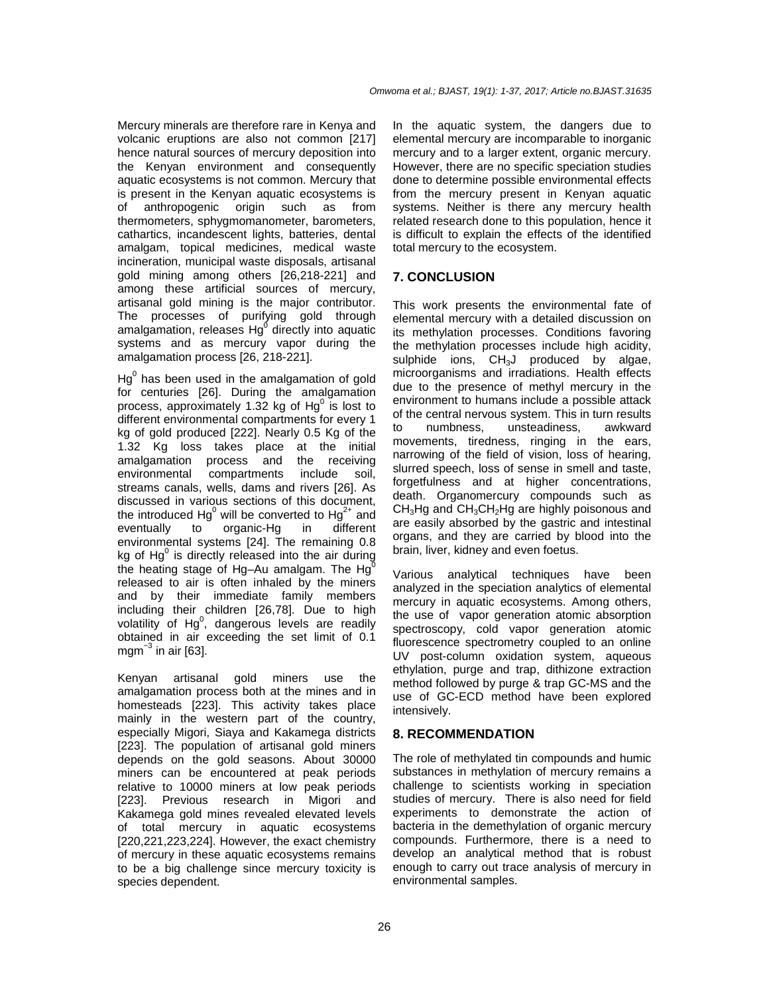Mercury minerals are therefore rare in Kenya and volcanic eruptions are also not common [217] hence natural sources of mercury deposition into the Kenyan environment and consequently aquatic ecosystems is not common. Mercury that is present in the Kenyan aquatic ecosystems is of anthropogenic origin such as from thermometers, sphygmomanometer, barometers, cathartics, incandescent lights, batteries, dental amalgam, topical medicines, medical waste incineration, municipal waste disposals, artisanal gold mining among others [26,218-221] and among these artificial sources of mercury, artisanal gold mining is the major contributor. The processes of purifying gold through amalgamation, releases  $Hg^0$  directly into aquatic systems and as mercury vapor during the amalgamation process [26, 218-221].

 $Hg^0$  has been used in the amalgamation of gold for centuries [26]. During the amalgamation process, approximately 1.32 kg of  $Hg^0$  is lost to different environmental compartments for every 1 kg of gold produced [222]. Nearly 0.5 Kg of the 1.32 Kg loss takes place at the initial amalgamation process and the receiving environmental compartments include soil, streams canals, wells, dams and rivers [26]. As discussed in various sections of this document, the introduced Hg<sup>0</sup> will be converted to Hg<sup>2+</sup> and eventually to organic-Hg in different environmental systems [24]. The remaining 0.8 kg of  $Hg^0$  is directly released into the air during the heating stage of Hg–Au amalgam. The Hg $<sup>0</sup>$ </sup> released to air is often inhaled by the miners and by their immediate family members including their children [26,78]. Due to high volatility of  $Hg^0$ , dangerous levels are readily obtained in air exceeding the set limit of 0.1 mgm $^{-3}$  in air [63].

Kenyan artisanal gold miners use the amalgamation process both at the mines and in homesteads [223]. This activity takes place mainly in the western part of the country, especially Migori, Siaya and Kakamega districts [223]. The population of artisanal gold miners depends on the gold seasons. About 30000 miners can be encountered at peak periods relative to 10000 miners at low peak periods [223]. Previous research in Migori and Kakamega gold mines revealed elevated levels of total mercury in aquatic ecosystems [220,221,223,224]. However, the exact chemistry of mercury in these aquatic ecosystems remains to be a big challenge since mercury toxicity is species dependent.

In the aquatic system, the dangers due to elemental mercury are incomparable to inorganic mercury and to a larger extent, organic mercury. However, there are no specific speciation studies done to determine possible environmental effects from the mercury present in Kenyan aquatic systems. Neither is there any mercury health related research done to this population, hence it is difficult to explain the effects of the identified total mercury to the ecosystem.

## **7. CONCLUSION**

This work presents the environmental fate of elemental mercury with a detailed discussion on its methylation processes. Conditions favoring the methylation processes include high acidity, sulphide ions, CH<sub>3</sub>J produced by algae, microorganisms and irradiations. Health effects due to the presence of methyl mercury in the environment to humans include a possible attack of the central nervous system. This in turn results to numbness, unsteadiness, awkward movements, tiredness, ringing in the ears, narrowing of the field of vision, loss of hearing, slurred speech, loss of sense in smell and taste, forgetfulness and at higher concentrations, death. Organomercury compounds such as CH3Hg and CH3CH2Hg are highly poisonous and are easily absorbed by the gastric and intestinal organs, and they are carried by blood into the brain, liver, kidney and even foetus.

Various analytical techniques have been analyzed in the speciation analytics of elemental mercury in aquatic ecosystems. Among others, the use of vapor generation atomic absorption spectroscopy, cold vapor generation atomic fluorescence spectrometry coupled to an online UV post-column oxidation system, aqueous ethylation, purge and trap, dithizone extraction method followed by purge & trap GC-MS and the use of GC-ECD method have been explored intensively.

#### **8. RECOMMENDATION**

The role of methylated tin compounds and humic substances in methylation of mercury remains a challenge to scientists working in speciation studies of mercury. There is also need for field experiments to demonstrate the action of bacteria in the demethylation of organic mercury compounds. Furthermore, there is a need to develop an analytical method that is robust enough to carry out trace analysis of mercury in environmental samples.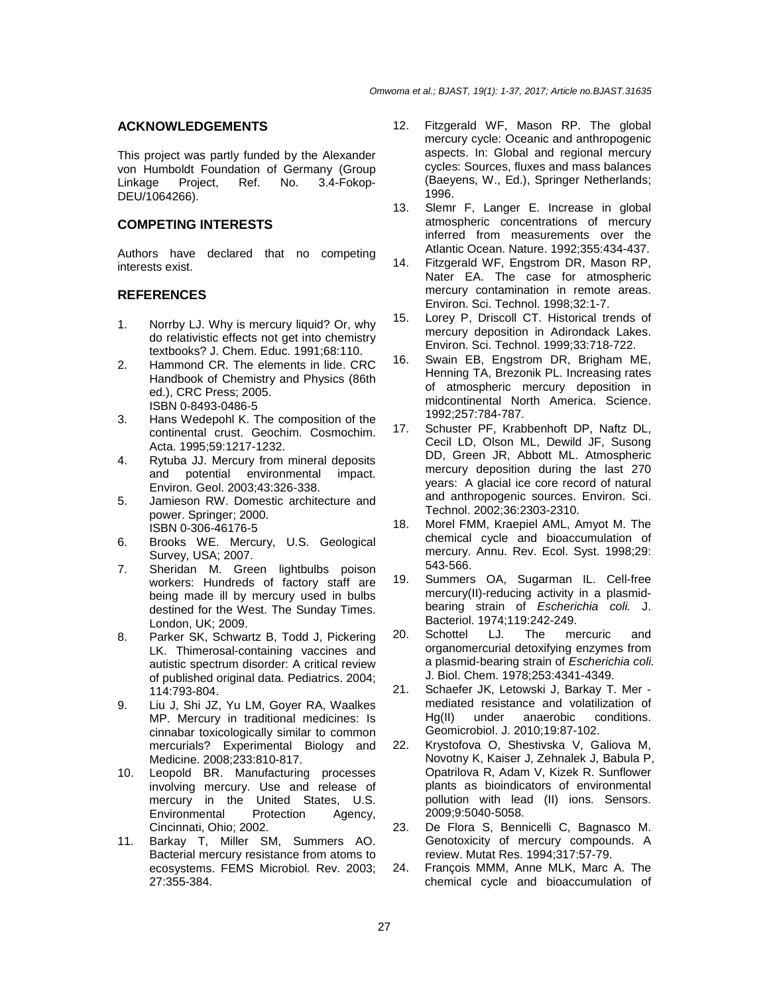#### **ACKNOWLEDGEMENTS**

This project was partly funded by the Alexander von Humboldt Foundation of Germany (Group Linkage Project, Ref. No. 3.4-Fokop-DEU/1064266).

## **COMPETING INTERESTS**

Authors have declared that no competing interests exist.

#### **REFERENCES**

- 1. Norrby LJ. Why is mercury liquid? Or, why do relativistic effects not get into chemistry textbooks? J. Chem. Educ. 1991;68:110.
- 2. Hammond CR. The elements in lide. CRC Handbook of Chemistry and Physics (86th ed.), CRC Press; 2005. ISBN 0-8493-0486-5
- 3. Hans Wedepohl K. The composition of the continental crust. Geochim. Cosmochim. Acta. 1995;59:1217-1232.
- 4. Rytuba JJ. Mercury from mineral deposits and potential environmental impact. Environ. Geol. 2003;43:326-338.
- 5. Jamieson RW. Domestic architecture and power. Springer; 2000. ISBN 0-306-46176-5
- 6. Brooks WE. Mercury, U.S. Geological Survey, USA; 2007.
- 7. Sheridan M. Green lightbulbs poison workers: Hundreds of factory staff are being made ill by mercury used in bulbs destined for the West. The Sunday Times. London, UK; 2009.
- 8. Parker SK, Schwartz B, Todd J, Pickering LK. Thimerosal-containing vaccines and autistic spectrum disorder: A critical review of published original data. Pediatrics. 2004; 114:793-804.
- 9. Liu J, Shi JZ, Yu LM, Goyer RA, Waalkes MP. Mercury in traditional medicines: Is cinnabar toxicologically similar to common mercurials? Experimental Biology and Medicine. 2008;233:810-817.
- 10. Leopold BR. Manufacturing processes involving mercury. Use and release of mercury in the United States, U.S. Environmental Protection Agency, Cincinnati, Ohio; 2002.
- 11. Barkay T, Miller SM, Summers AO. Bacterial mercury resistance from atoms to ecosystems. FEMS Microbiol. Rev. 2003; 27:355-384.
- 12. Fitzgerald WF, Mason RP. The global mercury cycle: Oceanic and anthropogenic aspects. In: Global and regional mercury cycles: Sources, fluxes and mass balances (Baeyens, W., Ed.), Springer Netherlands; 1996.
- 13. Slemr F, Langer E. Increase in global atmospheric concentrations of mercury inferred from measurements over the Atlantic Ocean. Nature. 1992;355:434-437.
- 14. Fitzgerald WF, Engstrom DR, Mason RP, Nater EA. The case for atmospheric mercury contamination in remote areas. Environ. Sci. Technol. 1998;32:1-7.
- 15. Lorey P, Driscoll CT. Historical trends of mercury deposition in Adirondack Lakes. Environ. Sci. Technol. 1999;33:718-722.
- 16. Swain EB, Engstrom DR, Brigham ME, Henning TA, Brezonik PL. Increasing rates of atmospheric mercury deposition in midcontinental North America. Science. 1992;257:784-787.
- 17. Schuster PF, Krabbenhoft DP, Naftz DL, Cecil LD, Olson ML, Dewild JF, Susong DD, Green JR, Abbott ML. Atmospheric mercury deposition during the last 270 years: A glacial ice core record of natural and anthropogenic sources. Environ. Sci. Technol. 2002;36:2303-2310.
- 18. Morel FMM, Kraepiel AML, Amyot M. The chemical cycle and bioaccumulation of mercury. Annu. Rev. Ecol. Syst. 1998;29: 543-566.
- 19. Summers OA, Sugarman IL. Cell-free mercury(II)-reducing activity in a plasmidbearing strain of Escherichia coli. J. Bacteriol. 1974;119:242-249.
- 20. Schottel LJ. The mercuric and organomercurial detoxifying enzymes from a plasmid-bearing strain of Escherichia coli. J. Biol. Chem. 1978;253:4341-4349.
- 21. Schaefer JK, Letowski J, Barkay T. Mer mediated resistance and volatilization of Hg(II) under anaerobic conditions. Geomicrobiol. J. 2010;19:87-102.
- 22. Krystofova O, Shestivska V, Galiova M, Novotny K, Kaiser J, Zehnalek J, Babula P, Opatrilova R, Adam V, Kizek R. Sunflower plants as bioindicators of environmental pollution with lead (II) ions. Sensors. 2009;9:5040-5058.
- 23. De Flora S, Bennicelli C, Bagnasco M. Genotoxicity of mercury compounds. A review. Mutat Res. 1994;317:57-79.
- 24. François MMM, Anne MLK, Marc A. The chemical cycle and bioaccumulation of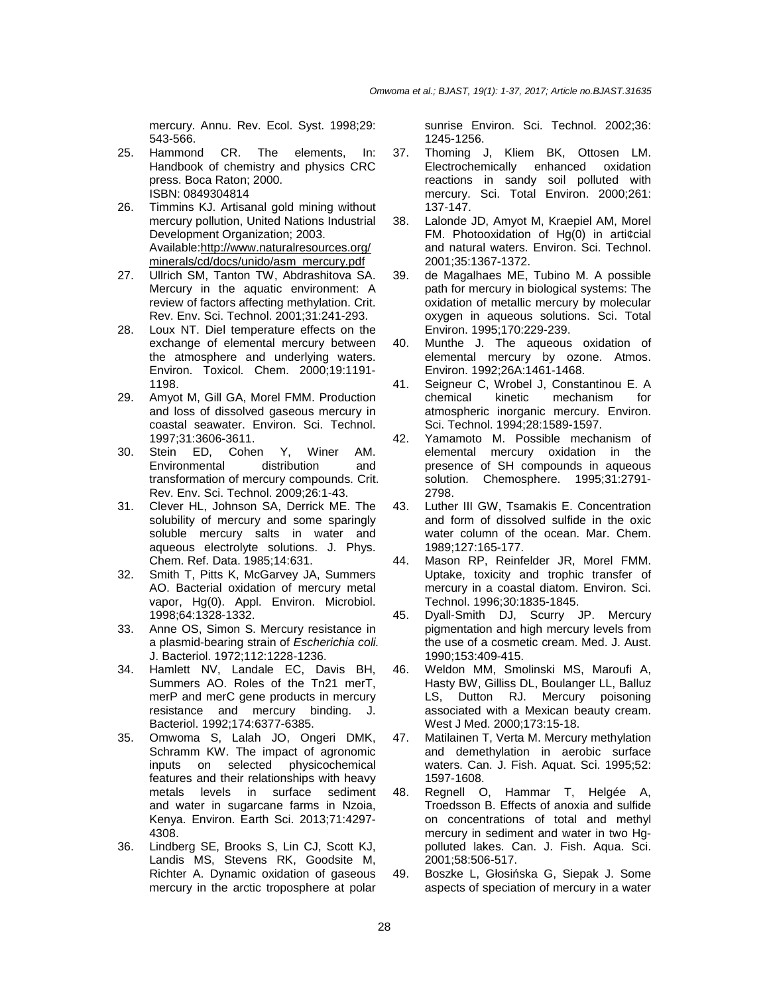mercury. Annu. Rev. Ecol. Syst. 1998;29: 543-566.

- 25. Hammond CR. The elements, In: Handbook of chemistry and physics CRC press. Boca Raton; 2000. ISBN: 0849304814
- 26. Timmins KJ. Artisanal gold mining without mercury pollution, United Nations Industrial Development Organization; 2003. Available:http://www.naturalresources.org/ minerals/cd/docs/unido/asm\_mercury.pdf
- 27. Ullrich SM, Tanton TW, Abdrashitova SA. Mercury in the aquatic environment: A review of factors affecting methylation. Crit. Rev. Env. Sci. Technol. 2001;31:241-293.
- 28. Loux NT. Diel temperature effects on the exchange of elemental mercury between the atmosphere and underlying waters. Environ. Toxicol. Chem. 2000;19:1191- 1198.
- 29. Amyot M, Gill GA, Morel FMM. Production and loss of dissolved gaseous mercury in coastal seawater. Environ. Sci. Technol. 1997;31:3606-3611.
- 30. Stein ED, Cohen Y, Winer AM. Environmental distribution and transformation of mercury compounds. Crit. Rev. Env. Sci. Technol. 2009;26:1-43.
- 31. Clever HL, Johnson SA, Derrick ME. The solubility of mercury and some sparingly soluble mercury salts in water and aqueous electrolyte solutions. J. Phys. Chem. Ref. Data. 1985;14:631.
- 32. Smith T, Pitts K, McGarvey JA, Summers AO. Bacterial oxidation of mercury metal vapor, Hg(0). Appl. Environ. Microbiol. 1998;64:1328-1332.
- 33. Anne OS, Simon S. Mercury resistance in a plasmid-bearing strain of Escherichia coli. J. Bacteriol. 1972;112:1228-1236.
- 34. Hamlett NV, Landale EC, Davis BH, Summers AO. Roles of the Tn21 merT, merP and merC gene products in mercury resistance and mercury binding. J. Bacteriol. 1992;174:6377-6385.
- 35. Omwoma S, Lalah JO, Ongeri DMK, Schramm KW. The impact of agronomic inputs on selected physicochemical features and their relationships with heavy metals levels in surface sediment and water in sugarcane farms in Nzoia, Kenya. Environ. Earth Sci. 2013;71:4297- 4308.
- 36. Lindberg SE, Brooks S, Lin CJ, Scott KJ, Landis MS, Stevens RK, Goodsite M, Richter A. Dynamic oxidation of gaseous mercury in the arctic troposphere at polar

sunrise Environ. Sci. Technol. 2002;36: 1245-1256.

- 37. Thoming J, Kliem BK, Ottosen LM. Electrochemically enhanced oxidation reactions in sandy soil polluted with mercury. Sci. Total Environ. 2000;261: 137-147.
- 38. Lalonde JD, Amyot M, Kraepiel AM, Morel FM. Photooxidation of Hg(0) in arti¢cial and natural waters. Environ. Sci. Technol. 2001;35:1367-1372.
- 39. de Magalhaes ME, Tubino M. A possible path for mercury in biological systems: The oxidation of metallic mercury by molecular oxygen in aqueous solutions. Sci. Total Environ. 1995;170:229-239.
- 40. Munthe J. The aqueous oxidation of elemental mercury by ozone. Atmos. Environ. 1992;26A:1461-1468.
- 41. Seigneur C, Wrobel J, Constantinou E. A chemical kinetic mechanism for atmospheric inorganic mercury. Environ. Sci. Technol. 1994;28:1589-1597.
- 42. Yamamoto M. Possible mechanism of elemental mercury oxidation in the presence of SH compounds in aqueous solution. Chemosphere. 1995;31:2791- 2798.
- 43. Luther III GW, Tsamakis E. Concentration and form of dissolved sulfide in the oxic water column of the ocean. Mar. Chem. 1989;127:165-177.
- 44. Mason RP, Reinfelder JR, Morel FMM. Uptake, toxicity and trophic transfer of mercury in a coastal diatom. Environ. Sci. Technol. 1996;30:1835-1845.
- 45. Dyall-Smith DJ, Scurry JP. Mercury pigmentation and high mercury levels from the use of a cosmetic cream. Med. J. Aust. 1990;153:409-415.
- 46. Weldon MM, Smolinski MS, Maroufi A, Hasty BW, Gilliss DL, Boulanger LL, Balluz LS, Dutton RJ. Mercury poisoning associated with a Mexican beauty cream. West J Med. 2000;173:15-18.
- 47. Matilainen T, Verta M. Mercury methylation and demethylation in aerobic surface waters. Can. J. Fish. Aquat. Sci. 1995;52: 1597-1608.
- 48. Regnell O, Hammar T, Helgée A, Troedsson B. Effects of anoxia and sulfide on concentrations of total and methyl mercury in sediment and water in two Hgpolluted lakes. Can. J. Fish. Aqua. Sci. 2001;58:506-517.
- 49. Boszke L, Głosińska G, Siepak J. Some aspects of speciation of mercury in a water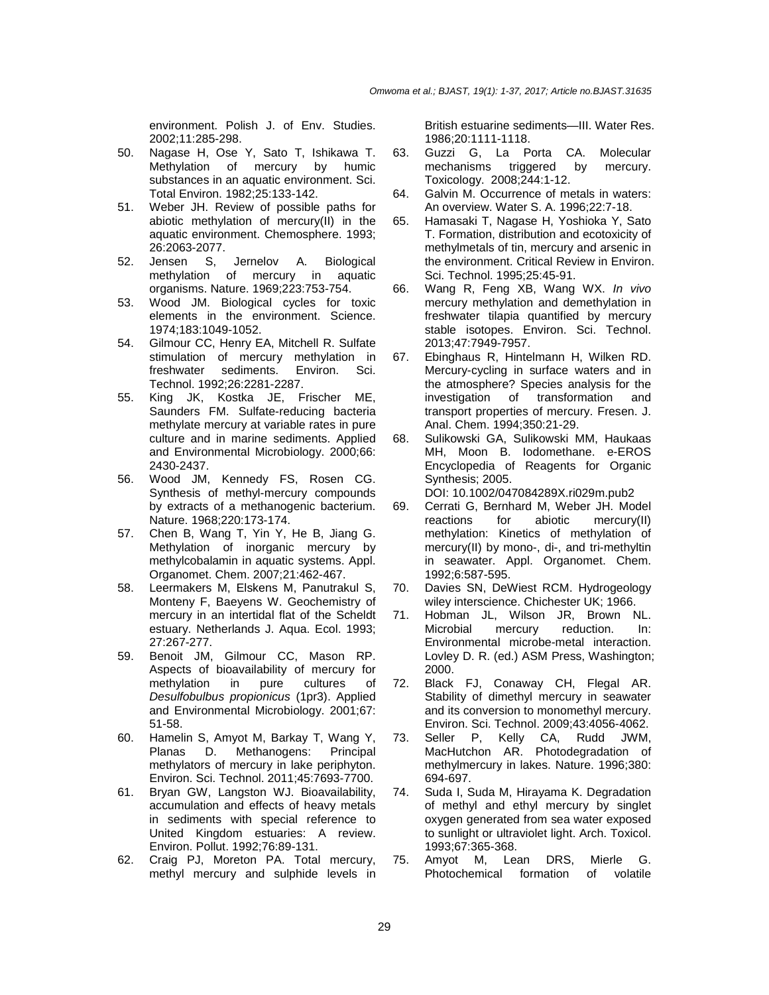environment. Polish J. of Env. Studies. 2002;11:285-298.

- 50. Nagase H, Ose Y, Sato T, Ishikawa T. Methylation of mercury by humic substances in an aquatic environment. Sci. Total Environ. 1982;25:133-142.
- 51. Weber JH. Review of possible paths for abiotic methylation of mercury(II) in the aquatic environment. Chemosphere. 1993; 26:2063-2077.
- 52. Jensen S, Jernelov A. Biological methylation of mercury in aquatic organisms. Nature. 1969;223:753-754.
- 53. Wood JM. Biological cycles for toxic elements in the environment. Science. 1974;183:1049-1052.
- 54. Gilmour CC, Henry EA, Mitchell R. Sulfate stimulation of mercury methylation in freshwater sediments. Environ. Sci. Technol. 1992;26:2281-2287.
- 55. King JK, Kostka JE, Frischer ME, Saunders FM. Sulfate-reducing bacteria methylate mercury at variable rates in pure culture and in marine sediments. Applied and Environmental Microbiology. 2000;66: 2430-2437.
- 56. Wood JM, Kennedy FS, Rosen CG. Synthesis of methyl-mercury compounds by extracts of a methanogenic bacterium. Nature. 1968;220:173-174.
- 57. Chen B, Wang T, Yin Y, He B, Jiang G. Methylation of inorganic mercury by methylcobalamin in aquatic systems. Appl. Organomet. Chem. 2007;21:462-467.
- 58. Leermakers M, Elskens M, Panutrakul S, Monteny F, Baeyens W. Geochemistry of mercury in an intertidal flat of the Scheldt estuary. Netherlands J. Aqua. Ecol. 1993; 27:267-277.
- 59. Benoit JM, Gilmour CC, Mason RP. Aspects of bioavailability of mercury for methylation in pure cultures of Desulfobulbus propionicus (1pr3). Applied and Environmental Microbiology. 2001;67: 51-58.
- 60. Hamelin S, Amyot M, Barkay T, Wang Y, Planas D. Methanogens: Principal methylators of mercury in lake periphyton. Environ. Sci. Technol. 2011;45:7693-7700.
- 61. Bryan GW, Langston WJ. Bioavailability, accumulation and effects of heavy metals in sediments with special reference to United Kingdom estuaries: A review. Environ. Pollut. 1992;76:89-131.
- 62. Craig PJ, Moreton PA. Total mercury, methyl mercury and sulphide levels in

British estuarine sediments—III. Water Res. 1986;20:1111-1118.

- 63. Guzzi G, La Porta CA. Molecular mechanisms triggered by mercury. Toxicology. 2008;244:1-12.
- 64. Galvin M. Occurrence of metals in waters: An overview. Water S. A. 1996;22:7-18.
- 65. Hamasaki T, Nagase H, Yoshioka Y, Sato T. Formation, distribution and ecotoxicity of methylmetals of tin, mercury and arsenic in the environment. Critical Review in Environ. Sci. Technol. 1995;25:45-91.
- 66. Wang R, Feng XB, Wang WX. In vivo mercury methylation and demethylation in freshwater tilapia quantified by mercury stable isotopes. Environ. Sci. Technol. 2013;47:7949-7957.
- 67. Ebinghaus R, Hintelmann H, Wilken RD. Mercury-cycling in surface waters and in the atmosphere? Species analysis for the investigation of transformation and transport properties of mercury. Fresen. J. Anal. Chem. 1994;350:21-29.
- 68. Sulikowski GA, Sulikowski MM, Haukaas MH, Moon B. Iodomethane. e-EROS Encyclopedia of Reagents for Organic Synthesis; 2005.

DOI: 10.1002/047084289X.ri029m.pub2

- 69. Cerrati G, Bernhard M, Weber JH. Model reactions for abiotic mercury(II) methylation: Kinetics of methylation of mercury(II) by mono-, di-, and tri-methyltin in seawater. Appl. Organomet. Chem. 1992;6:587-595.
- 70. Davies SN, DeWiest RCM. Hydrogeology wiley interscience. Chichester UK; 1966.
- 71. Hobman JL, Wilson JR, Brown NL. Microbial mercury reduction. In: Environmental microbe-metal interaction. Lovley D. R. (ed.) ASM Press, Washington; 2000.
- 72. Black FJ, Conaway CH, Flegal AR. Stability of dimethyl mercury in seawater and its conversion to monomethyl mercury. Environ. Sci. Technol. 2009;43:4056-4062.
- 73. Seller P, Kelly CA, Rudd JWM, MacHutchon AR. Photodegradation of methylmercury in lakes. Nature. 1996;380: 694-697.
- 74. Suda I, Suda M, Hirayama K. Degradation of methyl and ethyl mercury by singlet oxygen generated from sea water exposed to sunlight or ultraviolet light. Arch. Toxicol. 1993;67:365-368.
- 75. Amyot M, Lean DRS, Mierle G. Photochemical formation of volatile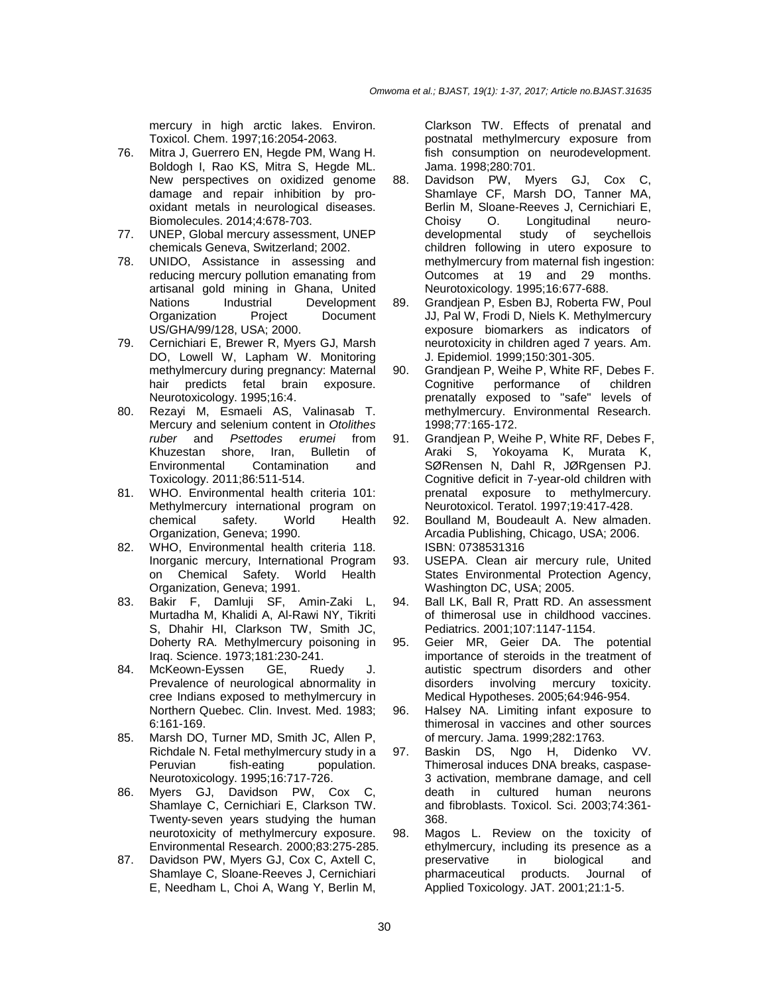mercury in high arctic lakes. Environ. Toxicol. Chem. 1997;16:2054-2063.

- 76. Mitra J, Guerrero EN, Hegde PM, Wang H. Boldogh I, Rao KS, Mitra S, Hegde ML. New perspectives on oxidized genome damage and repair inhibition by prooxidant metals in neurological diseases. Biomolecules. 2014;4:678-703.
- 77. UNEP, Global mercury assessment, UNEP chemicals Geneva, Switzerland; 2002.
- 78. UNIDO, Assistance in assessing and reducing mercury pollution emanating from artisanal gold mining in Ghana, United Nations Industrial Development Organization Project Document US/GHA/99/128, USA; 2000.
- 79. Cernichiari E, Brewer R, Myers GJ, Marsh DO, Lowell W, Lapham W. Monitoring methylmercury during pregnancy: Maternal hair predicts fetal brain exposure. Neurotoxicology. 1995;16:4.
- 80. Rezayi M, Esmaeli AS, Valinasab T. Mercury and selenium content in Otolithes ruber and Psettodes erumei from Khuzestan shore, Iran, Bulletin of Environmental Contamination and Toxicology. 2011;86:511-514.
- 81. WHO. Environmental health criteria 101: Methylmercury international program on chemical safety. World Health Organization, Geneva; 1990.
- 82. WHO, Environmental health criteria 118. Inorganic mercury, International Program on Chemical Safety. World Health Organization, Geneva; 1991.
- 83. Bakir F, Damluji SF, Amin-Zaki L, Murtadha M, Khalidi A, Al-Rawi NY, Tikriti S, Dhahir HI, Clarkson TW, Smith JC, Doherty RA. Methylmercury poisoning in Iraq. Science. 1973;181:230-241.
- 84. McKeown-Eyssen GE, Ruedy J. Prevalence of neurological abnormality in cree Indians exposed to methylmercury in Northern Quebec. Clin. Invest. Med. 1983; 6:161-169.
- 85. Marsh DO, Turner MD, Smith JC, Allen P, Richdale N. Fetal methylmercury study in a Peruvian fish-eating population. Neurotoxicology. 1995;16:717-726.
- 86. Myers GJ, Davidson PW, Cox C, Shamlaye C, Cernichiari E, Clarkson TW. Twenty-seven years studying the human neurotoxicity of methylmercury exposure. Environmental Research. 2000;83:275-285.
- 87. Davidson PW, Myers GJ, Cox C, Axtell C, Shamlaye C, Sloane-Reeves J, Cernichiari E, Needham L, Choi A, Wang Y, Berlin M,

Clarkson TW. Effects of prenatal and postnatal methylmercury exposure from fish consumption on neurodevelopment. Jama. 1998;280:701.

- 88. Davidson PW, Myers GJ, Cox C, Shamlaye CF, Marsh DO, Tanner MA, Berlin M, Sloane-Reeves J, Cernichiari E, Choisy O. Longitudinal neuro-<br>developmental study of seychellois developmental study of seychellois children following in utero exposure to methylmercury from maternal fish ingestion: Outcomes at 19 and 29 months. Neurotoxicology. 1995;16:677-688.
- 89. Grandjean P, Esben BJ, Roberta FW, Poul JJ, Pal W, Frodi D, Niels K. Methylmercury exposure biomarkers as indicators of neurotoxicity in children aged 7 years. Am. J. Epidemiol. 1999;150:301-305.
- 90. Grandjean P, Weihe P, White RF, Debes F. Cognitive performance of children prenatally exposed to "safe" levels of methylmercury. Environmental Research. 1998;77:165-172.
- 91. Grandjean P, Weihe P, White RF, Debes F, Araki S, Yokoyama K, Murata K, SØRensen N, Dahl R, JØRgensen PJ. Cognitive deficit in 7-year-old children with prenatal exposure to methylmercury. Neurotoxicol. Teratol. 1997;19:417-428.
- 92. Boulland M, Boudeault A. New almaden. Arcadia Publishing, Chicago, USA; 2006. ISBN: 0738531316
- 93. USEPA. Clean air mercury rule, United States Environmental Protection Agency, Washington DC, USA; 2005.
- 94. Ball LK, Ball R, Pratt RD. An assessment of thimerosal use in childhood vaccines. Pediatrics. 2001;107:1147-1154.
- 95. Geier MR, Geier DA. The potential importance of steroids in the treatment of autistic spectrum disorders and other disorders involving mercury toxicity. Medical Hypotheses. 2005;64:946-954.
- 96. Halsey NA. Limiting infant exposure to thimerosal in vaccines and other sources of mercury. Jama. 1999;282:1763.
- 97. Baskin DS, Ngo H, Didenko VV. Thimerosal induces DNA breaks, caspase-3 activation, membrane damage, and cell death in cultured human neurons and fibroblasts. Toxicol. Sci. 2003;74:361- 368.
- 98. Magos L. Review on the toxicity of ethylmercury, including its presence as a preservative in biological and pharmaceutical products. Journal of Applied Toxicology. JAT. 2001;21:1-5.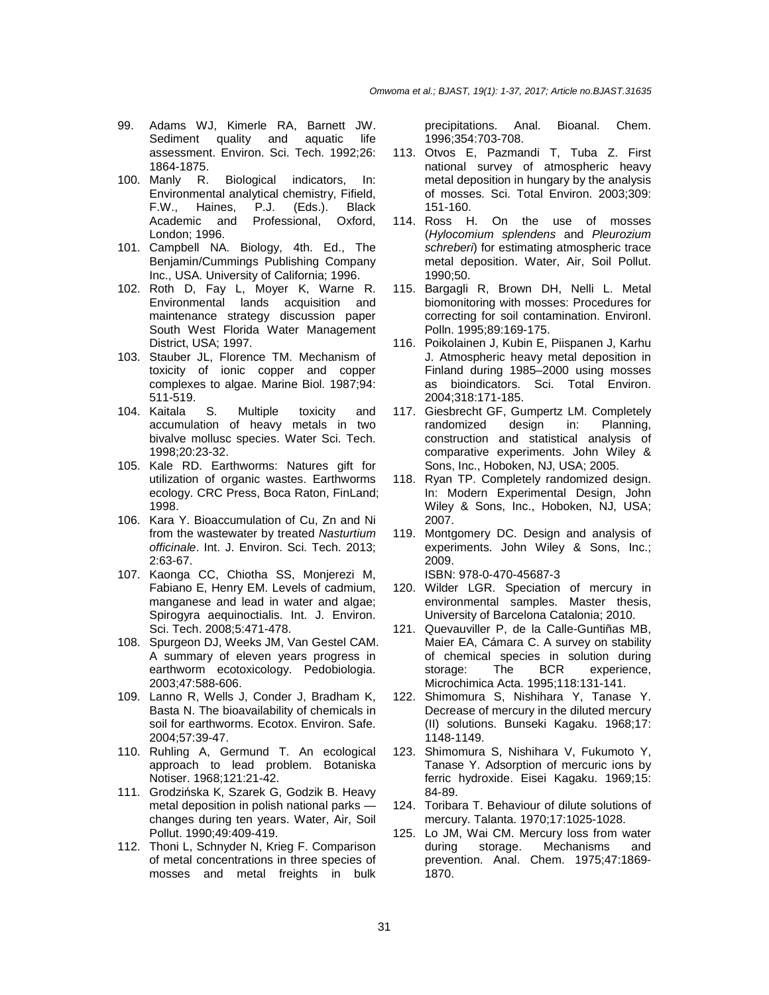- 99. Adams WJ, Kimerle RA, Barnett JW. Sediment quality and aquatic life assessment. Environ. Sci. Tech. 1992;26: 1864-1875.
- 100. Manly R. Biological indicators, In: Environmental analytical chemistry, Fifield, F.W., Haines, P.J. (Eds.). Black Academic and Professional, Oxford, London; 1996.
- 101. Campbell NA. Biology, 4th. Ed., The Benjamin/Cummings Publishing Company Inc., USA. University of California; 1996.
- 102. Roth D, Fay L, Moyer K, Warne R. Environmental lands acquisition and maintenance strategy discussion paper South West Florida Water Management District, USA; 1997.
- 103. Stauber JL, Florence TM. Mechanism of toxicity of ionic copper and copper complexes to algae. Marine Biol. 1987;94: 511-519.
- 104. Kaitala S. Multiple toxicity and accumulation of heavy metals in two bivalve mollusc species. Water Sci. Tech. 1998;20:23-32.
- 105. Kale RD. Earthworms: Natures gift for utilization of organic wastes. Earthworms ecology. CRC Press, Boca Raton, FinLand; 1998.
- 106. Kara Y. Bioaccumulation of Cu, Zn and Ni from the wastewater by treated Nasturtium officinale. Int. J. Environ. Sci. Tech. 2013; 2:63-67.
- 107. Kaonga CC, Chiotha SS, Monjerezi M, Fabiano E, Henry EM. Levels of cadmium, manganese and lead in water and algae; Spirogyra aequinoctialis. Int. J. Environ. Sci. Tech. 2008;5:471-478.
- 108. Spurgeon DJ, Weeks JM, Van Gestel CAM. A summary of eleven years progress in earthworm ecotoxicology. Pedobiologia. 2003;47:588-606.
- 109. Lanno R, Wells J, Conder J, Bradham K, Basta N. The bioavailability of chemicals in soil for earthworms. Ecotox. Environ. Safe. 2004;57:39-47.
- 110. Ruhling A, Germund T. An ecological approach to lead problem. Botaniska Notiser. 1968;121:21-42.
- 111. Grodzińska K, Szarek G, Godzik B. Heavy metal deposition in polish national parks changes during ten years. Water, Air, Soil Pollut. 1990;49:409-419.
- 112. Thoni L, Schnyder N, Krieg F. Comparison of metal concentrations in three species of mosses and metal freights in bulk

precipitations. Anal. Bioanal. Chem. 1996;354:703-708.

- 113. Otvos E, Pazmandi T, Tuba Z. First national survey of atmospheric heavy metal deposition in hungary by the analysis of mosses. Sci. Total Environ. 2003;309: 151-160.
- 114. Ross H. On the use of mosses (Hylocomium splendens and Pleurozium schreberi) for estimating atmospheric trace metal deposition. Water, Air, Soil Pollut. 1990;50.
- 115. Bargagli R, Brown DH, Nelli L. Metal biomonitoring with mosses: Procedures for correcting for soil contamination. Environl. Polln. 1995;89:169-175.
- 116. Poikolainen J, Kubin E, Piispanen J, Karhu J. Atmospheric heavy metal deposition in Finland during 1985–2000 using mosses as bioindicators. Sci. Total Environ. 2004;318:171-185.
- 117. Giesbrecht GF, Gumpertz LM. Completely randomized design in: Planning, construction and statistical analysis of comparative experiments. John Wiley & Sons, Inc., Hoboken, NJ, USA; 2005.
- 118. Ryan TP. Completely randomized design. In: Modern Experimental Design, John Wiley & Sons, Inc., Hoboken, NJ, USA; 2007.
- 119. Montgomery DC. Design and analysis of experiments. John Wiley & Sons, Inc.; 2009.

ISBN: 978-0-470-45687-3

- 120. Wilder LGR. Speciation of mercury in environmental samples. Master thesis, University of Barcelona Catalonia; 2010.
- 121. Quevauviller P, de la Calle-Guntiñas MB, Maier EA, Cámara C. A survey on stability of chemical species in solution during storage: The BCR experience, Microchimica Acta. 1995;118:131-141.
- 122. Shimomura S, Nishihara Y, Tanase Y. Decrease of mercury in the diluted mercury (II) solutions. Bunseki Kagaku. 1968;17: 1148-1149.
- 123. Shimomura S, Nishihara V, Fukumoto Y, Tanase Y. Adsorption of mercuric ions by ferric hydroxide. Eisei Kagaku. 1969;15: 84-89.
- 124. Toribara T. Behaviour of dilute solutions of mercury. Talanta. 1970;17:1025-1028.
- 125. Lo JM, Wai CM. Mercury loss from water during storage. Mechanisms and prevention. Anal. Chem. 1975;47:1869- 1870.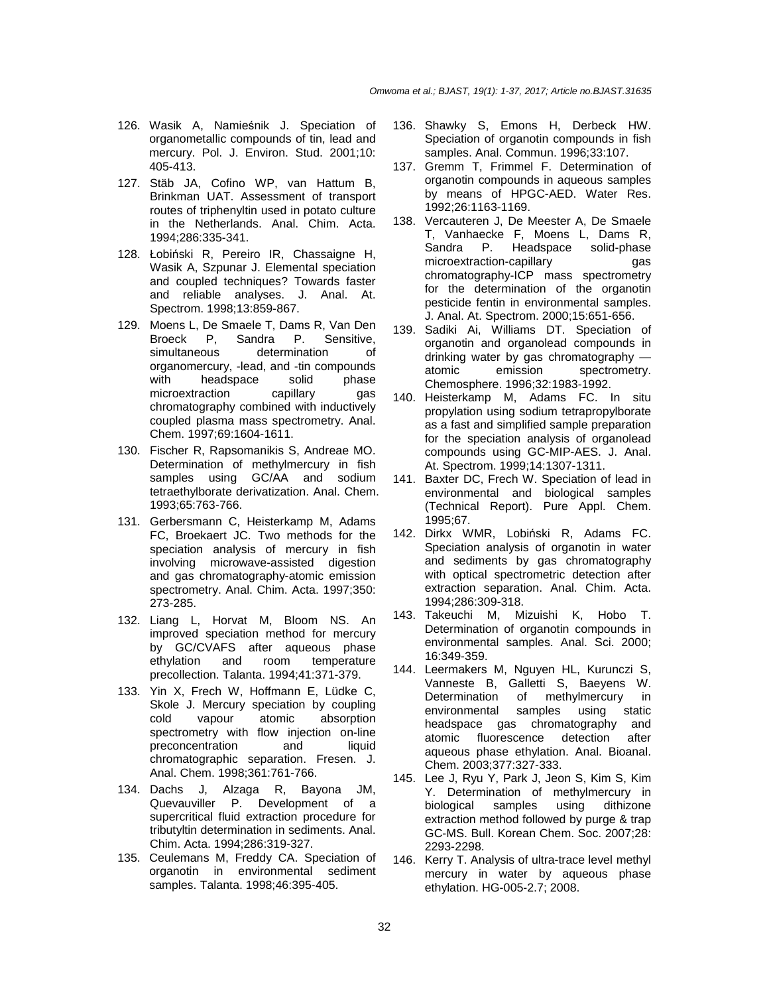- 126. Wasik A, Namieśnik J. Speciation of organometallic compounds of tin, lead and mercury. Pol. J. Environ. Stud. 2001;10: 405-413.
- 127. Stäb JA, Cofino WP, van Hattum B, Brinkman UAT. Assessment of transport routes of triphenyltin used in potato culture in the Netherlands. Anal. Chim. Acta. 1994;286:335-341.
- 128. Łobiński R, Pereiro IR, Chassaigne H, Wasik A, Szpunar J. Elemental speciation and coupled techniques? Towards faster and reliable analyses. J. Anal. At. Spectrom. 1998;13:859-867.
- 129. Moens L, De Smaele T, Dams R, Van Den<br>Broeck P. Sandra P. Sensitive. Broeck P, Sandra P. Sensitive, simultaneous determination of organomercury, -lead, and -tin compounds<br>with beadspace solid phase headspace solid phase microextraction capillary gas chromatography combined with inductively coupled plasma mass spectrometry. Anal. Chem. 1997;69:1604-1611.
- 130. Fischer R, Rapsomanikis S, Andreae MO. Determination of methylmercury in fish samples using GC/AA and sodium tetraethylborate derivatization. Anal. Chem. 1993;65:763-766.
- 131. Gerbersmann C, Heisterkamp M, Adams FC, Broekaert JC. Two methods for the speciation analysis of mercury in fish involving microwave-assisted digestion and gas chromatography-atomic emission spectrometry. Anal. Chim. Acta. 1997;350: 273-285.
- 132. Liang L, Horvat M, Bloom NS. An improved speciation method for mercury by GC/CVAFS after aqueous phase ethylation and room temperature precollection. Talanta. 1994;41:371-379.
- 133. Yin X, Frech W, Hoffmann E, Lüdke C, Skole J. Mercury speciation by coupling cold vapour atomic absorption spectrometry with flow injection on-line preconcentration and liquid chromatographic separation. Fresen. J. Anal. Chem. 1998;361:761-766.
- 134. Dachs J, Alzaga R, Bayona JM, Quevauviller P. Development of a supercritical fluid extraction procedure for tributyltin determination in sediments. Anal. Chim. Acta. 1994;286:319-327.
- 135. Ceulemans M, Freddy CA. Speciation of organotin in environmental sediment samples. Talanta. 1998;46:395-405.
- 136. Shawky S, Emons H, Derbeck HW. Speciation of organotin compounds in fish samples. Anal. Commun. 1996;33:107.
- 137. Gremm T, Frimmel F. Determination of organotin compounds in aqueous samples by means of HPGC-AED. Water Res. 1992;26:1163-1169.
- 138. Vercauteren J, De Meester A, De Smaele T, Vanhaecke F, Moens L, Dams R, Sandra P. Headspace solid-phase microextraction-capillary gas chromatography-ICP mass spectrometry for the determination of the organotin pesticide fentin in environmental samples. J. Anal. At. Spectrom. 2000;15:651-656.
- 139. Sadiki Ai, Williams DT. Speciation of organotin and organolead compounds in drinking water by gas chromatography atomic emission spectrometry. Chemosphere. 1996;32:1983-1992.
- 140. Heisterkamp M, Adams FC. In situ propylation using sodium tetrapropylborate as a fast and simplified sample preparation for the speciation analysis of organolead compounds using GC-MIP-AES. J. Anal. At. Spectrom. 1999;14:1307-1311.
- 141. Baxter DC, Frech W. Speciation of lead in environmental and biological samples (Technical Report). Pure Appl. Chem. 1995;67.
- 142. Dirkx WMR, Lobiński R, Adams FC. Speciation analysis of organotin in water and sediments by gas chromatography with optical spectrometric detection after extraction separation. Anal. Chim. Acta. 1994;286:309-318.
- 143. Takeuchi M, Mizuishi K, Hobo T. Determination of organotin compounds in environmental samples. Anal. Sci. 2000; 16:349-359.
- 144. Leermakers M, Nguyen HL, Kurunczi S, Vanneste B, Galletti S, Baeyens W. of methylmercury in environmental samples using static headspace gas chromatography and atomic fluorescence detection after aqueous phase ethylation. Anal. Bioanal. Chem. 2003;377:327-333.
- 145. Lee J, Ryu Y, Park J, Jeon S, Kim S, Kim Y. Determination of methylmercury in biological samples using dithizone extraction method followed by purge & trap GC-MS. Bull. Korean Chem. Soc. 2007;28: 2293-2298.
- 146. Kerry T. Analysis of ultra-trace level methyl mercury in water by aqueous phase ethylation. HG-005-2.7; 2008.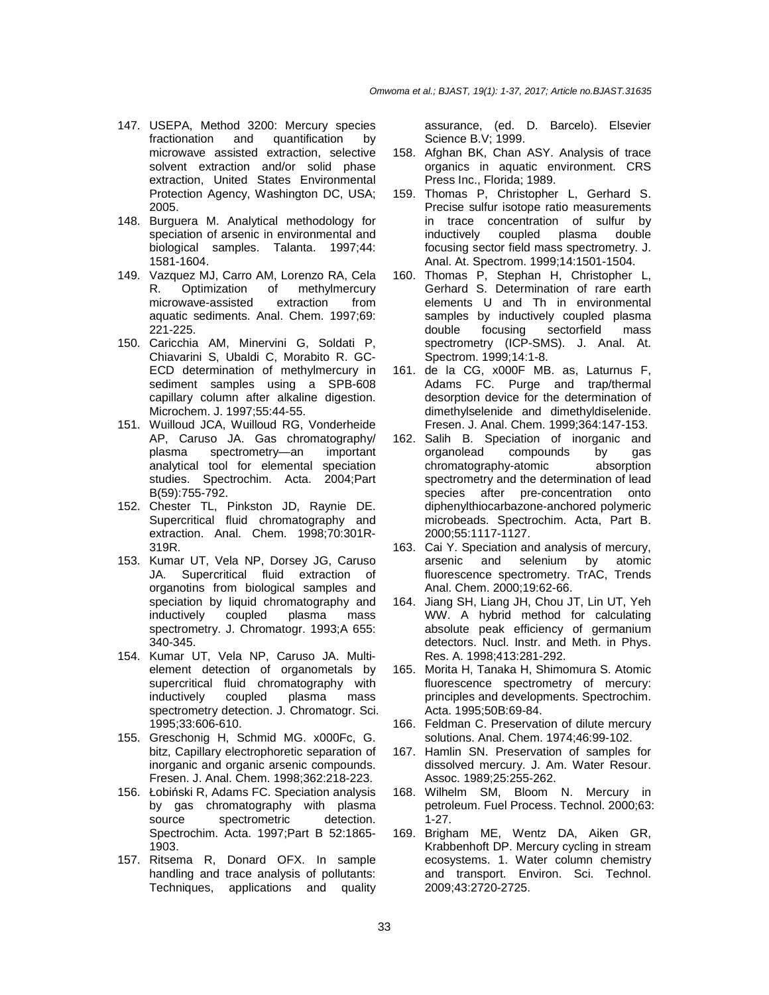- 147. USEPA, Method 3200: Mercury species fractionation and quantification by microwave assisted extraction, selective solvent extraction and/or solid phase extraction, United States Environmental Protection Agency, Washington DC, USA; 2005.
- 148. Burguera M. Analytical methodology for speciation of arsenic in environmental and biological samples. Talanta. 1997;44: 1581-1604.
- 149. Vazquez MJ, Carro AM, Lorenzo RA, Cela R. Optimization of methylmercury microwave-assisted extraction from aquatic sediments. Anal. Chem. 1997;69: 221-225.
- 150. Caricchia AM, Minervini G, Soldati P, Chiavarini S, Ubaldi C, Morabito R. GC-ECD determination of methylmercury in sediment samples using a SPB-608 capillary column after alkaline digestion. Microchem. J. 1997;55:44-55.
- 151. Wuilloud JCA, Wuilloud RG, Vonderheide AP, Caruso JA. Gas chromatography/ plasma spectrometry—an important analytical tool for elemental speciation studies. Spectrochim. Acta. 2004;Part B(59):755-792.
- 152. Chester TL, Pinkston JD, Raynie DE. Supercritical fluid chromatography and extraction. Anal. Chem. 1998;70:301R-319R.
- 153. Kumar UT, Vela NP, Dorsey JG, Caruso JA. Supercritical fluid extraction of organotins from biological samples and speciation by liquid chromatography and<br>inductively coupled plasma mass inductively coupled plasma mass spectrometry. J. Chromatogr. 1993;A 655: 340-345.
- 154. Kumar UT, Vela NP, Caruso JA. Multielement detection of organometals by supercritical fluid chromatography with<br>inductively coupled plasma mass inductively coupled plasma mass spectrometry detection. J. Chromatogr. Sci. 1995;33:606-610.
- 155. Greschonig H, Schmid MG. x000Fc, G. bitz, Capillary electrophoretic separation of inorganic and organic arsenic compounds. Fresen. J. Anal. Chem. 1998;362:218-223.
- 156. Łobiński R, Adams FC. Speciation analysis by gas chromatography with plasma source spectrometric detection. Spectrochim. Acta. 1997;Part B 52:1865- 1903.
- 157. Ritsema R, Donard OFX. In sample handling and trace analysis of pollutants: Techniques, applications and quality

assurance, (ed. D. Barcelo). Elsevier Science B.V; 1999.

- 158. Afghan BK, Chan ASY. Analysis of trace organics in aquatic environment. CRS Press Inc., Florida; 1989.
- 159. Thomas P, Christopher L, Gerhard S. Precise sulfur isotope ratio measurements in trace concentration of sulfur by inductively coupled plasma double focusing sector field mass spectrometry. J. Anal. At. Spectrom. 1999;14:1501-1504.
- 160. Thomas P, Stephan H, Christopher L, Gerhard S. Determination of rare earth elements U and Th in environmental samples by inductively coupled plasma double focusing sectorfield mass spectrometry (ICP-SMS). J. Anal. At. Spectrom. 1999;14:1-8.
- 161. de la CG, x000F MB. as, Laturnus F, Adams FC. Purge and trap/thermal desorption device for the determination of dimethylselenide and dimethyldiselenide. Fresen. J. Anal. Chem. 1999;364:147-153.
- 162. Salih B. Speciation of inorganic and organolead compounds by gas chromatography-atomic absorption spectrometry and the determination of lead species after pre-concentration onto diphenylthiocarbazone-anchored polymeric microbeads. Spectrochim. Acta, Part B. 2000;55:1117-1127.
- 163. Cai Y. Speciation and analysis of mercury, arsenic and selenium by atomic fluorescence spectrometry. TrAC, Trends Anal. Chem. 2000;19:62-66.
- 164. Jiang SH, Liang JH, Chou JT, Lin UT, Yeh WW. A hybrid method for calculating absolute peak efficiency of germanium detectors. Nucl. Instr. and Meth. in Phys. Res. A. 1998;413:281-292.
- 165. Morita H, Tanaka H, Shimomura S. Atomic fluorescence spectrometry of mercury: principles and developments. Spectrochim. Acta. 1995;50B:69-84.
- 166. Feldman C. Preservation of dilute mercury solutions. Anal. Chem. 1974;46:99-102.
- 167. Hamlin SN. Preservation of samples for dissolved mercury. J. Am. Water Resour. Assoc. 1989;25:255-262.
- 168. Wilhelm SM, Bloom N. Mercury in petroleum. Fuel Process. Technol. 2000;63: 1-27.
- 169. Brigham ME, Wentz DA, Aiken GR, Krabbenhoft DP. Mercury cycling in stream ecosystems. 1. Water column chemistry and transport. Environ. Sci. Technol. 2009;43:2720-2725.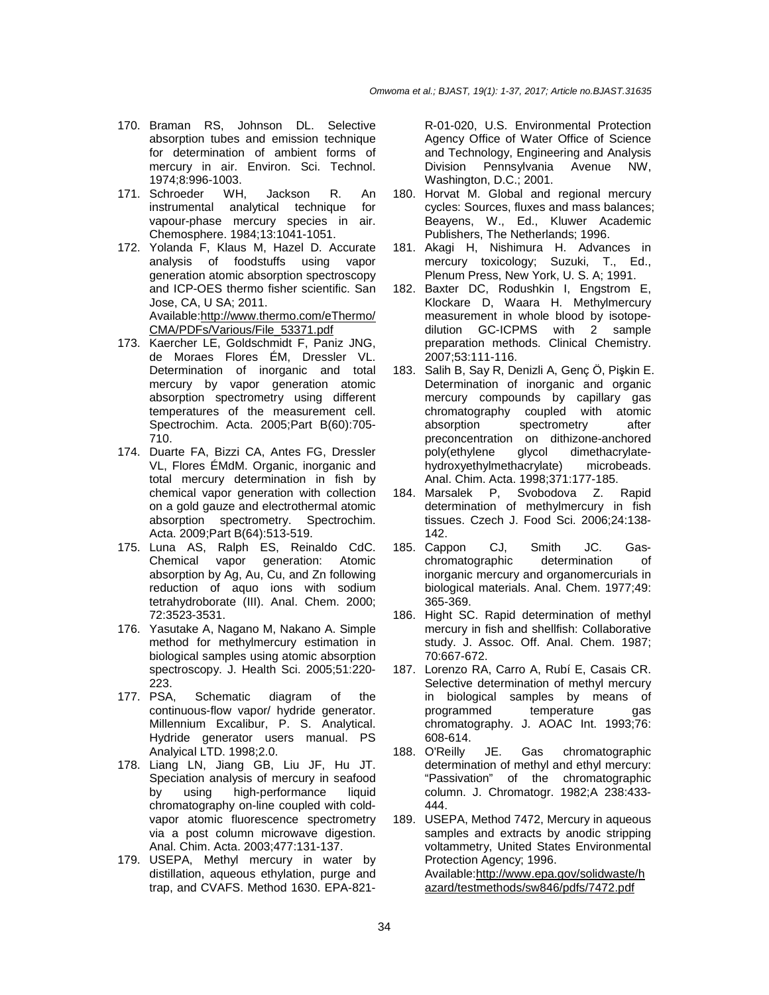- 170. Braman RS, Johnson DL. Selective absorption tubes and emission technique for determination of ambient forms of mercury in air. Environ. Sci. Technol. 1974;8:996-1003.
- 171. Schroeder WH, Jackson R. An instrumental analytical technique for vapour-phase mercury species in air. Chemosphere. 1984;13:1041-1051.
- 172. Yolanda F, Klaus M, Hazel D. Accurate analysis of foodstuffs using vapor generation atomic absorption spectroscopy and ICP-OES thermo fisher scientific. San Jose, CA, U SA; 2011. Available:http://www.thermo.com/eThermo/ CMA/PDFs/Various/File\_53371.pdf
- 173. Kaercher LE, Goldschmidt F, Paniz JNG, de Moraes Flores ÉM, Dressler VL. Determination of inorganic and total mercury by vapor generation atomic absorption spectrometry using different temperatures of the measurement cell. Spectrochim. Acta. 2005;Part B(60):705- 710.
- 174. Duarte FA, Bizzi CA, Antes FG, Dressler VL, Flores ÉMdM. Organic, inorganic and total mercury determination in fish by chemical vapor generation with collection on a gold gauze and electrothermal atomic absorption spectrometry. Spectrochim. Acta. 2009;Part B(64):513-519.
- 175. Luna AS, Ralph ES, Reinaldo CdC. Chemical vapor generation: Atomic absorption by Ag, Au, Cu, and Zn following reduction of aquo ions with sodium tetrahydroborate (III). Anal. Chem. 2000; 72:3523-3531.
- 176. Yasutake A, Nagano M, Nakano A. Simple method for methylmercury estimation in biological samples using atomic absorption spectroscopy. J. Health Sci. 2005;51:220- 223.
- 177. PSA, Schematic diagram of the continuous-flow vapor/ hydride generator. Millennium Excalibur, P. S. Analytical. Hydride generator users manual. PS Analyical LTD. 1998;2.0.
- 178. Liang LN, Jiang GB, Liu JF, Hu JT. Speciation analysis of mercury in seafood by using high-performance liquid chromatography on-line coupled with coldvapor atomic fluorescence spectrometry via a post column microwave digestion. Anal. Chim. Acta. 2003;477:131-137.
- 179. USEPA, Methyl mercury in water by distillation, aqueous ethylation, purge and trap, and CVAFS. Method 1630. EPA-821-

R-01-020, U.S. Environmental Protection Agency Office of Water Office of Science and Technology, Engineering and Analysis Division Pennsylvania Avenue NW, Washington, D.C.; 2001.

- 180. Horvat M. Global and regional mercury cycles: Sources, fluxes and mass balances; Beayens, W., Ed., Kluwer Academic Publishers, The Netherlands; 1996.
- 181. Akagi H, Nishimura H. Advances in mercury toxicology; Suzuki, T., Ed., Plenum Press, New York, U. S. A; 1991.
- 182. Baxter DC, Rodushkin I, Engstrom E, Klockare D, Waara H. Methylmercury measurement in whole blood by isotopedilution GC-ICPMS with 2 sample preparation methods. Clinical Chemistry. 2007;53:111-116.
- 183. Salih B, Say R, Denizli A, Genç Ö, Pişkin E. Determination of inorganic and organic mercury compounds by capillary gas chromatography coupled with atomic absorption spectrometry after preconcentration on dithizone-anchored<br>poly(ethylene glycol dimethacrylatepoly(ethylene glycol dimethacrylatehydroxyethylmethacrylate) microbeads. Anal. Chim. Acta. 1998;371:177-185.
- 184. Marsalek P, Svobodova Z. Rapid determination of methylmercury in fish tissues. Czech J. Food Sci. 2006;24:138- 142.
- 185. Cappon CJ, Smith JC. Gaschromatographic determination of inorganic mercury and organomercurials in biological materials. Anal. Chem. 1977;49: 365-369.
- 186. Hight SC. Rapid determination of methyl mercury in fish and shellfish: Collaborative study. J. Assoc. Off. Anal. Chem. 1987; 70:667-672.
- 187. Lorenzo RA, Carro A, Rubí E, Casais CR. Selective determination of methyl mercury in biological samples by means of programmed temperature gas chromatography. J. AOAC Int. 1993;76: 608-614.
- 188. O'Reilly JE. Gas chromatographic determination of methyl and ethyl mercury: "Passivation" of the chromatographic column. J. Chromatogr. 1982;A 238:433- 444.
- 189. USEPA, Method 7472, Mercury in aqueous samples and extracts by anodic stripping voltammetry, United States Environmental Protection Agency; 1996. Available:http://www.epa.gov/solidwaste/h azard/testmethods/sw846/pdfs/7472.pdf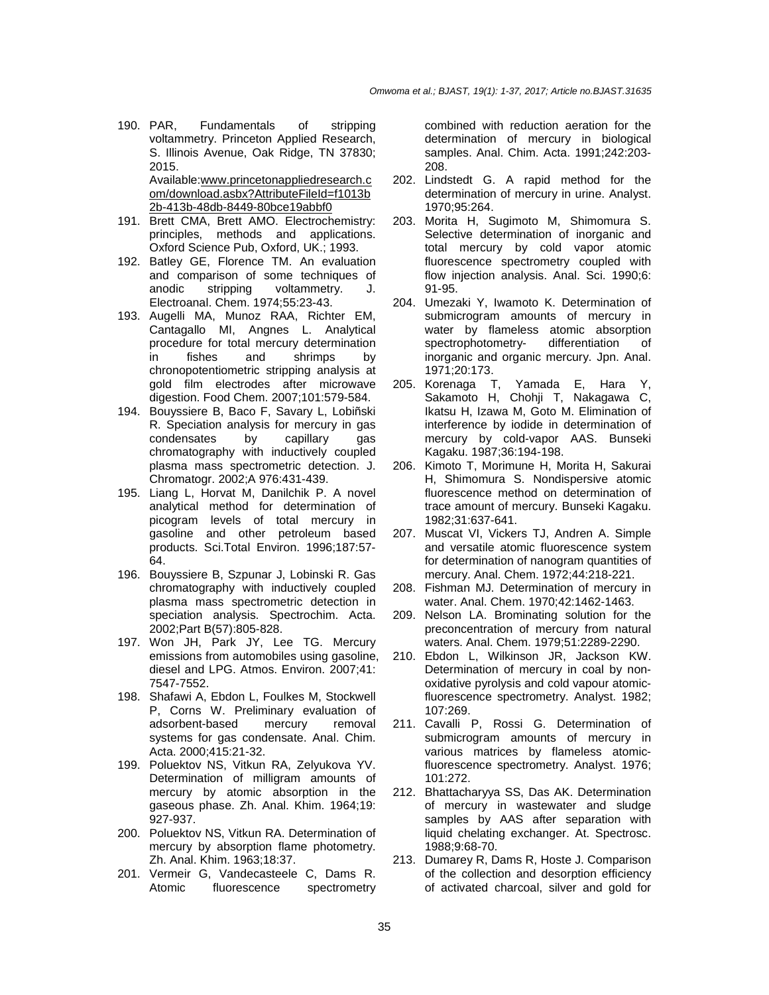- 190. PAR, Fundamentals of stripping voltammetry. Princeton Applied Research, S. Illinois Avenue, Oak Ridge, TN 37830; 2015. Available:www.princetonappliedresearch.c om/download.asbx?AttributeFileId=f1013b 2b-413b-48db-8449-80bce19abbf0
- 191. Brett CMA, Brett AMO. Electrochemistry: principles, methods and applications. Oxford Science Pub, Oxford, UK.; 1993.
- 192. Batley GE, Florence TM. An evaluation and comparison of some techniques of anodic stripping voltammetry. J. Electroanal. Chem. 1974;55:23-43.
- 193. Augelli MA, Munoz RAA, Richter EM, Cantagallo MI, Angnes L. Analytical procedure for total mercury determination in fishes and shrimps by chronopotentiometric stripping analysis at gold film electrodes after microwave digestion. Food Chem. 2007;101:579-584.
- 194. Bouyssiere B, Baco F, Savary L, Lobiñski R. Speciation analysis for mercury in gas<br>condensates by capillary das condensates by capillary chromatography with inductively coupled plasma mass spectrometric detection. J. Chromatogr. 2002;A 976:431-439.
- 195. Liang L, Horvat M, Danilchik P. A novel analytical method for determination of picogram levels of total mercury in gasoline and other petroleum based products. Sci.Total Environ. 1996;187:57- 64.
- 196. Bouyssiere B, Szpunar J, Lobinski R. Gas chromatography with inductively coupled plasma mass spectrometric detection in speciation analysis. Spectrochim. Acta. 2002;Part B(57):805-828.
- 197. Won JH, Park JY, Lee TG. Mercury emissions from automobiles using gasoline, diesel and LPG. Atmos. Environ. 2007;41: 7547-7552.
- 198. Shafawi A, Ebdon L, Foulkes M, Stockwell P, Corns W. Preliminary evaluation of adsorbent-based mercury removal systems for gas condensate. Anal. Chim. Acta. 2000;415:21-32.
- 199. Poluektov NS, Vitkun RA, Zelyukova YV. Determination of milligram amounts of mercury by atomic absorption in the gaseous phase. Zh. Anal. Khim. 1964;19: 927-937.
- 200. Poluektov NS, Vitkun RA. Determination of mercury by absorption flame photometry. Zh. Anal. Khim. 1963;18:37.
- 201. Vermeir G, Vandecasteele C, Dams R. Atomic fluorescence spectrometry

combined with reduction aeration for the determination of mercury in biological samples. Anal. Chim. Acta. 1991;242:203- 208.

- 202. Lindstedt G. A rapid method for the determination of mercury in urine. Analyst. 1970;95:264.
- 203. Morita H, Sugimoto M, Shimomura S. Selective determination of inorganic and total mercury by cold vapor atomic fluorescence spectrometry coupled with flow injection analysis. Anal. Sci. 1990;6: 91-95.
- 204. Umezaki Y, Iwamoto K. Determination of submicrogram amounts of mercury in water by flameless atomic absorption spectrophotometry- differentiation of inorganic and organic mercury. Jpn. Anal. 1971;20:173.
- 205. Korenaga T, Yamada E, Hara Y, Sakamoto H, Chohji T, Nakagawa C, Ikatsu H, Izawa M, Goto M. Elimination of interference by iodide in determination of mercury by cold-vapor AAS. Bunseki Kagaku. 1987;36:194-198.
- 206. Kimoto T, Morimune H, Morita H, Sakurai H, Shimomura S. Nondispersive atomic fluorescence method on determination of trace amount of mercury. Bunseki Kagaku. 1982;31:637-641.
- 207. Muscat VI, Vickers TJ, Andren A. Simple and versatile atomic fluorescence system for determination of nanogram quantities of mercury. Anal. Chem. 1972;44:218-221.
- 208. Fishman MJ. Determination of mercury in water. Anal. Chem. 1970;42:1462-1463.
- 209. Nelson LA. Brominating solution for the preconcentration of mercury from natural waters. Anal. Chem. 1979;51:2289-2290.
- 210. Ebdon L, Wilkinson JR, Jackson KW. Determination of mercury in coal by nonoxidative pyrolysis and cold vapour atomicfluorescence spectrometry. Analyst. 1982; 107:269.
- 211. Cavalli P, Rossi G. Determination of submicrogram amounts of mercury in various matrices by flameless atomicfluorescence spectrometry. Analyst. 1976; 101:272.
- 212. Bhattacharyya SS, Das AK. Determination of mercury in wastewater and sludge samples by AAS after separation with liquid chelating exchanger. At. Spectrosc. 1988;9:68-70.
- 213. Dumarey R, Dams R, Hoste J. Comparison of the collection and desorption efficiency of activated charcoal, silver and gold for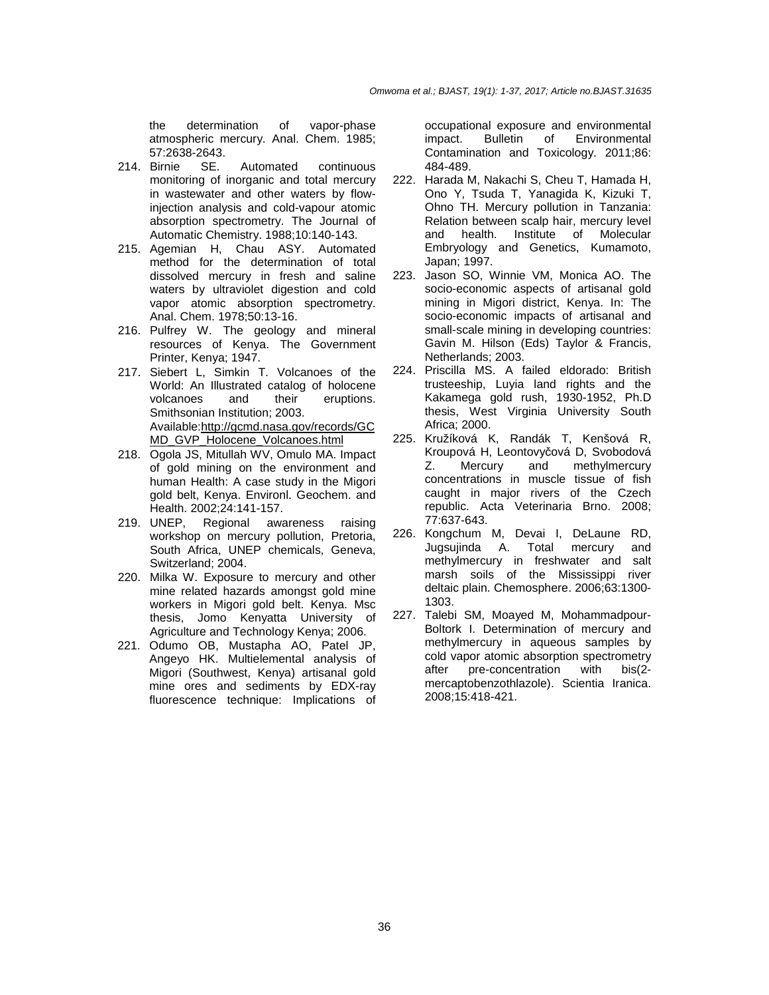the determination of vapor-phase atmospheric mercury. Anal. Chem. 1985; 57:2638-2643.

- 214. Birnie SE. Automated continuous monitoring of inorganic and total mercury in wastewater and other waters by flowinjection analysis and cold-vapour atomic absorption spectrometry. The Journal of Automatic Chemistry. 1988;10:140-143.
- 215. Agemian H, Chau ASY. Automated method for the determination of total dissolved mercury in fresh and saline waters by ultraviolet digestion and cold vapor atomic absorption spectrometry. Anal. Chem. 1978;50:13-16.
- 216. Pulfrey W. The geology and mineral resources of Kenya. The Government Printer, Kenya; 1947.
- 217. Siebert L, Simkin T. Volcanoes of the World: An Illustrated catalog of holocene volcanoes and their eruptions. Smithsonian Institution; 2003. Available:http://gcmd.nasa.gov/records/GC MD\_GVP\_Holocene\_Volcanoes.html
- 218. Ogola JS, Mitullah WV, Omulo MA. Impact of gold mining on the environment and human Health: A case study in the Migori gold belt, Kenya. Environl. Geochem. and Health. 2002;24:141-157.
- 219. UNEP, Regional awareness raising workshop on mercury pollution, Pretoria, South Africa, UNEP chemicals, Geneva, Switzerland; 2004.
- 220. Milka W. Exposure to mercury and other mine related hazards amongst gold mine workers in Migori gold belt. Kenya. Msc thesis, Jomo Kenyatta University of Agriculture and Technology Kenya; 2006.
- 221. Odumo OB, Mustapha AO, Patel JP, Angeyo HK. Multielemental analysis of Migori (Southwest, Kenya) artisanal gold mine ores and sediments by EDX-ray fluorescence technique: Implications of

occupational exposure and environmental impact. Bulletin of Environmental Contamination and Toxicology. 2011;86: 484-489.

- 222. Harada M, Nakachi S, Cheu T, Hamada H, Ono Y, Tsuda T, Yanagida K, Kizuki T, Ohno TH. Mercury pollution in Tanzania: Relation between scalp hair, mercury level and health. Institute of Molecular Embryology and Genetics, Kumamoto, Japan; 1997.
- 223. Jason SO, Winnie VM, Monica AO. The socio-economic aspects of artisanal gold mining in Migori district, Kenya. In: The socio-economic impacts of artisanal and small-scale mining in developing countries: Gavin M. Hilson (Eds) Taylor & Francis, Netherlands; 2003.
- 224. Priscilla MS. A failed eldorado: British trusteeship, Luyia land rights and the Kakamega gold rush, 1930-1952, Ph.D thesis, West Virginia University South Africa; 2000.
- 225. Kružíková K, Randák T, Kenšová R, Kroupová H, Leontovyčová D, Svobodová<br>Z. Mercury and methylmercury Z. Mercury and methylmercury concentrations in muscle tissue of fish caught in major rivers of the Czech republic. Acta Veterinaria Brno. 2008; 77:637-643.
- 226. Kongchum M, Devai I, DeLaune RD, Jugsujinda A. Total mercury and methylmercury in freshwater and salt marsh soils of the Mississippi river deltaic plain. Chemosphere. 2006;63:1300- 1303.
- 227. Talebi SM, Moayed M, Mohammadpour-Boltork I. Determination of mercury and methylmercury in aqueous samples by cold vapor atomic absorption spectrometry after pre-concentration with bis(2 mercaptobenzothlazole). Scientia Iranica. 2008;15:418-421.